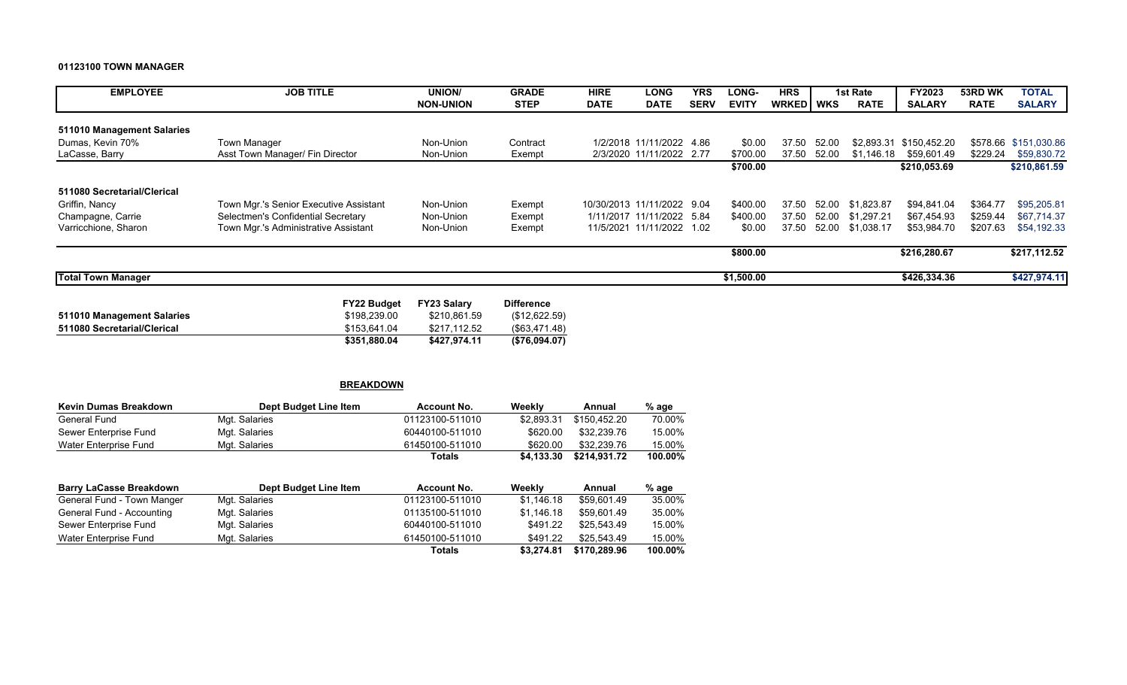#### **01123100 TOWN MANAGER**

| <b>EMPLOYEE</b>             | <b>JOB TITLE</b>                       | UNION/           | <b>GRADE</b> | <b>HIRE</b> | <b>LONG</b>                | <b>YRS</b>  | <b>LONG-</b> | <b>HRS</b>         |       | 1st Rate    | <b>FY2023</b> | 53RD WK     | <b>TOTAL</b>          |
|-----------------------------|----------------------------------------|------------------|--------------|-------------|----------------------------|-------------|--------------|--------------------|-------|-------------|---------------|-------------|-----------------------|
|                             |                                        | <b>NON-UNION</b> | <b>STEP</b>  | <b>DATE</b> | <b>DATE</b>                | <b>SERV</b> | <b>EVITY</b> | <b>WRKED I WKS</b> |       | <b>RATE</b> | <b>SALARY</b> | <b>RATE</b> | <b>SALARY</b>         |
|                             |                                        |                  |              |             |                            |             |              |                    |       |             |               |             |                       |
| 511010 Management Salaries  |                                        |                  |              |             |                            |             |              |                    |       |             |               |             |                       |
| Dumas, Kevin 70%            | Town Manager                           | Non-Union        | Contract     |             | 1/2/2018 11/11/2022 4.86   |             | \$0.00       | 37.50              | 52.00 | \$2,893.31  | \$150.452.20  |             | \$578.66 \$151.030.86 |
| LaCasse, Barry              | Asst Town Manager/ Fin Director        | Non-Union        | Exempt       |             | 2/3/2020 11/11/2022 2.77   |             | \$700.00     | 37.50              | 52.00 | \$1.146.18  | \$59.601.49   | \$229.24    | \$59,830.72           |
|                             |                                        |                  |              |             |                            |             | \$700.00     |                    |       |             | \$210,053.69  |             | \$210,861.59          |
|                             |                                        |                  |              |             |                            |             |              |                    |       |             |               |             |                       |
| 511080 Secretarial/Clerical |                                        |                  |              |             |                            |             |              |                    |       |             |               |             |                       |
| Griffin, Nancy              | Town Mgr.'s Senior Executive Assistant | Non-Union        | Exempt       |             | 10/30/2013 11/11/2022 9.04 |             | \$400.00     | 37.50              | 52.00 | \$1.823.87  | \$94,841.04   | \$364.77    | \$95,205.81           |
| Champagne, Carrie           | Selectmen's Confidential Secretary     | Non-Union        | Exempt       |             | 1/11/2017 11/11/2022 5.84  |             | \$400.00     | 37.50              | 52.00 | \$1.297.21  | \$67.454.93   | \$259.44    | \$67.714.37           |
| Varricchione, Sharon        | Town Mgr.'s Administrative Assistant   | Non-Union        | Exempt       |             | 11/5/2021 11/11/2022 1.02  |             | \$0.00       | 37.50              | 52.00 | \$1,038.17  | \$53,984.70   | \$207.63    | \$54,192.33           |
|                             |                                        |                  |              |             |                            |             | \$800.00     |                    |       |             | \$216,280.67  |             | \$217,112.52          |
|                             |                                        |                  |              |             |                            |             |              |                    |       |             |               |             |                       |
| <b>Total Town Manager</b>   |                                        |                  |              |             |                            |             | \$1,500.00   |                    |       |             | \$426,334.36  |             | \$427,974.11          |

|                             | <b>FY22 Budget</b> | <b>FY23 Salary</b> | <b>Difference</b> |
|-----------------------------|--------------------|--------------------|-------------------|
| 511010 Management Salaries  | \$198.239.00       | \$210.861.59       | (\$12,622.59)     |
| 511080 Secretarial/Clerical | \$153.641.04       | \$217.112.52       | $($ \$63.471.48)  |
|                             | \$351.880.04       | \$427.974.11       | (S76.094.07)      |

|                                | <b>BREAKDOWN</b>      |                 |            |              |         |
|--------------------------------|-----------------------|-----------------|------------|--------------|---------|
| Kevin Dumas Breakdown          | Dept Budget Line Item | Account No.     | Weekly     | Annual       | % age   |
| General Fund                   | Mgt. Salaries         | 01123100-511010 | \$2,893.31 | \$150.452.20 | 70.00%  |
| Sewer Enterprise Fund          | Mgt. Salaries         | 60440100-511010 | \$620.00   | \$32,239.76  | 15.00%  |
| Water Enterprise Fund          | Mgt. Salaries         | 61450100-511010 | \$620.00   | \$32,239.76  | 15.00%  |
|                                |                       | <b>Totals</b>   | \$4,133.30 | \$214.931.72 | 100.00% |
| <b>Barry LaCasse Breakdown</b> | Dept Budget Line Item | Account No.     | Weekly     | Annual       | % age   |
| General Fund - Town Manger     | Mgt. Salaries         | 01123100-511010 | \$1.146.18 | \$59.601.49  | 35.00%  |
| General Fund - Accounting      | Mgt. Salaries         | 01135100-511010 | \$1.146.18 | \$59.601.49  | 35.00%  |
| Sewer Enterprise Fund          | Mgt. Salaries         | 60440100-511010 | \$491.22   | \$25.543.49  | 15.00%  |
| Water Enterprise Fund          | Mgt. Salaries         | 61450100-511010 | \$491.22   | \$25.543.49  | 15.00%  |
|                                |                       | <b>Totals</b>   | \$3,274.81 | \$170,289.96 | 100.00% |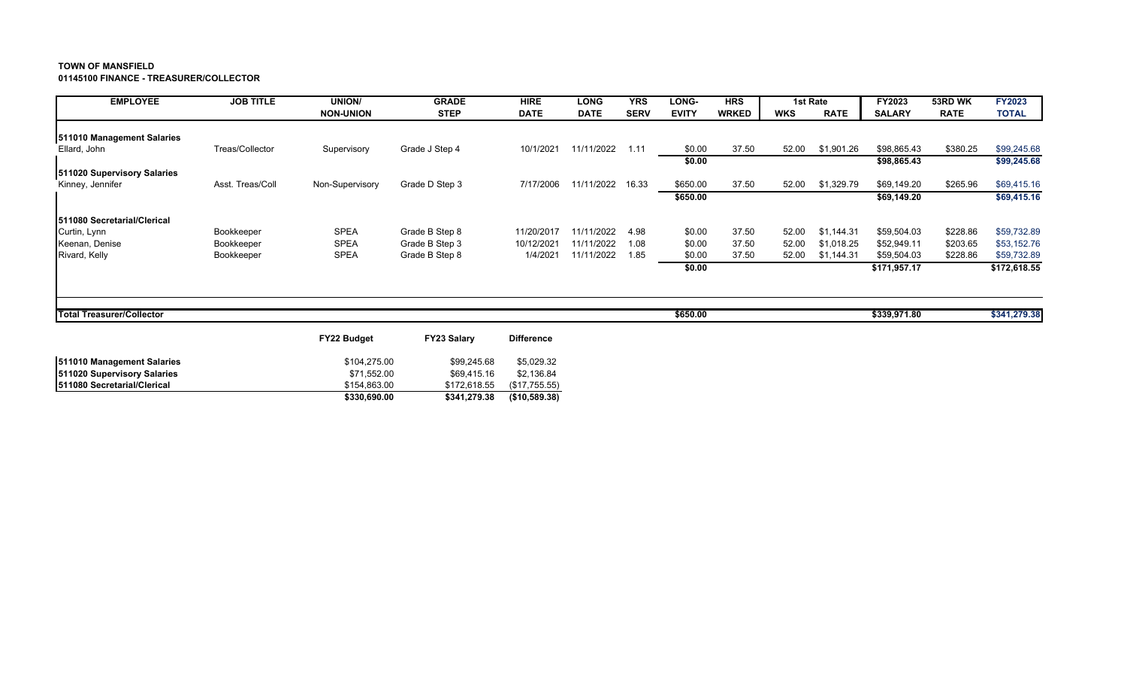**01145100 FINANCE - TREASURER/COLLECTOR**

| <b>EMPLOYEE</b>                  | <b>JOB TITLE</b> | UNION/             | <b>GRADE</b>       | <b>HIRE</b>       | <b>LONG</b> | <b>YRS</b>  | <b>LONG-</b> | <b>HRS</b>   |            | 1st Rate    | FY2023        | 53RD WK     | <b>FY2023</b> |
|----------------------------------|------------------|--------------------|--------------------|-------------------|-------------|-------------|--------------|--------------|------------|-------------|---------------|-------------|---------------|
|                                  |                  | <b>NON-UNION</b>   | <b>STEP</b>        | <b>DATE</b>       | <b>DATE</b> | <b>SERV</b> | <b>EVITY</b> | <b>WRKED</b> | <b>WKS</b> | <b>RATE</b> | <b>SALARY</b> | <b>RATE</b> | <b>TOTAL</b>  |
| 511010 Management Salaries       |                  |                    |                    |                   |             |             |              |              |            |             |               |             |               |
| Ellard, John                     | Treas/Collector  | Supervisory        | Grade J Step 4     | 10/1/2021         | 11/11/2022  | 1.11        | \$0.00       | 37.50        | 52.00      | \$1,901.26  | \$98,865.43   | \$380.25    | \$99,245.68   |
|                                  |                  |                    |                    |                   |             |             | \$0.00       |              |            |             | \$98,865.43   |             | \$99,245.68   |
| 511020 Supervisory Salaries      |                  |                    |                    |                   |             |             |              |              |            |             |               |             |               |
| Kinney, Jennifer                 | Asst. Treas/Coll | Non-Supervisory    | Grade D Step 3     | 7/17/2006         | 11/11/2022  | 16.33       | \$650.00     | 37.50        | 52.00      | \$1,329.79  | \$69,149.20   | \$265.96    | \$69,415.16   |
|                                  |                  |                    |                    |                   |             |             | \$650.00     |              |            |             | \$69,149.20   |             | \$69,415.16   |
| 511080 Secretarial/Clerical      |                  |                    |                    |                   |             |             |              |              |            |             |               |             |               |
| Curtin, Lynn                     | Bookkeeper       | <b>SPEA</b>        | Grade B Step 8     | 11/20/2017        | 11/11/2022  | 4.98        | \$0.00       | 37.50        | 52.00      | \$1,144.31  | \$59,504.03   | \$228.86    | \$59,732.89   |
| Keenan, Denise                   | Bookkeeper       | <b>SPEA</b>        | Grade B Step 3     | 10/12/2021        | 11/11/2022  | 1.08        | \$0.00       | 37.50        | 52.00      | \$1,018.25  | \$52,949.11   | \$203.65    | \$53,152.76   |
| Rivard, Kelly                    | Bookkeeper       | <b>SPEA</b>        | Grade B Step 8     | 1/4/2021          | 11/11/2022  | 1.85        | \$0.00       | 37.50        | 52.00      | \$1,144.31  | \$59,504.03   | \$228.86    | \$59,732.89   |
|                                  |                  |                    |                    |                   |             |             | \$0.00       |              |            |             | \$171,957.17  |             | \$172,618.55  |
|                                  |                  |                    |                    |                   |             |             |              |              |            |             |               |             |               |
| <b>Total Treasurer/Collector</b> |                  |                    |                    |                   |             |             | \$650.00     |              |            |             | \$339,971.80  |             | \$341,279.38  |
|                                  |                  | <b>FY22 Budget</b> | <b>FY23 Salary</b> | <b>Difference</b> |             |             |              |              |            |             |               |             |               |

|                                     | \$330,690.00 | \$341.279.38 | $($ \$10,589.38) |
|-------------------------------------|--------------|--------------|------------------|
| <b>1511080 Secretarial/Clerical</b> | \$154.863.00 | \$172.618.55 | (S17.755.55)     |
| 511020 Supervisory Salaries         | \$71.552.00  | \$69.415.16  | \$2.136.84       |
| 511010 Management Salaries          | \$104.275.00 | \$99,245.68  | \$5.029.32       |
|                                     |              |              |                  |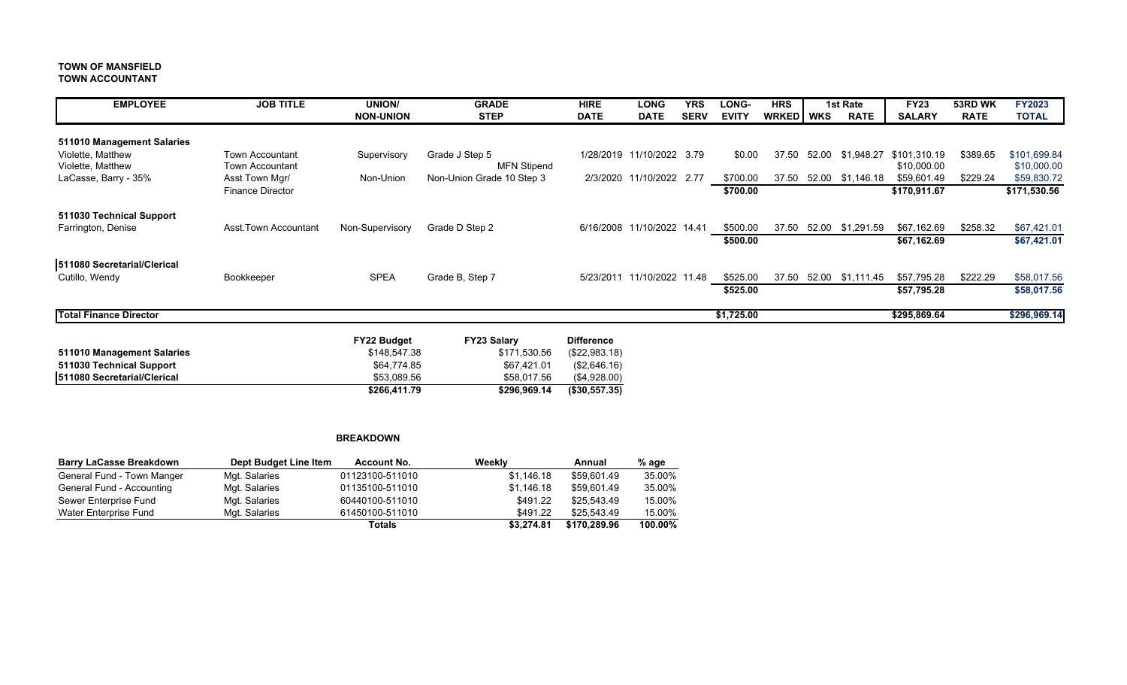#### **TOWN OF MANSFIELD TOWN ACCOUNTANT**

| <b>EMPLOYEE</b>               | <b>JOB TITLE</b>        | <b>UNION/</b>    | <b>GRADE</b>              | <b>HIRE</b>       | <b>LONG</b>                | <b>YRS</b>  | <b>LONG-</b> | <b>HRS</b>   |       | 1st Rate         | <b>FY23</b>   | 53RD WK     | <b>FY2023</b> |
|-------------------------------|-------------------------|------------------|---------------------------|-------------------|----------------------------|-------------|--------------|--------------|-------|------------------|---------------|-------------|---------------|
|                               |                         | <b>NON-UNION</b> | <b>STEP</b>               | <b>DATE</b>       | <b>DATE</b>                | <b>SERV</b> | <b>EVITY</b> | <b>WRKED</b> | WKS   | <b>RATE</b>      | <b>SALARY</b> | <b>RATE</b> | <b>TOTAL</b>  |
| 511010 Management Salaries    |                         |                  |                           |                   |                            |             |              |              |       |                  |               |             |               |
| Violette, Matthew             | <b>Town Accountant</b>  | Supervisory      | Grade J Step 5            |                   | 1/28/2019 11/10/2022       | 3.79        | \$0.00       | 37.50        | 52.00 | \$1,948.27       | \$101,310.19  | \$389.65    | \$101,699.84  |
| Violette, Matthew             | <b>Town Accountant</b>  |                  | <b>MFN Stipend</b>        |                   |                            |             |              |              |       |                  | \$10,000.00   |             | \$10,000.00   |
| LaCasse, Barry - 35%          | Asst Town Mgr/          | Non-Union        | Non-Union Grade 10 Step 3 | 2/3/2020          | 11/10/2022 2.77            |             | \$700.00     | 37.50        | 52.00 | \$1,146.18       | \$59,601.49   | \$229.24    | \$59,830.72   |
|                               | <b>Finance Director</b> |                  |                           |                   |                            |             | \$700.00     |              |       |                  | \$170,911.67  |             | \$171,530.56  |
| 511030 Technical Support      |                         |                  |                           |                   |                            |             |              |              |       |                  |               |             |               |
| Farrington, Denise            | Asst. Town Accountant   | Non-Supervisory  | Grade D Step 2            |                   | 6/16/2008 11/10/2022 14.41 |             | \$500.00     | 37.50        |       | 52.00 \$1,291.59 | \$67,162.69   | \$258.32    | \$67,421.01   |
|                               |                         |                  |                           |                   |                            |             | \$500.00     |              |       |                  | \$67,162.69   |             | \$67,421.01   |
| 511080 Secretarial/Clerical   |                         |                  |                           |                   |                            |             |              |              |       |                  |               |             |               |
| Cutillo, Wendy                | Bookkeeper              | <b>SPEA</b>      | Grade B, Step 7           |                   | 5/23/2011 11/10/2022 11.48 |             | \$525.00     | 37.50        |       | 52.00 \$1,111.45 | \$57,795.28   | \$222.29    | \$58,017.56   |
|                               |                         |                  |                           |                   |                            |             | \$525.00     |              |       |                  | \$57,795.28   |             | \$58,017.56   |
| <b>Total Finance Director</b> |                         |                  |                           |                   |                            |             | \$1,725.00   |              |       |                  | \$295,869.64  |             | \$296,969.14  |
|                               |                         | FY22 Budget      | <b>FY23 Salary</b>        | <b>Difference</b> |                            |             |              |              |       |                  |               |             |               |
| 511010 Management Salaries    |                         | \$148,547.38     | \$171,530.56              | (\$22,983.18)     |                            |             |              |              |       |                  |               |             |               |
| 511030 Technical Support      |                         | \$64,774.85      | \$67,421.01               | (\$2,646.16)      |                            |             |              |              |       |                  |               |             |               |
| 511080 Secretarial/Clerical   |                         | \$53,089.56      | \$58,017.56               | (\$4,928.00)      |                            |             |              |              |       |                  |               |             |               |
|                               |                         | \$266,411.79     | \$296,969.14              | (\$30,557.35)     |                            |             |              |              |       |                  |               |             |               |

#### **BREAKDOWN**

| <b>Barry LaCasse Breakdown</b> | Dept Budget Line Item | <b>Account No.</b> | Weekly     | Annual       | % age   |
|--------------------------------|-----------------------|--------------------|------------|--------------|---------|
| General Fund - Town Manger     | Mgt. Salaries         | 01123100-511010    | \$1.146.18 | \$59.601.49  | 35.00%  |
| General Fund - Accounting      | Mgt. Salaries         | 01135100-511010    | \$1.146.18 | \$59,601.49  | 35.00%  |
| Sewer Enterprise Fund          | Mgt. Salaries         | 60440100-511010    | \$491.22   | \$25.543.49  | 15.00%  |
| Water Enterprise Fund          | Mgt. Salaries         | 61450100-511010    | \$491.22   | \$25.543.49  | 15.00%  |
|                                |                       | Totals             | \$3.274.81 | \$170,289,96 | 100.00% |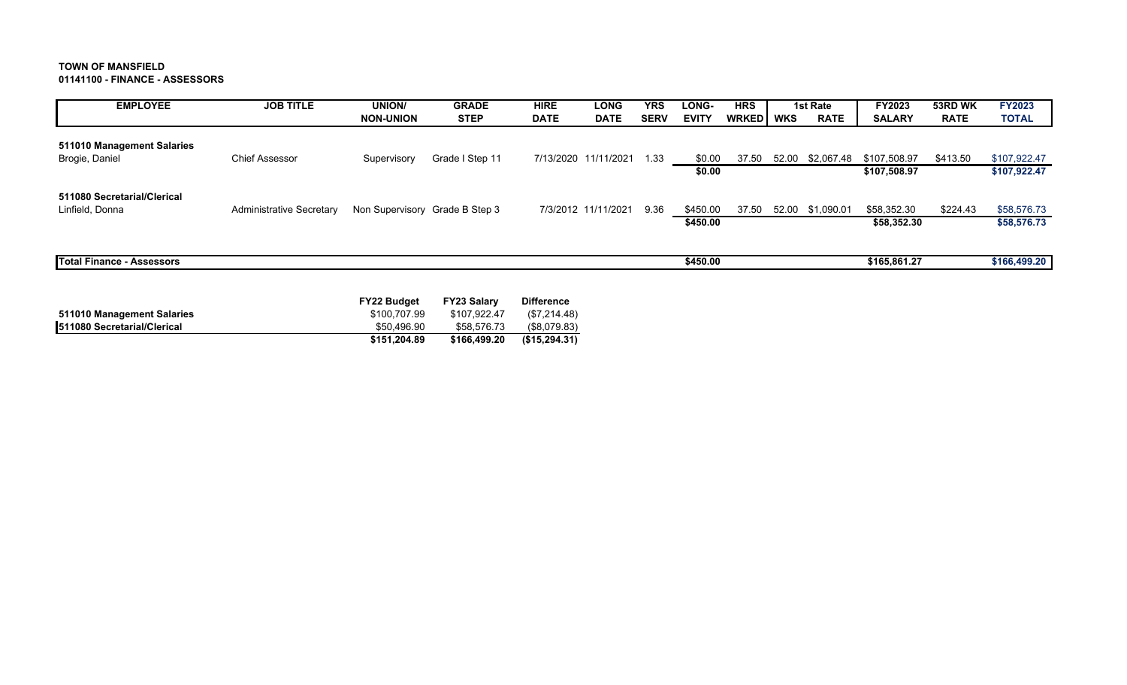**01141100 - FINANCE - ASSESSORS**

| <b>EMPLOYEE</b>                                | <b>JOB TITLE</b>         | UNION/                         | <b>GRADE</b>    | <b>HIRE</b> | <b>LONG</b>          | <b>YRS</b>  | LONG-        | <b>HRS</b>   |            | 1st Rate    | FY2023        | 53RD WK     | <b>FY2023</b> |
|------------------------------------------------|--------------------------|--------------------------------|-----------------|-------------|----------------------|-------------|--------------|--------------|------------|-------------|---------------|-------------|---------------|
|                                                |                          | <b>NON-UNION</b>               | <b>STEP</b>     | <b>DATE</b> | <b>DATE</b>          | <b>SERV</b> | <b>EVITY</b> | <b>WRKED</b> | <b>WKS</b> | <b>RATE</b> | <b>SALARY</b> | <b>RATE</b> | <b>TOTAL</b>  |
| 511010 Management Salaries<br>Brogie, Daniel   | <b>Chief Assessor</b>    | Supervisory                    | Grade I Step 11 |             | 7/13/2020 11/11/2021 | 1.33        | \$0.00       | 37.50        | 52.00      | \$2,067.48  | \$107,508.97  | \$413.50    | \$107,922.47  |
|                                                |                          |                                |                 |             |                      |             | \$0.00       |              |            |             | \$107,508.97  |             | \$107,922.47  |
| 511080 Secretarial/Clerical<br>Linfield, Donna | Administrative Secretary | Non Supervisory Grade B Step 3 |                 |             | 7/3/2012 11/11/2021  | 9.36        | \$450.00     | 37.50        | 52.00      | \$1,090.01  | \$58,352.30   | \$224.43    | \$58,576.73   |
|                                                |                          |                                |                 |             |                      |             | \$450.00     |              |            |             | \$58,352.30   |             | \$58,576.73   |
| <b>Total Finance - Assessors</b>               |                          |                                |                 |             |                      |             | \$450.00     |              |            |             | \$165,861.27  |             | \$166,499.20  |

|                                     | <b>FY22 Budget</b> | <b>FY23 Salarv</b> | <b>Difference</b> |
|-------------------------------------|--------------------|--------------------|-------------------|
| 511010 Management Salaries          | \$100.707.99       | \$107.922.47       | (\$7,214.48)      |
| <b>1511080 Secretarial/Clerical</b> | \$50.496.90        | \$58,576.73        | (\$8.079.83)      |
|                                     | \$151.204.89       | \$166,499.20       | (S15.294.31)      |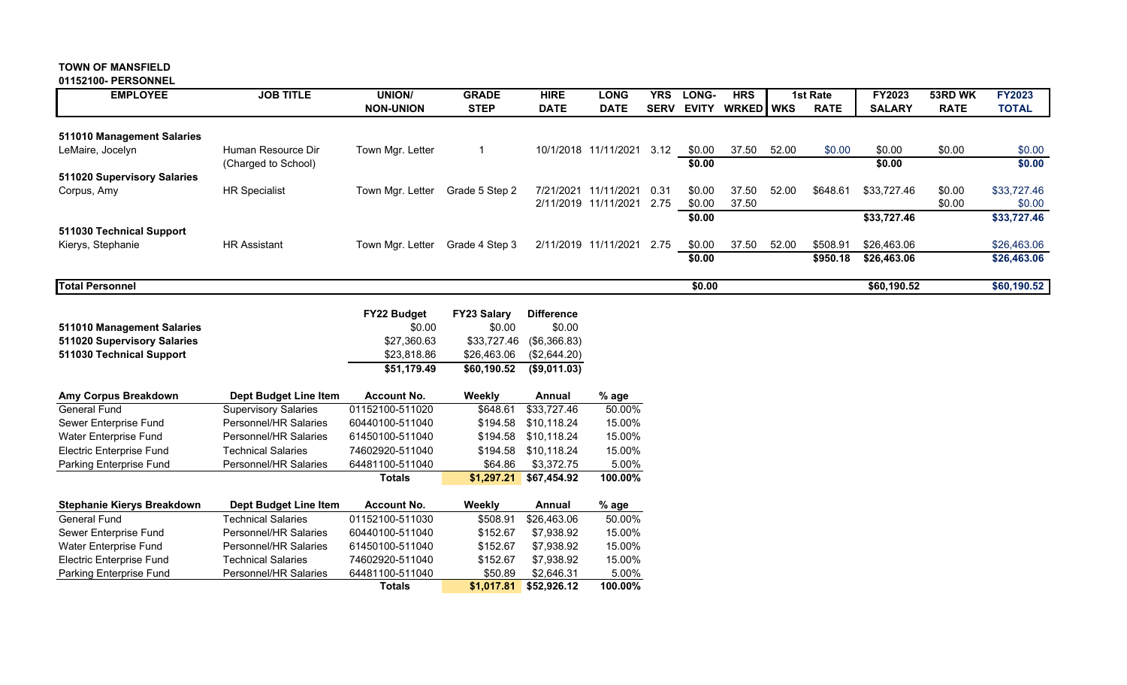#### **TOWN OF MANSFIELD 01152100- PERSONNEL**

| <b>EMPLOYEE</b>             | <b>JOB TITLE</b>     | <b>UNION/</b><br><b>NON-UNION</b> | <b>GRADE</b><br><b>STEP</b> | <b>HIRE</b><br><b>DATE</b> | <b>LONG</b><br><b>DATE</b> | YRS.<br><b>SERV</b> | LONG-<br><b>EVITY</b> | <b>HRS</b><br><b>WRKED</b> WKS |       | 1st Rate<br><b>RATE</b> | <b>FY2023</b><br><b>SALARY</b> | 53RD WK<br><b>RATE</b> | <b>FY2023</b><br><b>TOTAL</b> |
|-----------------------------|----------------------|-----------------------------------|-----------------------------|----------------------------|----------------------------|---------------------|-----------------------|--------------------------------|-------|-------------------------|--------------------------------|------------------------|-------------------------------|
| 511010 Management Salaries  |                      |                                   |                             |                            |                            |                     |                       |                                |       |                         |                                |                        |                               |
|                             |                      |                                   |                             |                            |                            |                     |                       |                                |       |                         |                                |                        |                               |
| LeMaire, Jocelyn            | Human Resource Dir   | Town Mgr. Letter                  |                             | 10/1/2018                  | 11/11/2021                 | 3.12                | \$0.00                | 37.50                          | 52.00 | \$0.00                  | \$0.00                         | \$0.00                 | \$0.00                        |
|                             | (Charged to School)  |                                   |                             |                            |                            |                     | \$0.00                |                                |       |                         | \$0.00                         |                        | \$0.00                        |
| 511020 Supervisory Salaries |                      |                                   |                             |                            |                            |                     |                       |                                |       |                         |                                |                        |                               |
| Corpus, Amy                 | <b>HR Specialist</b> | Town Mgr. Letter                  | Grade 5 Step 2              | 7/21/2021                  | 11/11/2021                 | 0.31                | \$0.00                | 37.50                          | 52.00 | \$648.61                | \$33,727.46                    | \$0.00                 | \$33,727.46                   |
|                             |                      |                                   |                             |                            | 2/11/2019 11/11/2021       | 2.75                | \$0.00                | 37.50                          |       |                         |                                | \$0.00                 | \$0.00                        |
|                             |                      |                                   |                             |                            |                            |                     |                       |                                |       |                         |                                |                        |                               |
|                             |                      |                                   |                             |                            |                            |                     | \$0.00                |                                |       |                         | \$33,727.46                    |                        | \$33,727.46                   |
| 511030 Technical Support    |                      |                                   |                             |                            |                            |                     |                       |                                |       |                         |                                |                        |                               |
| Kierys, Stephanie           | <b>HR Assistant</b>  | Town Mgr. Letter                  | Grade 4 Step 3              |                            | 2/11/2019 11/11/2021       | 2.75                | \$0.00                | 37.50                          | 52.00 | \$508.91                | \$26,463.06                    |                        | \$26,463.06                   |
|                             |                      |                                   |                             |                            |                            |                     | \$0.00                |                                |       | \$950.18                | \$26,463.06                    |                        | \$26,463.06                   |
| <b>Total Personnel</b>      |                      |                                   |                             |                            |                            |                     | \$0.00                |                                |       |                         | \$60,190.52                    |                        | \$60,190.52                   |

|                             | <b>FY22 Budget</b> | <b>FY23 Salary</b> | <b>Difference</b>        |
|-----------------------------|--------------------|--------------------|--------------------------|
| 511010 Management Salaries  | \$0.00             | \$0.00             | \$0.00                   |
| 511020 Supervisory Salaries | \$27.360.63        |                    | \$33,727.46 (\$6,366.83) |
| 511030 Technical Support    | \$23.818.86        | \$26.463.06        | (\$2,644.20)             |
|                             | \$51.179.49        | \$60.190.52        | $($ \$9,011.03)          |

| Amy Corpus Breakdown              | Dept Budget Line Item       | <b>Account No.</b> | Weekly     | Annual      | % age   |
|-----------------------------------|-----------------------------|--------------------|------------|-------------|---------|
| General Fund                      | <b>Supervisory Salaries</b> | 01152100-511020    | \$648.61   | \$33,727.46 | 50.00%  |
| Sewer Enterprise Fund             | Personnel/HR Salaries       | 60440100-511040    | \$194.58   | \$10.118.24 | 15.00%  |
| Water Enterprise Fund             | Personnel/HR Salaries       | 61450100-511040    | \$194.58   | \$10.118.24 | 15.00%  |
| <b>Electric Enterprise Fund</b>   | Technical Salaries          | 74602920-511040    | \$194.58   | \$10.118.24 | 15.00%  |
| Parking Enterprise Fund           | Personnel/HR Salaries       | 64481100-511040    | \$64.86    | \$3,372.75  | 5.00%   |
|                                   |                             | <b>Totals</b>      | \$1,297.21 | \$67,454.92 | 100.00% |
|                                   |                             |                    |            |             |         |
|                                   |                             |                    |            |             |         |
| <b>Stephanie Kierys Breakdown</b> | Dept Budget Line Item       | <b>Account No.</b> | Weekly     | Annual      | $%$ age |
| General Fund                      | Technical Salaries          | 01152100-511030    | \$508.91   | \$26,463.06 | 50.00%  |
| Sewer Enterprise Fund             | Personnel/HR Salaries       | 60440100-511040    | \$152.67   | \$7.938.92  | 15.00%  |
| Water Enterprise Fund             | Personnel/HR Salaries       | 61450100-511040    | \$152.67   | \$7.938.92  | 15.00%  |
| <b>Electric Enterprise Fund</b>   | Technical Salaries          | 74602920-511040    | \$152.67   | \$7.938.92  | 15.00%  |
| Parking Enterprise Fund           | Personnel/HR Salaries       | 64481100-511040    | \$50.89    | \$2.646.31  | 5.00%   |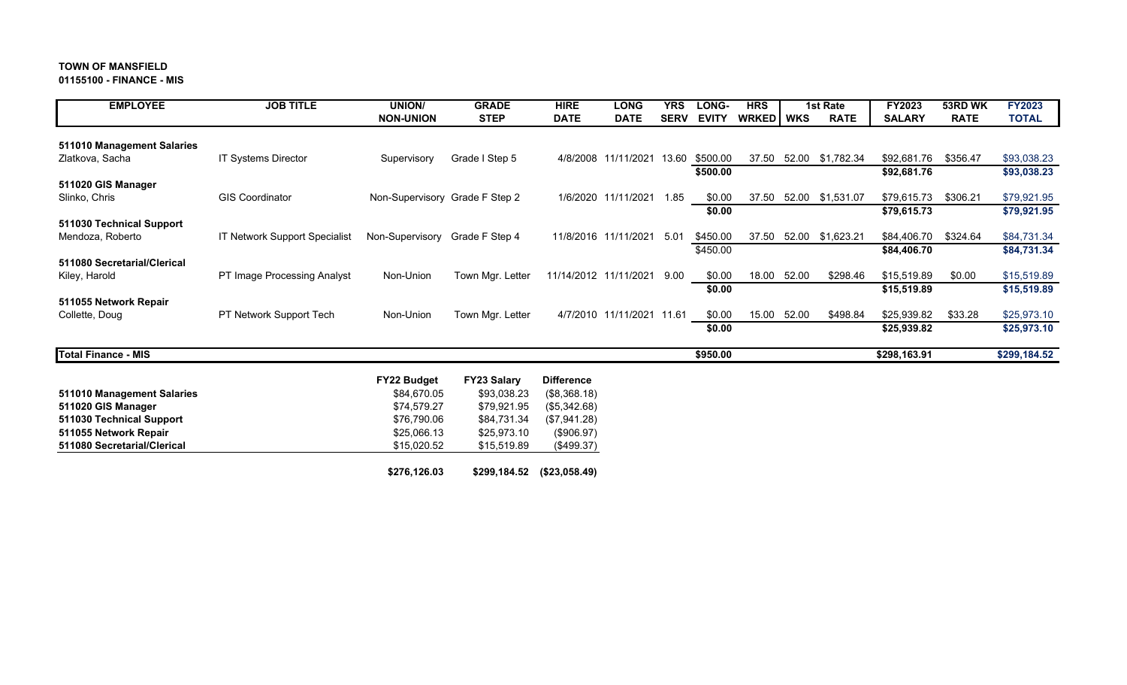#### **01155100 - FINANCE - MIS**

| <b>EMPLOYEE</b>             | <b>JOB TITLE</b>                     | <b>UNION/</b>                  | <b>GRADE</b>     | <b>HIRE</b>              | <b>LONG</b>               | <b>YRS</b>  | LONG-        | <b>HRS</b>  |       | 1st Rate    | FY2023        | 53RD WK     | <b>FY2023</b> |
|-----------------------------|--------------------------------------|--------------------------------|------------------|--------------------------|---------------------------|-------------|--------------|-------------|-------|-------------|---------------|-------------|---------------|
|                             |                                      | <b>NON-UNION</b>               | <b>STEP</b>      | <b>DATE</b>              | <b>DATE</b>               | <b>SERV</b> | <b>EVITY</b> | WRKED   WKS |       | <b>RATE</b> | <b>SALARY</b> | <b>RATE</b> | <b>TOTAL</b>  |
|                             |                                      |                                |                  |                          |                           |             |              |             |       |             |               |             |               |
| 511010 Management Salaries  |                                      |                                |                  |                          |                           |             |              |             |       |             |               |             |               |
| Zlatkova, Sacha             | IT Systems Director                  | Supervisory                    | Grade I Step 5   | 4/8/2008                 | 11/11/2021                | 13.60       | \$500.00     | 37.50       | 52.00 | \$1,782.34  | \$92,681.76   | \$356.47    | \$93,038.23   |
|                             |                                      |                                |                  |                          |                           |             | \$500.00     |             |       |             | \$92,681.76   |             | \$93,038.23   |
| 511020 GIS Manager          |                                      |                                |                  |                          |                           |             |              |             |       |             |               |             |               |
| Slinko, Chris               | <b>GIS Coordinator</b>               | Non-Supervisory Grade F Step 2 |                  | 1/6/2020                 | 11/11/2021                | 1.85        | \$0.00       | 37.50       | 52.00 | \$1,531.07  | \$79,615.73   | \$306.21    | \$79,921.95   |
|                             |                                      |                                |                  |                          |                           |             | \$0.00       |             |       |             | \$79,615.73   |             | \$79,921.95   |
| 511030 Technical Support    |                                      |                                |                  |                          |                           |             |              |             |       |             |               |             |               |
| Mendoza, Roberto            | <b>IT Network Support Specialist</b> | Non-Supervisory                | Grade F Step 4   |                          | 11/8/2016 11/11/2021      | 5.01        | \$450.00     | 37.50       | 52.00 | \$1,623.21  | \$84,406.70   | \$324.64    | \$84,731.34   |
|                             |                                      |                                |                  |                          |                           |             | \$450.00     |             |       |             | \$84,406.70   |             | \$84,731.34   |
| 511080 Secretarial/Clerical |                                      |                                |                  |                          |                           |             |              |             |       |             |               |             |               |
| Kiley, Harold               | PT Image Processing Analyst          | Non-Union                      | Town Mgr. Letter |                          | 11/14/2012 11/11/2021     | 9.00        | \$0.00       | 18.00       | 52.00 | \$298.46    | \$15,519.89   | \$0.00      | \$15,519.89   |
|                             |                                      |                                |                  |                          |                           |             | \$0.00       |             |       |             | \$15,519.89   |             | \$15,519.89   |
| 511055 Network Repair       |                                      |                                |                  |                          |                           |             |              |             |       |             |               |             |               |
| Collette, Doug              | PT Network Support Tech              | Non-Union                      | Town Mgr. Letter |                          | 4/7/2010 11/11/2021 11.61 |             | \$0.00       | 15.00       | 52.00 | \$498.84    | \$25,939.82   | \$33.28     | \$25,973.10   |
|                             |                                      |                                |                  |                          |                           |             | \$0.00       |             |       |             | \$25,939.82   |             | \$25,973.10   |
|                             |                                      |                                |                  |                          |                           |             |              |             |       |             |               |             |               |
| <b>Total Finance - MIS</b>  |                                      |                                |                  |                          |                           |             | \$950.00     |             |       |             | \$298,163.91  |             | \$299,184.52  |
|                             |                                      |                                |                  |                          |                           |             |              |             |       |             |               |             |               |
|                             |                                      | P                              | P                | <b>PERSONAL PROPERTY</b> |                           |             |              |             |       |             |               |             |               |

|                             | <b>FY22 Budget</b> | <b>FY23 Salary</b> | <b>Difference</b> |
|-----------------------------|--------------------|--------------------|-------------------|
| 511010 Management Salaries  | \$84,670.05        | \$93,038.23        | (\$8,368.18)      |
| 511020 GIS Manager          | \$74.579.27        | \$79.921.95        | (\$5,342.68)      |
| 511030 Technical Support    | \$76,790.06        | \$84,731.34        | (\$7,941.28)      |
| 511055 Network Repair       | \$25,066.13        | \$25,973.10        | (\$906.97)        |
| 511080 Secretarial/Clerical | \$15,020.52        | \$15,519.89        | (\$499.37)        |
|                             |                    |                    |                   |
|                             | \$276,126.03       | \$299,184.52       | (\$23,058.49)     |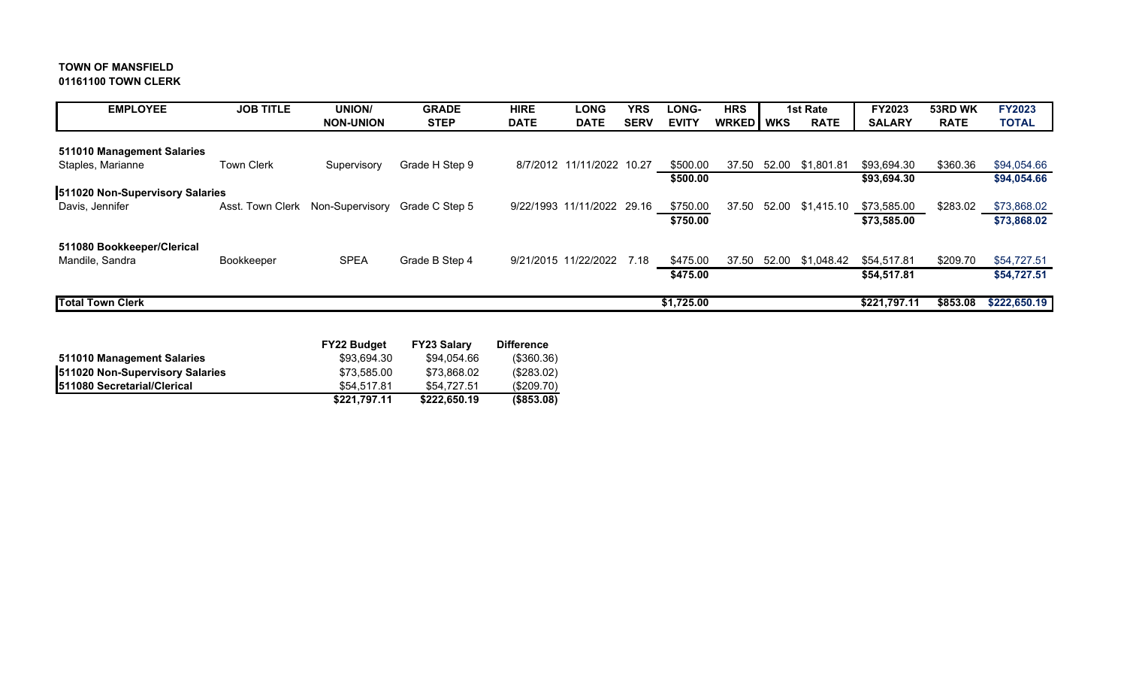# **TOWN OF MANSFIELD 01161100 TOWN CLERK**

| <b>EMPLOYEE</b>                 | <b>JOB TITLE</b>  | <b>UNION/</b>    | <b>GRADE</b>   | <b>HIRE</b>                | <b>LONG</b>               | <b>YRS</b>  | LONG-        | <b>HRS</b>  |       | 1st Rate    | <b>FY2023</b> | 53RD WK     | <b>FY2023</b> |
|---------------------------------|-------------------|------------------|----------------|----------------------------|---------------------------|-------------|--------------|-------------|-------|-------------|---------------|-------------|---------------|
|                                 |                   | <b>NON-UNION</b> | <b>STEP</b>    | <b>DATE</b>                | <b>DATE</b>               | <b>SERV</b> | <b>EVITY</b> | WRKED   WKS |       | <b>RATE</b> | <b>SALARY</b> | <b>RATE</b> | <b>TOTAL</b>  |
|                                 |                   |                  |                |                            |                           |             |              |             |       |             |               |             |               |
| 511010 Management Salaries      |                   |                  |                |                            |                           |             |              |             |       |             |               |             |               |
| Staples, Marianne               | <b>Town Clerk</b> | Supervisory      | Grade H Step 9 |                            | 8/7/2012 11/11/2022 10.27 |             | \$500.00     | 37.50       | 52.00 | \$1,801.81  | \$93,694.30   | \$360.36    | \$94,054.66   |
|                                 |                   |                  |                |                            |                           |             | \$500.00     |             |       |             | \$93,694.30   |             | \$94,054.66   |
| 511020 Non-Supervisory Salaries |                   |                  |                |                            |                           |             |              |             |       |             |               |             |               |
| Davis, Jennifer                 | Asst. Town Clerk  | Non-Supervisory  | Grade C Step 5 | 9/22/1993 11/11/2022 29.16 |                           |             | \$750.00     | 37.50       | 52.00 | \$1,415.10  | \$73,585.00   | \$283.02    | \$73,868.02   |
|                                 |                   |                  |                |                            |                           |             | \$750.00     |             |       |             | \$73,585.00   |             | \$73,868.02   |
|                                 |                   |                  |                |                            |                           |             |              |             |       |             |               |             |               |
| 511080 Bookkeeper/Clerical      |                   |                  |                |                            |                           |             |              |             |       |             |               |             |               |
| Mandile, Sandra                 | Bookkeeper        | <b>SPEA</b>      | Grade B Step 4 | 9/21/2015 11/22/2022       |                           | 7.18        | \$475.00     | 37.50       | 52.00 | \$1,048.42  | \$54.517.81   | \$209.70    | \$54,727.51   |
|                                 |                   |                  |                |                            |                           |             | \$475.00     |             |       |             | \$54,517.81   |             | \$54,727.51   |
|                                 |                   |                  |                |                            |                           |             |              |             |       |             |               |             |               |
| <b>Total Town Clerk</b>         |                   |                  |                |                            |                           |             | \$1,725.00   |             |       |             | \$221,797.11  | \$853.08    | \$222,650.19  |
|                                 |                   |                  |                |                            |                           |             |              |             |       |             |               |             |               |

|                                     | <b>FY22 Budget</b> | <b>FY23 Salary</b> | <b>Difference</b> |
|-------------------------------------|--------------------|--------------------|-------------------|
| 511010 Management Salaries          | \$93,694.30        | \$94.054.66        | (\$360.36)        |
| 511020 Non-Supervisory Salaries     | \$73.585.00        | \$73.868.02        | (\$283.02)        |
| <b>1511080 Secretarial/Clerical</b> | \$54,517.81        | \$54.727.51        | (\$209.70)        |
|                                     | \$221,797.11       | \$222,650.19       | $($ \$853.08)     |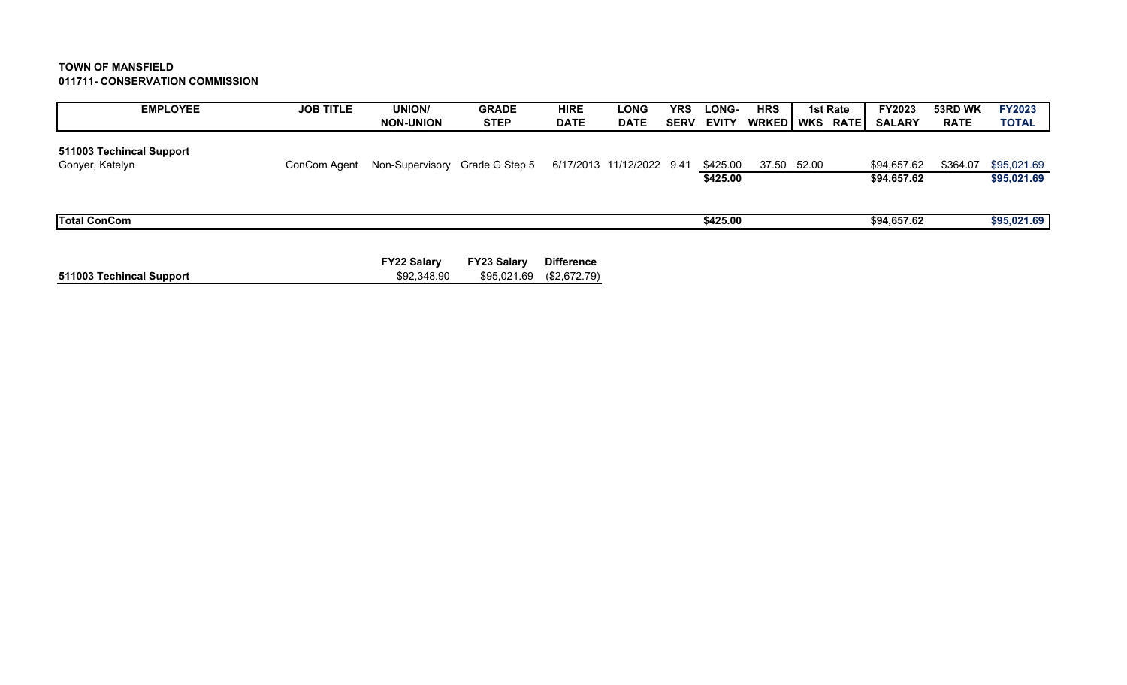## **TOWN OF MANSFIELD 011711- CONSERVATION COMMISSION**

| <b>EMPLOYEE</b>                             | <b>JOB TITLE</b> | <b>UNION/</b>                  | <b>GRADE</b>       | <b>HIRE</b>       | <b>LONG</b>               | <b>YRS</b>  | <b>LONG-</b> | <b>HRS</b>     | 1st Rate | FY2023        | 53RD WK     | <b>FY2023</b> |
|---------------------------------------------|------------------|--------------------------------|--------------------|-------------------|---------------------------|-------------|--------------|----------------|----------|---------------|-------------|---------------|
|                                             |                  | <b>NON-UNION</b>               | <b>STEP</b>        | <b>DATE</b>       | <b>DATE</b>               | <b>SERV</b> | <b>EVITY</b> | WRKED WKS RATE |          | <b>SALARY</b> | <b>RATE</b> | <b>TOTAL</b>  |
| 511003 Techincal Support<br>Gonyer, Katelyn | ConCom Agent     | Non-Supervisory Grade G Step 5 |                    |                   | 6/17/2013 11/12/2022 9.41 |             | \$425.00     | 37.50 52.00    |          | \$94.657.62   | \$364.07    | \$95,021.69   |
|                                             |                  |                                |                    |                   |                           |             | \$425.00     |                |          | \$94,657.62   |             | \$95,021.69   |
|                                             |                  |                                |                    |                   |                           |             |              |                |          |               |             |               |
| <b>Total ConCom</b>                         |                  |                                |                    |                   |                           |             | \$425.00     |                |          | \$94,657.62   |             | \$95,021.69   |
|                                             |                  |                                |                    |                   |                           |             |              |                |          |               |             |               |
|                                             |                  | <b>FY22 Salary</b>             | <b>FY23 Salary</b> | <b>Difference</b> |                           |             |              |                |          |               |             |               |
| 511003 Techincal Support                    |                  | \$92,348.90                    | \$95,021.69        | (\$2,672.79)      |                           |             |              |                |          |               |             |               |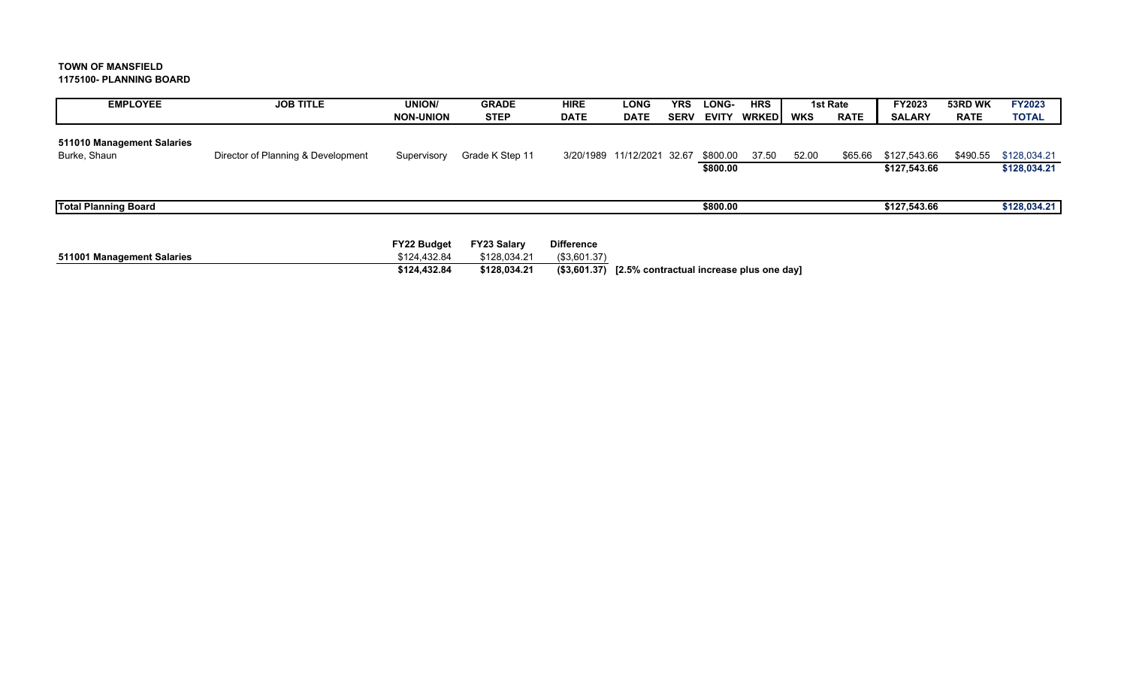#### **TOWN OF MANSFIELD 1175100- PLANNING BOARD**

| <b>EMPLOYEE</b>                            | <b>JOB TITLE</b>                   | <b>UNION/</b>    | <b>GRADE</b>    | <b>HIRE</b> | <b>LONG</b>                | <b>YRS</b>  | LONG-                | <b>HRS</b> |       | 1st Rate    | <b>FY2023</b>                | 53RD WK     | <b>FY2023</b>                |
|--------------------------------------------|------------------------------------|------------------|-----------------|-------------|----------------------------|-------------|----------------------|------------|-------|-------------|------------------------------|-------------|------------------------------|
|                                            |                                    | <b>NON-UNION</b> | <b>STEP</b>     | <b>DATE</b> | <b>DATE</b>                | <b>SERV</b> | <b>EVITY</b>         | WRKEDI     | WKS   | <b>RATE</b> | <b>SALARY</b>                | <b>RATE</b> | <b>TOTAL</b>                 |
| 511010 Management Salaries<br>Burke, Shaun | Director of Planning & Development | Supervisory      | Grade K Step 11 |             | 3/20/1989 11/12/2021 32.67 |             | \$800.00<br>\$800.00 | 37.50      | 52.00 | \$65.66     | \$127,543.66<br>\$127,543.66 | \$490.55    | \$128,034.21<br>\$128,034.21 |
| <b>Total Planning Board</b>                |                                    |                  |                 |             |                            |             | \$800.00             |            |       |             | \$127,543.66                 |             | \$128,034.21                 |

|                            | FY22 Budget  | FY23 Salarv  | <b>Difference</b> |                                                               |
|----------------------------|--------------|--------------|-------------------|---------------------------------------------------------------|
| 511001 Management Salaries | \$124.432.84 | \$128.034.21 | (S3.601.37)       |                                                               |
|                            | \$124.432.84 | \$128.034.21 |                   | $($ \$3,601.37) $\,$ [2.5% contractual increase plus one day] |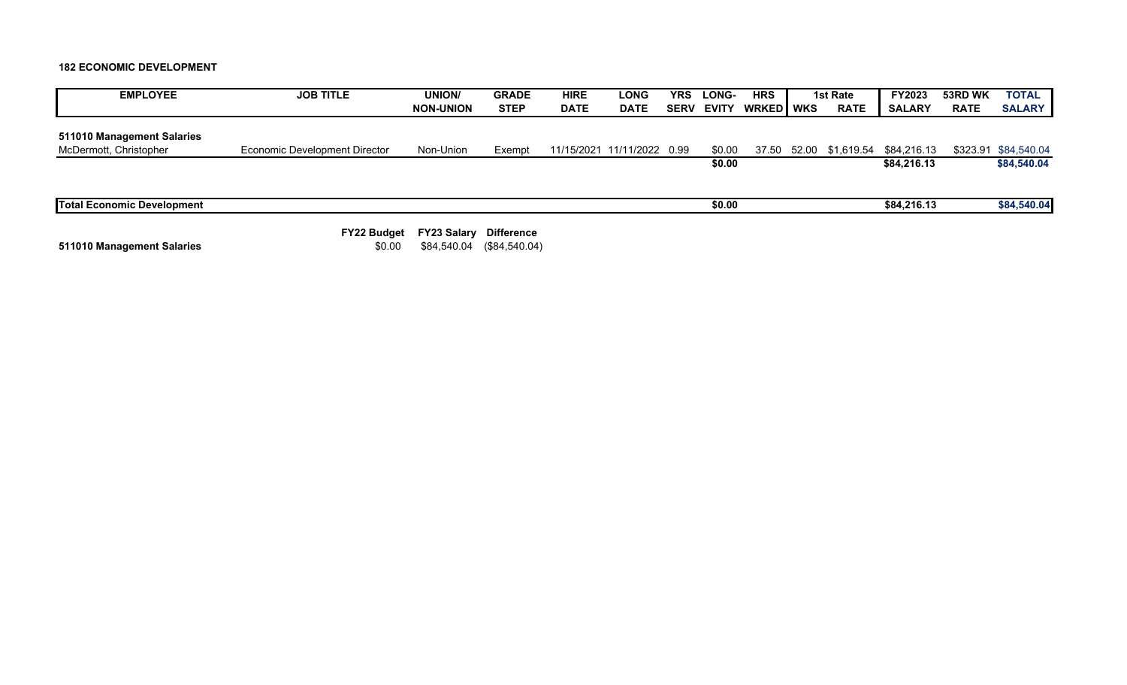**182 ECONOMIC DEVELOPMENT**

| <b>EMPLOYEE</b>                   | <b>JOB TITLE</b>              | <b>UNION/</b>      | <b>GRADE</b>      | <b>HIRE</b> | <b>LONG</b>                | YRS         | LONG-        | <b>HRS</b>       | 1st Rate    | <b>FY2023</b>                | 53RD WK     | <b>TOTAL</b>         |
|-----------------------------------|-------------------------------|--------------------|-------------------|-------------|----------------------------|-------------|--------------|------------------|-------------|------------------------------|-------------|----------------------|
|                                   |                               | <b>NON-UNION</b>   | <b>STEP</b>       | <b>DATE</b> | <b>DATE</b>                | <b>SERV</b> | <b>EVITY</b> | <b>WRKED WKS</b> | <b>RATE</b> | <b>SALARY</b>                | <b>RATE</b> | <b>SALARY</b>        |
|                                   |                               |                    |                   |             |                            |             |              |                  |             |                              |             |                      |
| 511010 Management Salaries        |                               |                    |                   |             |                            |             |              |                  |             |                              |             |                      |
| McDermott, Christopher            | Economic Development Director | Non-Union          | Exempt            |             | 11/15/2021 11/11/2022 0.99 |             | \$0.00       | 37.50            |             | 52.00 \$1,619.54 \$84,216.13 |             | \$323.91 \$84,540.04 |
|                                   |                               |                    |                   |             |                            |             | \$0.00       |                  |             | \$84,216.13                  |             | \$84,540.04          |
|                                   |                               |                    |                   |             |                            |             |              |                  |             |                              |             |                      |
| <b>Total Economic Development</b> |                               |                    |                   |             |                            |             | \$0.00       |                  |             | \$84,216.13                  |             | \$84,540.04          |
|                                   | <b>FY22 Budget</b>            | <b>FY23 Salary</b> | <b>Difference</b> |             |                            |             |              |                  |             |                              |             |                      |

**511010 Management Salaries 10.00 \$84,540.04 \$0.00 \$84,540.04** (\$84,540.04)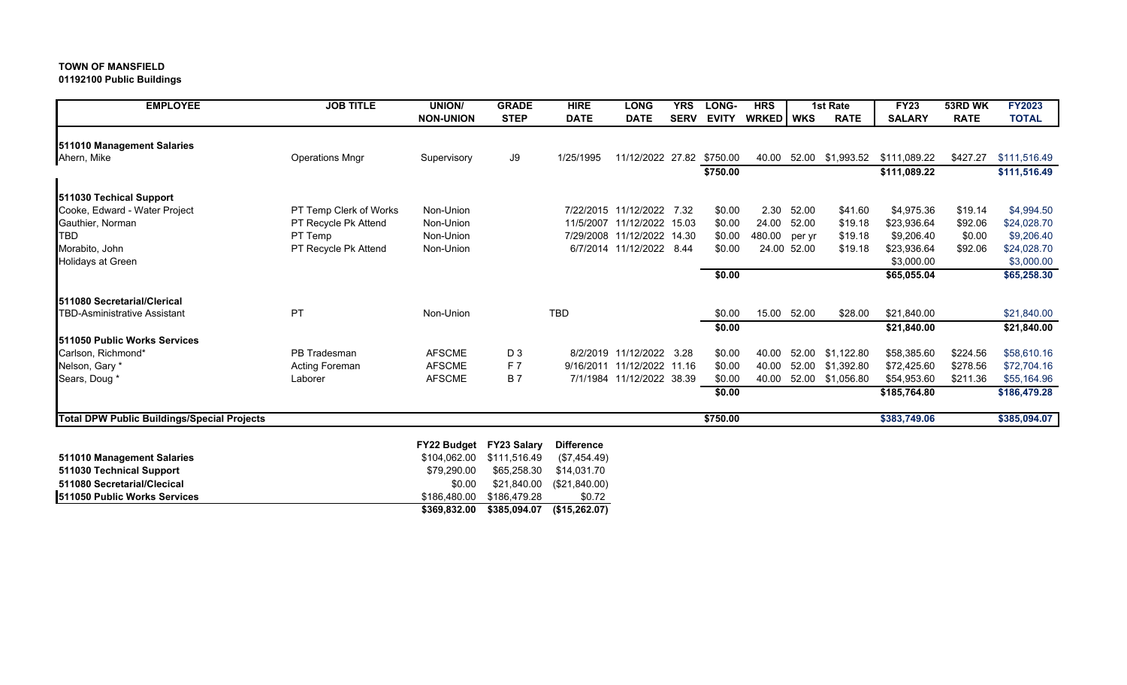**01192100 Public Buildings**

| <b>EMPLOYEE</b>                             | <b>JOB TITLE</b>       | UNION/           | <b>GRADE</b>       | <b>HIRE</b>       | <b>LONG</b>                | <b>YRS</b>  | LONG-        | <b>HRS</b>  | <b>1st Rate</b> |                  | <b>FY23</b>   | 53RD WK     | <b>FY2023</b> |
|---------------------------------------------|------------------------|------------------|--------------------|-------------------|----------------------------|-------------|--------------|-------------|-----------------|------------------|---------------|-------------|---------------|
|                                             |                        | <b>NON-UNION</b> | <b>STEP</b>        | <b>DATE</b>       | <b>DATE</b>                | <b>SERV</b> | <b>EVITY</b> | WRKED   WKS |                 | <b>RATE</b>      | <b>SALARY</b> | <b>RATE</b> | <b>TOTAL</b>  |
|                                             |                        |                  |                    |                   |                            |             |              |             |                 |                  |               |             |               |
| 511010 Management Salaries<br>Ahern, Mike   | <b>Operations Mngr</b> | Supervisory      | J9                 | 1/25/1995         | 11/12/2022 27.82           |             | \$750.00     | 40.00       |                 | 52.00 \$1,993.52 | \$111,089.22  | \$427.27    | \$111,516.49  |
|                                             |                        |                  |                    |                   |                            |             | \$750.00     |             |                 |                  | \$111,089.22  |             | \$111,516.49  |
|                                             |                        |                  |                    |                   |                            |             |              |             |                 |                  |               |             |               |
| 511030 Techical Support                     |                        |                  |                    |                   |                            |             |              |             |                 |                  |               |             |               |
| Cooke, Edward - Water Project               | PT Temp Clerk of Works | Non-Union        |                    |                   | 7/22/2015 11/12/2022 7.32  |             | \$0.00       | 2.30        | 52.00           | \$41.60          | \$4,975.36    | \$19.14     | \$4,994.50    |
| Gauthier, Norman                            | PT Recycle Pk Attend   | Non-Union        |                    |                   | 11/5/2007 11/12/2022 15.03 |             | \$0.00       | 24.00       | 52.00           | \$19.18          | \$23,936.64   | \$92.06     | \$24,028.70   |
| <b>TBD</b>                                  | PT Temp                | Non-Union        |                    |                   | 7/29/2008 11/12/2022 14.30 |             | \$0.00       | 480.00      | per yr          | \$19.18          | \$9,206.40    | \$0.00      | \$9,206.40    |
| Morabito, John                              | PT Recycle Pk Attend   | Non-Union        |                    |                   | 6/7/2014 11/12/2022 8.44   |             | \$0.00       |             | 24.00 52.00     | \$19.18          | \$23,936.64   | \$92.06     | \$24,028.70   |
| <b>Holidays at Green</b>                    |                        |                  |                    |                   |                            |             |              |             |                 |                  | \$3,000.00    |             | \$3,000.00    |
|                                             |                        |                  |                    |                   |                            |             | \$0.00       |             |                 |                  | \$65,055.04   |             | \$65,258.30   |
| <b>1511080 Secretarial/Clerical</b>         |                        |                  |                    |                   |                            |             |              |             |                 |                  |               |             |               |
| <b>TBD-Asministrative Assistant</b>         | <b>PT</b>              | Non-Union        |                    | <b>TBD</b>        |                            |             | \$0.00       | 15.00       | 52.00           | \$28.00          | \$21,840.00   |             | \$21,840.00   |
|                                             |                        |                  |                    |                   |                            |             | \$0.00       |             |                 |                  | \$21,840.00   |             | \$21,840.00   |
| <b>1511050 Public Works Services</b>        |                        |                  |                    |                   |                            |             |              |             |                 |                  |               |             |               |
| Carlson, Richmond*                          | PB Tradesman           | <b>AFSCME</b>    | D <sub>3</sub>     |                   | 8/2/2019 11/12/2022 3.28   |             | \$0.00       | 40.00       | 52.00           | \$1,122.80       | \$58,385.60   | \$224.56    | \$58,610.16   |
| Nelson, Gary *                              | <b>Acting Foreman</b>  | <b>AFSCME</b>    | F7                 |                   | 9/16/2011 11/12/2022 11.16 |             | \$0.00       | 40.00       |                 | 52.00 \$1,392.80 | \$72,425.60   | \$278.56    | \$72,704.16   |
| Sears, Doug *                               | Laborer                | <b>AFSCME</b>    | <b>B7</b>          |                   | 7/1/1984 11/12/2022 38.39  |             | \$0.00       | 40.00       |                 | 52.00 \$1,056.80 | \$54,953.60   | \$211.36    | \$55,164.96   |
|                                             |                        |                  |                    |                   |                            |             | \$0.00       |             |                 |                  | \$185,764.80  |             | \$186,479.28  |
|                                             |                        |                  |                    |                   |                            |             |              |             |                 |                  |               |             |               |
| Total DPW Public Buildings/Special Projects |                        |                  |                    |                   |                            |             | \$750.00     |             |                 |                  | \$383,749.06  |             | \$385,094.07  |
|                                             |                        | FY22 Budget      | <b>FY23 Salary</b> | <b>Difference</b> |                            |             |              |             |                 |                  |               |             |               |
| 511010 Management Salaries                  |                        | \$104.062.00     | \$111,516.49       | (\$7,454.49)      |                            |             |              |             |                 |                  |               |             |               |
| 511030 Technical Support                    |                        | \$79,290.00      | \$65,258.30        | \$14,031.70       |                            |             |              |             |                 |                  |               |             |               |
| 511080 Secretarial/Clecical                 |                        | \$0.00           | \$21,840.00        | (\$21,840.00)     |                            |             |              |             |                 |                  |               |             |               |
| 511050 Public Works Services                |                        | \$186,480.00     | \$186,479.28       | \$0.72            |                            |             |              |             |                 |                  |               |             |               |
|                                             |                        | \$369.832.00     | \$385.094.07       | (\$15,262.07)     |                            |             |              |             |                 |                  |               |             |               |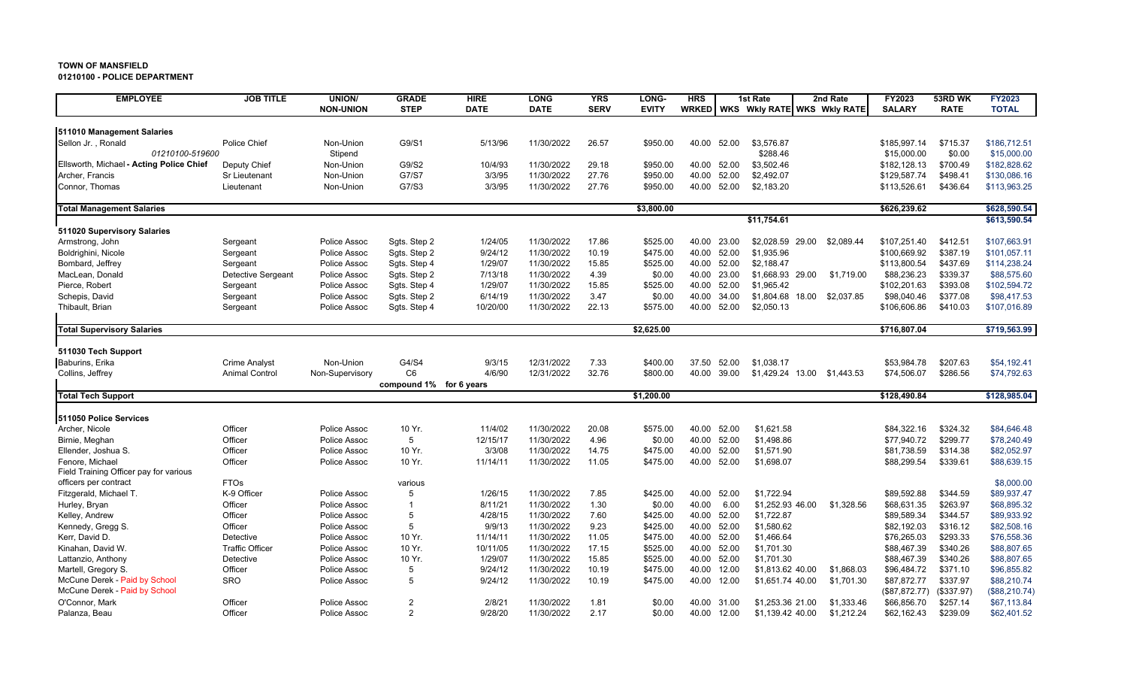**01210100 - POLICE DEPARTMENT**

| <b>EMPLOYEE</b>                                  | <b>JOB TITLE</b>       | <b>UNION/</b>                | <b>GRADE</b>            | <b>HIRE</b>        | <b>LONG</b>              | <b>YRS</b>     | LONG-                | <b>HRS</b>     |                | 1st Rate                       | 2nd Rate   | FY2023                     | 53RD WK              | <b>FY2023</b>              |
|--------------------------------------------------|------------------------|------------------------------|-------------------------|--------------------|--------------------------|----------------|----------------------|----------------|----------------|--------------------------------|------------|----------------------------|----------------------|----------------------------|
|                                                  |                        | <b>NON-UNION</b>             | <b>STEP</b>             | <b>DATE</b>        | <b>DATE</b>              | <b>SERV</b>    | <b>EVITY</b>         | <b>WRKED</b>   |                | WKS WKIY RATE WKS WKIY RATE    |            | <b>SALARY</b>              | <b>RATE</b>          | <b>TOTAL</b>               |
|                                                  |                        |                              |                         |                    |                          |                |                      |                |                |                                |            |                            |                      |                            |
| 511010 Management Salaries<br>Sellon Jr., Ronald | Police Chief           | Non-Union                    | G9/S1                   | 5/13/96            | 11/30/2022               | 26.57          | \$950.00             | 40.00          | 52.00          | \$3.576.87                     |            | \$185,997.14               | \$715.37             | \$186,712.51               |
| 01210100-519600                                  |                        | Stipend                      |                         |                    |                          |                |                      |                |                | \$288.46                       |            | \$15,000.00                | \$0.00               | \$15,000.00                |
| Ellsworth, Michael - Acting Police Chief         | Deputy Chief           | Non-Union                    | G9/S2                   | 10/4/93            | 11/30/2022               | 29.18          | \$950.00             | 40.00          | 52.00          | \$3,502.46                     |            | \$182,128.13               | \$700.49             | \$182,828.62               |
| Archer, Francis                                  | <b>Sr Lieutenant</b>   | Non-Union                    | G7/S7                   | 3/3/95             | 11/30/2022               | 27.76          | \$950.00             | 40.00          | 52.00          | \$2.492.07                     |            | \$129,587.74               | \$498.41             | \$130.086.16               |
| Connor, Thomas                                   | Lieutenant             | Non-Union                    | G7/S3                   | 3/3/95             | 11/30/2022               | 27.76          | \$950.00             | 40.00          | 52.00          | \$2,183.20                     |            | \$113,526.61               | \$436.64             | \$113,963.25               |
|                                                  |                        |                              |                         |                    |                          |                |                      |                |                |                                |            |                            |                      |                            |
| <b>Total Management Salaries</b>                 |                        |                              |                         |                    |                          |                | \$3,800.00           |                |                |                                |            | \$626,239.62               |                      | \$628,590.54               |
|                                                  |                        |                              |                         |                    |                          |                |                      |                |                | \$11,754.61                    |            |                            |                      | \$613,590.54               |
| 511020 Supervisory Salaries                      |                        |                              |                         |                    |                          |                |                      |                |                |                                |            |                            |                      |                            |
| Armstrong, John                                  | Sergeant               | Police Assoc                 | Sgts. Step 2            | 1/24/05            | 11/30/2022               | 17.86          | \$525.00             | 40.00          | 23.00          | \$2,028.59 29.00               | \$2,089.44 | \$107,251.40               | \$412.51             | \$107,663.91               |
| Boldrighini, Nicole                              | Sergeant               | Police Assoc                 | Sgts. Step 2            | 9/24/12            | 11/30/2022               | 10.19          | \$475.00             | 40.00          | 52.00          | \$1,935.96                     |            | \$100,669.92               | \$387.19             | \$101,057.11               |
| Bombard, Jeffrey                                 | Sergeant               | Police Assoc                 | Sgts. Step 4            | 1/29/07            | 11/30/2022               | 15.85          | \$525.00             | 40.00          | 52.00          | \$2,188.47                     |            | \$113,800.54               | \$437.69             | \$114,238.24               |
| MacLean, Donald                                  | Detective Sergeant     | Police Assoc                 | Sgts. Step 2            | 7/13/18            | 11/30/2022               | 4.39           | \$0.00               | 40.00          | 23.00          | \$1.668.93 29.00               | \$1.719.00 | \$88,236.23                | \$339.37             | \$88,575.60                |
| Pierce, Robert                                   | Sergeant               | Police Assoc                 | Sqts. Step 4            | 1/29/07            | 11/30/2022               | 15.85          | \$525.00             | 40.00          | 52.00          | \$1,965.42                     |            | \$102,201.63               | \$393.08             | \$102,594.72               |
| Schepis, David                                   | Sergeant               | Police Assoc                 | Sgts. Step 2            | 6/14/19            | 11/30/2022               | 3.47           | \$0.00               | 40.00          | 34.00          | \$1,804.68<br>18.00            | \$2,037.85 | \$98,040.46                | \$377.08             | \$98,417.53                |
| Thibault, Brian                                  | Sergeant               | Police Assoc                 | Sgts. Step 4            | 10/20/00           | 11/30/2022               | 22.13          | \$575.00             | 40.00          | 52.00          | \$2,050.13                     |            | \$106,606.86               | \$410.03             | \$107,016.89               |
| <b>Total Supervisory Salaries</b>                |                        |                              |                         |                    |                          |                | \$2,625.00           |                |                |                                |            | \$716,807.04               |                      | \$719,563.99               |
|                                                  |                        |                              |                         |                    |                          |                |                      |                |                |                                |            |                            |                      |                            |
| 511030 Tech Support                              |                        |                              |                         |                    |                          |                |                      |                |                |                                |            |                            |                      |                            |
| Baburins, Erika                                  | <b>Crime Analyst</b>   | Non-Union                    | G4/S4                   | 9/3/15             | 12/31/2022               | 7.33           | \$400.00             | 37.50          | 52.00          | \$1,038.17                     |            | \$53,984.78                | \$207.63             | \$54,192.41                |
| Collins, Jeffrey                                 | <b>Animal Control</b>  | Non-Supervisory              | C <sub>6</sub>          | 4/6/90             | 12/31/2022               | 32.76          | \$800.00             | 40.00          | 39.00          | \$1,429.24 13.00               | \$1,443.53 | \$74,506.07                | \$286.56             | \$74,792.63                |
|                                                  |                        |                              | compound 1% for 6 years |                    |                          |                |                      |                |                |                                |            |                            |                      |                            |
| <b>Total Tech Support</b>                        |                        |                              |                         |                    |                          |                | \$1,200.00           |                |                |                                |            | \$128,490.84               |                      | \$128,985.04               |
|                                                  |                        |                              |                         |                    |                          |                |                      |                |                |                                |            |                            |                      |                            |
| 511050 Police Services                           |                        |                              |                         |                    |                          |                |                      |                |                |                                |            |                            |                      |                            |
| Archer, Nicole                                   | Officer                | Police Assoc                 | 10 Yr.                  | 11/4/02            | 11/30/2022               | 20.08          | \$575.00             | 40.00          | 52.00          | \$1.621.58                     |            | \$84,322.16                | \$324.32             | \$84.646.48                |
| Birnie, Meghan                                   | Officer                | Police Assoc                 | 5                       | 12/15/17           | 11/30/2022               | 4.96           | \$0.00               | 40.00          | 52.00          | \$1,498.86                     |            | \$77,940.72                | \$299.77             | \$78,240.49                |
| Ellender, Joshua S.                              | Officer                | Police Assoc                 | 10 Yr.                  | 3/3/08             | 11/30/2022               | 14.75          | \$475.00             | 40.00          | 52.00          | \$1,571.90                     |            | \$81,738.59                | \$314.38             | \$82,052.97                |
| Fenore, Michael                                  | Officer                | Police Assoc                 | 10 Yr.                  | 11/14/11           | 11/30/2022               | 11.05          | \$475.00             | 40.00          | 52.00          | \$1,698.07                     |            | \$88,299.54                | \$339.61             | \$88,639.15                |
| Field Training Officer pay for various           |                        |                              |                         |                    |                          |                |                      |                |                |                                |            |                            |                      |                            |
| officers per contract                            | <b>FTOs</b>            |                              | various                 |                    |                          |                |                      |                |                |                                |            |                            |                      | \$8,000.00                 |
| Fitzgerald, Michael T.                           | K-9 Officer            | Police Assoc                 | 5                       | 1/26/15            | 11/30/2022               | 7.85           | \$425.00             | 40.00          | 52.00          | \$1,722.94                     |            | \$89,592.88                | \$344.59             | \$89,937.47                |
| Hurley, Bryan                                    | Officer                | Police Assoc                 | $\overline{1}$          | 8/11/21            | 11/30/2022               | 1.30           | \$0.00               | 40.00          | 6.00           | \$1,252.93 46.00               | \$1,328.56 | \$68,631.35                | \$263.97             | \$68,895.32                |
| Kelley, Andrew                                   | Officer<br>Officer     | Police Assoc                 | 5<br>5                  | 4/28/15            | 11/30/2022<br>11/30/2022 | 7.60           | \$425.00<br>\$425.00 | 40.00<br>40.00 | 52.00<br>52.00 | \$1,722.87<br>\$1,580.62       |            | \$89,589.34                | \$344.57<br>\$316.12 | \$89,933.92                |
| Kennedy, Gregg S.                                |                        | Police Assoc                 |                         | 9/9/13             |                          | 9.23           |                      |                |                |                                |            | \$82,192.03                |                      | \$82,508.16                |
| Kerr, David D.                                   | Detective              | Police Assoc                 | 10 Yr.                  | 11/14/11           | 11/30/2022               | 11.05          | \$475.00             | 40.00          | 52.00          | \$1,466.64                     |            | \$76,265.03                | \$293.33             | \$76,558.36                |
| Kinahan, David W.                                | <b>Traffic Officer</b> | Police Assoc                 | 10 Yr.                  | 10/11/05           | 11/30/2022               | 17.15          | \$525.00             | 40.00          | 52.00          | \$1,701.30                     |            | \$88,467.39                | \$340.26             | \$88,807.65                |
| Lattanzio, Anthony                               | Detective<br>Officer   | Police Assoc<br>Police Assoc | 10 Yr.<br>5             | 1/29/07<br>9/24/12 | 11/30/2022<br>11/30/2022 | 15.85<br>10.19 | \$525.00<br>\$475.00 | 40.00<br>40.00 | 52.00<br>12.00 | \$1,701.30<br>\$1.813.62 40.00 |            | \$88,467.39<br>\$96.484.72 | \$340.26<br>\$371.10 | \$88,807.65<br>\$96.855.82 |
| Martell, Gregory S.                              |                        |                              | 5                       |                    |                          |                |                      |                |                |                                | \$1,868.03 |                            |                      |                            |
| McCune Derek - Paid by School                    | <b>SRO</b>             | Police Assoc                 |                         | 9/24/12            | 11/30/2022               | 10.19          | \$475.00             | 40.00          | 12.00          | \$1,651.74 40.00               | \$1,701.30 | \$87,872.77                | \$337.97             | \$88,210.74                |
| McCune Derek - Paid by School                    |                        |                              | $\overline{2}$          |                    |                          |                |                      |                |                |                                |            | (\$87,872.77)              | (\$337.97)           | (\$88,210.74)              |
| O'Connor, Mark                                   | Officer                | Police Assoc                 | 2                       | 2/8/21             | 11/30/2022               | 1.81<br>2.17   | \$0.00               | 40.00          | 31.00          | \$1,253.36 21.00               | \$1,333.46 | \$66,856.70                | \$257.14             | \$67,113.84                |
| Palanza, Beau                                    | Officer                | Police Assoc                 |                         | 9/28/20            | 11/30/2022               |                | \$0.00               | 40.00          | 12.00          | \$1,139.42 40.00               | \$1,212.24 | \$62,162.43                | \$239.09             | \$62,401.52                |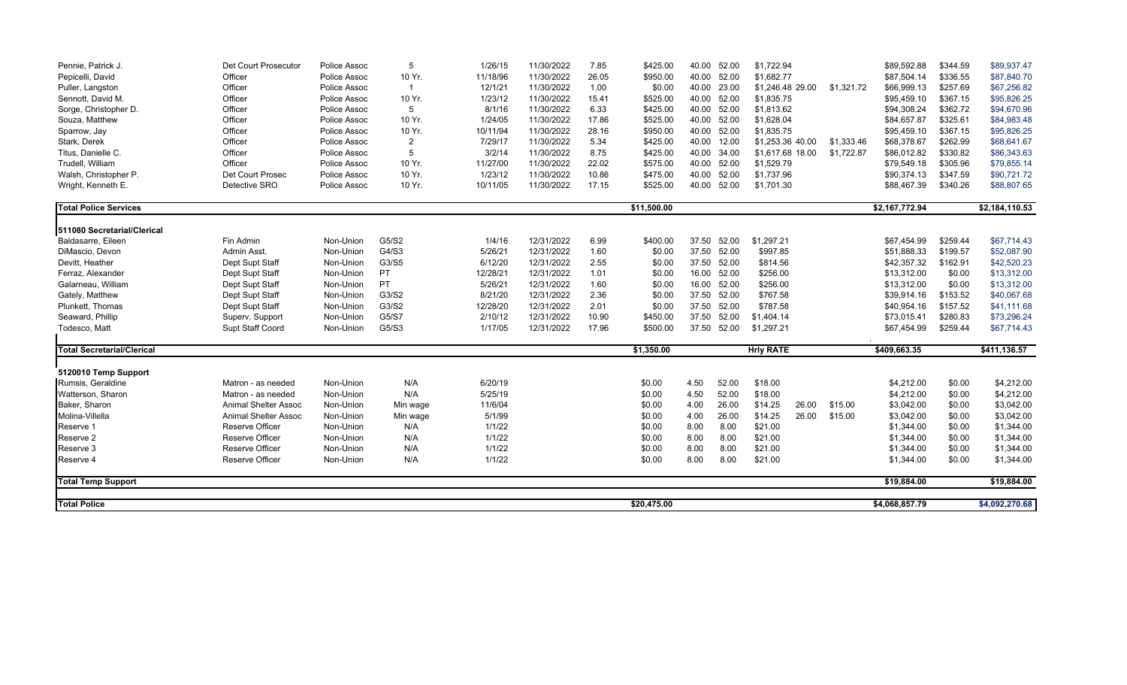| Pennie, Patrick J.                | Det Court Prosecutor        | Police Assoc | 5              | 1/26/15  | 11/30/2022 | 7.85  | \$425.00    | 40.00       | 52.00 | \$1,722.94       |       |            | \$89,592.88    | \$344.59 | \$89,937.47    |
|-----------------------------------|-----------------------------|--------------|----------------|----------|------------|-------|-------------|-------------|-------|------------------|-------|------------|----------------|----------|----------------|
| Pepicelli, David                  | Officer                     | Police Assoc | 10 Yr.         | 11/18/96 | 11/30/2022 | 26.05 | \$950.00    | 40.00       | 52.00 | \$1,682.77       |       |            | \$87,504.14    | \$336.55 | \$87,840.70    |
| Puller, Langston                  | Officer                     | Police Assoc | $\mathbf{1}$   | 12/1/21  | 11/30/2022 | 1.00  | \$0.00      | 40.00       | 23.00 | \$1,246.48 29.00 |       | \$1,321.72 | \$66,999.13    | \$257.69 | \$67,256.82    |
| Sennott, David M.                 | Officer                     | Police Assoc | 10 Yr.         | 1/23/12  | 11/30/2022 | 15.41 | \$525.00    | 40.00       | 52.00 | \$1,835.75       |       |            | \$95,459.10    | \$367.15 | \$95,826.25    |
| Sorge, Christopher D.             | Officer                     | Police Assoc | 5              | 8/1/16   | 11/30/2022 | 6.33  | \$425.00    | 40.00       | 52.00 | \$1,813.62       |       |            | \$94,308.24    | \$362.72 | \$94,670.96    |
| Souza, Matthew                    | Officer                     | Police Assoc | 10 Yr.         | 1/24/05  | 11/30/2022 | 17.86 | \$525.00    | 40.00       | 52.00 | \$1,628.04       |       |            | \$84,657.87    | \$325.61 | \$84,983.48    |
| Sparrow, Jay                      | Officer                     | Police Assoc | 10 Yr.         | 10/11/94 | 11/30/2022 | 28.16 | \$950.00    | 40.00       | 52.00 | \$1,835.75       |       |            | \$95,459.10    | \$367.15 | \$95,826.25    |
| Stark, Derek                      | Officer                     | Police Assoc | $\overline{2}$ | 7/29/17  | 11/30/2022 | 5.34  | \$425.00    | 40.00       | 12.00 | \$1,253.36 40.00 |       | \$1,333.46 | \$68,378.67    | \$262.99 | \$68,641.67    |
| Titus, Danielle C.                | Officer                     | Police Assoc | 5              | 3/2/14   | 11/30/2022 | 8.75  | \$425.00    | 40.00       | 34.00 | \$1,617.68 18.00 |       | \$1,722.87 | \$86,012.82    | \$330.82 | \$86,343.63    |
| Trudell, William                  | Officer                     | Police Assoc | 10 Yr.         | 11/27/00 | 11/30/2022 | 22.02 | \$575.00    | 40.00       | 52.00 | \$1,529.79       |       |            | \$79,549.18    | \$305.96 | \$79,855.14    |
| Walsh, Christopher P.             | Det Court Prosec            | Police Assoc | 10 Yr.         | 1/23/12  | 11/30/2022 | 10.86 | \$475.00    | 40.00       | 52.00 | \$1,737.96       |       |            | \$90,374.13    | \$347.59 | \$90,721.72    |
| Wright, Kenneth E.                | Detective SRO               | Police Assoc | 10 Yr.         | 10/11/05 | 11/30/2022 | 17.15 | \$525.00    | 40.00       | 52.00 | \$1,701.30       |       |            | \$88,467.39    | \$340.26 | \$88,807.65    |
| <b>Total Police Services</b>      |                             |              |                |          |            |       | \$11,500.00 |             |       |                  |       |            | \$2,167,772.94 |          | \$2,184,110.53 |
| 511080 Secretarial/Clerical       |                             |              |                |          |            |       |             |             |       |                  |       |            |                |          |                |
| Baldasarre, Eileen                | Fin Admin                   | Non-Union    | G5/S2          | 1/4/16   | 12/31/2022 | 6.99  | \$400.00    | 37.50       | 52.00 | \$1,297.21       |       |            | \$67,454.99    | \$259.44 | \$67,714.43    |
| DiMascio, Devon                   | Admin Asst.                 | Non-Union    | G4/S3          | 5/26/21  | 12/31/2022 | 1.60  | \$0.00      | 37.50       | 52.00 | \$997.85         |       |            | \$51,888.33    | \$199.57 | \$52,087.90    |
| Devitt, Heather                   | Dept Supt Staff             | Non-Union    | G3/S5          | 6/12/20  | 12/31/2022 | 2.55  | \$0.00      | 37.50       | 52.00 | \$814.56         |       |            | \$42,357.32    | \$162.91 | \$42,520.23    |
| Ferraz, Alexander                 | Dept Supt Staff             | Non-Union    | PT.            | 12/28/21 | 12/31/2022 | 1.01  | \$0.00      | 16.00       | 52.00 | \$256.00         |       |            | \$13,312.00    | \$0.00   | \$13,312.00    |
| Galarneau, William                | Dept Supt Staff             | Non-Union    | <b>PT</b>      | 5/26/21  | 12/31/2022 | 1.60  | \$0.00      | 16.00       | 52.00 | \$256.00         |       |            | \$13,312.00    | \$0.00   | \$13,312.00    |
| Gately, Matthew                   | Dept Supt Staff             | Non-Union    | G3/S2          | 8/21/20  | 12/31/2022 | 2.36  | \$0.00      | 37.50       | 52.00 | \$767.58         |       |            | \$39,914.16    | \$153.52 | \$40,067.68    |
| Plunkett, Thomas                  | Dept Supt Staff             | Non-Union    | G3/S2          | 12/28/20 | 12/31/2022 | 2.01  | \$0.00      | 37.50       | 52.00 | \$787.58         |       |            | \$40,954.16    | \$157.52 | \$41,111.68    |
| Seaward, Phillip                  | Superv. Support             | Non-Union    | G5/S7          | 2/10/12  | 12/31/2022 | 10.90 | \$450.00    | 37.50       | 52.00 | \$1,404.14       |       |            | \$73,015.41    | \$280.83 | \$73,296.24    |
| Todesco, Matt                     | Supt Staff Coord            | Non-Union    | G5/S3          | 1/17/05  | 12/31/2022 | 17.96 | \$500.00    | 37.50 52.00 |       | \$1,297.21       |       |            | \$67,454.99    | \$259.44 | \$67,714.43    |
| <b>Total Secretarial/Clerical</b> |                             |              |                |          |            |       | \$1,350.00  |             |       | <b>Hrly RATE</b> |       |            | \$409,663.35   |          | \$411,136.57   |
| 5120010 Temp Support              |                             |              |                |          |            |       |             |             |       |                  |       |            |                |          |                |
| Rumsis, Geraldine                 | Matron - as needed          | Non-Union    | N/A            | 6/20/19  |            |       | \$0.00      | 4.50        | 52.00 | \$18.00          |       |            | \$4,212.00     | \$0.00   | \$4,212.00     |
| Watterson, Sharon                 | Matron - as needed          | Non-Union    | N/A            | 5/25/19  |            |       | \$0.00      | 4.50        | 52.00 | \$18.00          |       |            | \$4,212.00     | \$0.00   | \$4,212.00     |
| Baker, Sharon                     | <b>Animal Shelter Assoc</b> | Non-Union    | Min wage       | 11/6/04  |            |       | \$0.00      | 4.00        | 26.00 | \$14.25          | 26.00 | \$15.00    | \$3,042.00     | \$0.00   | \$3,042.00     |
| Molina-Villella                   | <b>Animal Shelter Assoc</b> | Non-Union    | Min wage       | 5/1/99   |            |       | \$0.00      | 4.00        | 26.00 | \$14.25          | 26.00 | \$15.00    | \$3,042.00     | \$0.00   | \$3,042.00     |
| Reserve 1                         | <b>Reserve Officer</b>      | Non-Union    | N/A            | 1/1/22   |            |       | \$0.00      | 8.00        | 8.00  | \$21.00          |       |            | \$1,344.00     | \$0.00   | \$1,344.00     |
| Reserve 2                         | <b>Reserve Officer</b>      | Non-Union    | N/A            | 1/1/22   |            |       | \$0.00      | 8.00        | 8.00  | \$21.00          |       |            | \$1,344.00     | \$0.00   | \$1,344.00     |
| Reserve 3                         | Reserve Officer             | Non-Union    | N/A            | 1/1/22   |            |       | \$0.00      | 8.00        | 8.00  | \$21.00          |       |            | \$1,344.00     | \$0.00   | \$1,344.00     |
| Reserve 4                         | <b>Reserve Officer</b>      | Non-Union    | N/A            | 1/1/22   |            |       | \$0.00      | 8.00        | 8.00  | \$21.00          |       |            | \$1,344.00     | \$0.00   | \$1,344.00     |
| <b>Total Temp Support</b>         |                             |              |                |          |            |       |             |             |       |                  |       |            | \$19,884.00    |          | \$19,884.00    |
| <b>Total Police</b>               |                             |              |                |          |            |       | \$20.475.00 |             |       |                  |       |            | \$4,068,857.79 |          | \$4,092,270.68 |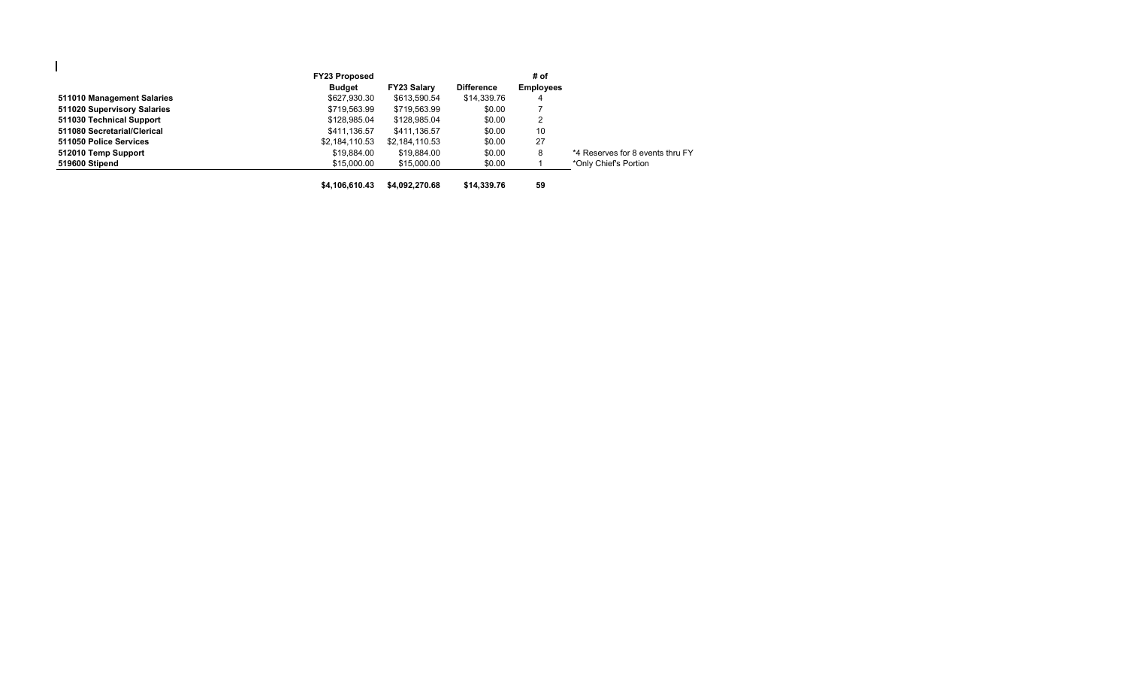|                             | <b>FY23 Proposed</b> |                    |                   | # of             |                                  |
|-----------------------------|----------------------|--------------------|-------------------|------------------|----------------------------------|
|                             | Budget               | <b>FY23 Salary</b> | <b>Difference</b> | <b>Employees</b> |                                  |
| 511010 Management Salaries  | \$627,930.30         | \$613,590.54       | \$14,339.76       | 4                |                                  |
| 511020 Supervisory Salaries | \$719,563.99         | \$719,563.99       | \$0.00            |                  |                                  |
| 511030 Technical Support    | \$128,985.04         | \$128,985.04       | \$0.00            | $\overline{2}$   |                                  |
| 511080 Secretarial/Clerical | \$411,136.57         | \$411.136.57       | \$0.00            | 10               |                                  |
| 511050 Police Services      | \$2,184,110.53       | \$2,184,110.53     | \$0.00            | 27               |                                  |
| 512010 Temp Support         | \$19,884.00          | \$19,884.00        | \$0.00            | 8                | *4 Reserves for 8 events thru FY |
| 519600 Stipend              | \$15,000.00          | \$15,000.00        | \$0.00            |                  | *Only Chief's Portion            |
|                             | \$4.106.610.43       | \$4.092.270.68     | \$14,339,76       | 59               |                                  |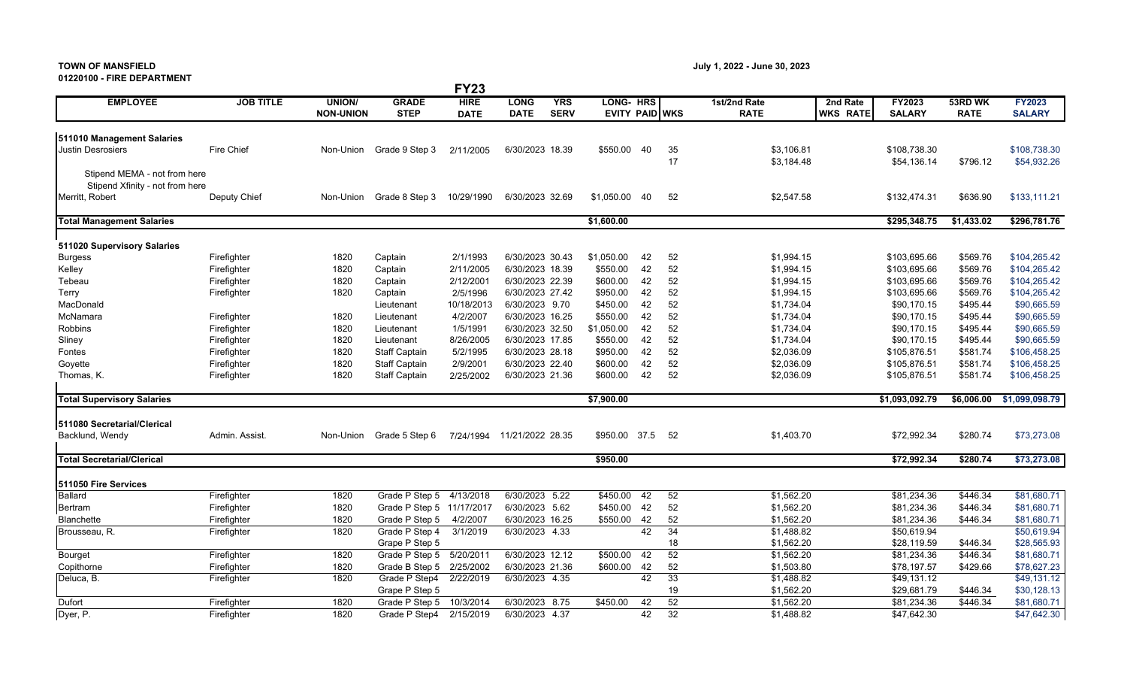# **TOWN OF MANSFIELD July 1, 2022 - June 30, 2023**

#### **01220100 - FIRE DEPARTMENT**

| VIZZVIVV - FIRE DEPARTMENT                                      |                  |                                   |                             | <b>FY23</b>                |                            |                           |                                    |     |          |                             |                             |                             |                        |                                |
|-----------------------------------------------------------------|------------------|-----------------------------------|-----------------------------|----------------------------|----------------------------|---------------------------|------------------------------------|-----|----------|-----------------------------|-----------------------------|-----------------------------|------------------------|--------------------------------|
| <b>EMPLOYEE</b>                                                 | <b>JOB TITLE</b> | <b>UNION/</b><br><b>NON-UNION</b> | <b>GRADE</b><br><b>STEP</b> | <b>HIRE</b><br><b>DATE</b> | <b>LONG</b><br><b>DATE</b> | <b>YRS</b><br><b>SERV</b> | LONG- HRS<br><b>EVITY PAID WKS</b> |     |          | 1st/2nd Rate<br><b>RATE</b> | 2nd Rate<br><b>WKS RATE</b> | FY2023<br><b>SALARY</b>     | 53RD WK<br><b>RATE</b> | <b>FY2023</b><br><b>SALARY</b> |
| 511010 Management Salaries                                      |                  |                                   |                             |                            |                            |                           |                                    |     |          |                             |                             |                             |                        |                                |
| <b>Justin Desrosiers</b>                                        | Fire Chief       | Non-Union                         | Grade 9 Step 3              | 2/11/2005                  | 6/30/2023 18.39            |                           | \$550.00                           | -40 | 35<br>17 | \$3,106.81<br>\$3,184.48    |                             | \$108,738.30<br>\$54,136.14 | \$796.12               | \$108,738.30<br>\$54,932.26    |
| Stipend MEMA - not from here<br>Stipend Xfinity - not from here |                  |                                   |                             |                            |                            |                           |                                    |     |          |                             |                             |                             |                        |                                |
| Merritt, Robert                                                 | Deputy Chief     | Non-Union                         | Grade 8 Step 3              | 10/29/1990                 | 6/30/2023 32.69            |                           | \$1,050.00                         | 40  | 52       | \$2,547.58                  |                             | \$132,474.31                | \$636.90               | \$133,111.21                   |
| <b>Total Management Salaries</b>                                |                  |                                   |                             |                            |                            |                           | \$1,600.00                         |     |          |                             |                             | \$295,348.75                | \$1,433.02             | \$296,781.76                   |
| 511020 Supervisory Salaries                                     |                  |                                   |                             |                            |                            |                           |                                    |     |          |                             |                             |                             |                        |                                |
| <b>Burgess</b>                                                  | Firefighter      | 1820                              | Captain                     | 2/1/1993                   | 6/30/2023 30.43            |                           | \$1,050.00                         | 42  | 52       | \$1,994.15                  |                             | \$103,695.66                | \$569.76               | \$104,265.42                   |
| Kelley                                                          | Firefighter      | 1820                              | Captain                     | 2/11/2005                  | 6/30/2023 18.39            |                           | \$550.00                           | 42  | 52       | \$1,994.15                  |                             | \$103,695.66                | \$569.76               | \$104,265.42                   |
| Tebeau                                                          | Firefighter      | 1820                              | Captain                     | 2/12/2001                  | 6/30/2023 22.39            |                           | \$600.00                           | 42  | 52       | \$1,994.15                  |                             | \$103,695.66                | \$569.76               | \$104,265.42                   |
| Terry                                                           | Firefighter      | 1820                              | Captain                     | 2/5/1996                   | 6/30/2023 27.42            |                           | \$950.00                           | 42  | 52       | \$1,994.15                  |                             | \$103,695.66                | \$569.76               | \$104.265.42                   |
| MacDonald                                                       |                  |                                   | Lieutenant                  | 10/18/2013                 | 6/30/2023 9.70             |                           | \$450.00                           | 42  | 52       | \$1,734.04                  |                             | \$90,170.15                 | \$495.44               | \$90,665.59                    |
| McNamara                                                        | Firefighter      | 1820                              | Lieutenant                  | 4/2/2007                   | 6/30/2023 16.25            |                           | \$550.00                           | 42  | 52       | \$1,734.04                  |                             | \$90,170.15                 | \$495.44               | \$90,665.59                    |
| Robbins                                                         | Firefighter      | 1820                              | Lieutenant                  | 1/5/1991                   | 6/30/2023 32.50            |                           | \$1,050.00                         | 42  | 52       | \$1,734.04                  |                             | \$90,170.15                 | \$495.44               | \$90,665.59                    |
| Sliney                                                          | Firefighter      | 1820                              | Lieutenant                  | 8/26/2005                  | 6/30/2023 17.85            |                           | \$550.00                           | 42  | 52       | \$1,734.04                  |                             | \$90,170.15                 | \$495.44               | \$90,665.59                    |
| Fontes                                                          | Firefighter      | 1820                              | <b>Staff Captain</b>        | 5/2/1995                   | 6/30/2023 28.18            |                           | \$950.00                           | 42  | 52       | \$2,036.09                  |                             | \$105,876.51                | \$581.74               | \$106,458.25                   |
| Goyette                                                         | Firefighter      | 1820                              | <b>Staff Captain</b>        | 2/9/2001                   | 6/30/2023 22.40            |                           | \$600.00                           | 42  | 52       | \$2,036.09                  |                             | \$105,876.51                | \$581.74               | \$106,458.25                   |
| Thomas, K.                                                      | Firefighter      | 1820                              | <b>Staff Captain</b>        | 2/25/2002                  | 6/30/2023 21.36            |                           | \$600.00                           | 42  | 52       | \$2,036.09                  |                             | \$105,876.51                | \$581.74               | \$106,458.25                   |
| <b>Total Supervisory Salaries</b>                               |                  |                                   |                             |                            |                            |                           | \$7,900.00                         |     |          |                             |                             | \$1,093,092.79              | \$6,006.00             | \$1,099,098.79                 |
| 511080 Secretarial/Clerical                                     |                  |                                   |                             |                            |                            |                           |                                    |     |          |                             |                             |                             |                        |                                |
| Backlund, Wendy                                                 | Admin. Assist.   | Non-Union                         | Grade 5 Step 6              | 7/24/1994                  | 11/21/2022 28.35           |                           | \$950.00 37.5                      |     | -52      | \$1,403.70                  |                             | \$72,992.34                 | \$280.74               | \$73,273.08                    |
| <b>Total Secretarial/Clerical</b>                               |                  |                                   |                             |                            |                            |                           | \$950.00                           |     |          |                             |                             | \$72,992.34                 | \$280.74               | \$73,273.08                    |
| 511050 Fire Services                                            |                  |                                   |                             |                            |                            |                           |                                    |     |          |                             |                             |                             |                        |                                |
| <b>Ballard</b>                                                  | Firefighter      | 1820                              | Grade P Step 5 4/13/2018    |                            | 6/30/2023 5.22             |                           | \$450.00                           | 42  | 52       | \$1,562.20                  |                             | \$81,234.36                 | \$446.34               | \$81,680.71                    |
| Bertram                                                         | Firefighter      | 1820                              | Grade P Step 5 11/17/2017   |                            | 6/30/2023 5.62             |                           | \$450.00                           | 42  | 52       | \$1,562.20                  |                             | \$81,234.36                 | \$446.34               | \$81,680.71                    |
| <b>Blanchette</b>                                               | Firefighter      | 1820                              | Grade P Step 5              | 4/2/2007                   | 6/30/2023 16.25            |                           | \$550.00                           | 42  | 52       | \$1,562.20                  |                             | \$81,234.36                 | \$446.34               | \$81,680.71                    |
| Brousseau, R.                                                   | Firefighter      | 1820                              | Grade P Step 4              | 3/1/2019                   | 6/30/2023 4.33             |                           |                                    | 42  | 34       | \$1,488.82                  |                             | \$50,619.94                 |                        | \$50,619.94                    |
|                                                                 |                  |                                   | Grape P Step 5              |                            |                            |                           |                                    |     | 18       | \$1,562.20                  |                             | \$28,119.59                 | \$446.34               | \$28,565.93                    |
| Bourget                                                         | Firefighter      | 1820                              | Grade P Step 5 5/20/2011    |                            | 6/30/2023 12.12            |                           | \$500.00                           | 42  | 52       | \$1,562.20                  |                             | \$81,234.36                 | \$446.34               | \$81,680.71                    |
| Copithorne                                                      |                  | 1820                              | Grade B Step 5 2/25/2002    |                            | 6/30/2023 21.36            |                           | \$600.00                           | 42  | 52       | \$1,503.80                  |                             | \$78,197.57                 | \$429.66               | \$78,627.23                    |
| Deluca, B.                                                      | Firefighter      | 1820                              | Grade P Step4               | 2/22/2019                  | 6/30/2023 4.35             |                           |                                    | 42  | 33       | \$1,488.82                  |                             | \$49,131.12                 |                        | \$49,131.12                    |
|                                                                 | Firefighter      |                                   |                             |                            |                            |                           |                                    |     |          |                             |                             |                             |                        |                                |
|                                                                 |                  |                                   | Grape P Step 5              |                            |                            |                           |                                    |     | 19       | \$1,562.20                  |                             | \$29,681.79                 | \$446.34               | \$30,128.13                    |
| Dufort                                                          | Firefighter      | 1820                              | Grade P Step 5              | 10/3/2014                  | 6/30/2023                  | 8.75                      | \$450.00                           | 42  | 52       | \$1,562.20                  |                             | \$81,234.36                 | \$446.34               | \$81,680.71                    |
| Dyer, P.                                                        | Firefighter      | 1820                              | Grade P Step4               | 2/15/2019                  | 6/30/2023 4.37             |                           |                                    | 42  | 32       | \$1,488.82                  |                             | \$47,642.30                 |                        | \$47,642.30                    |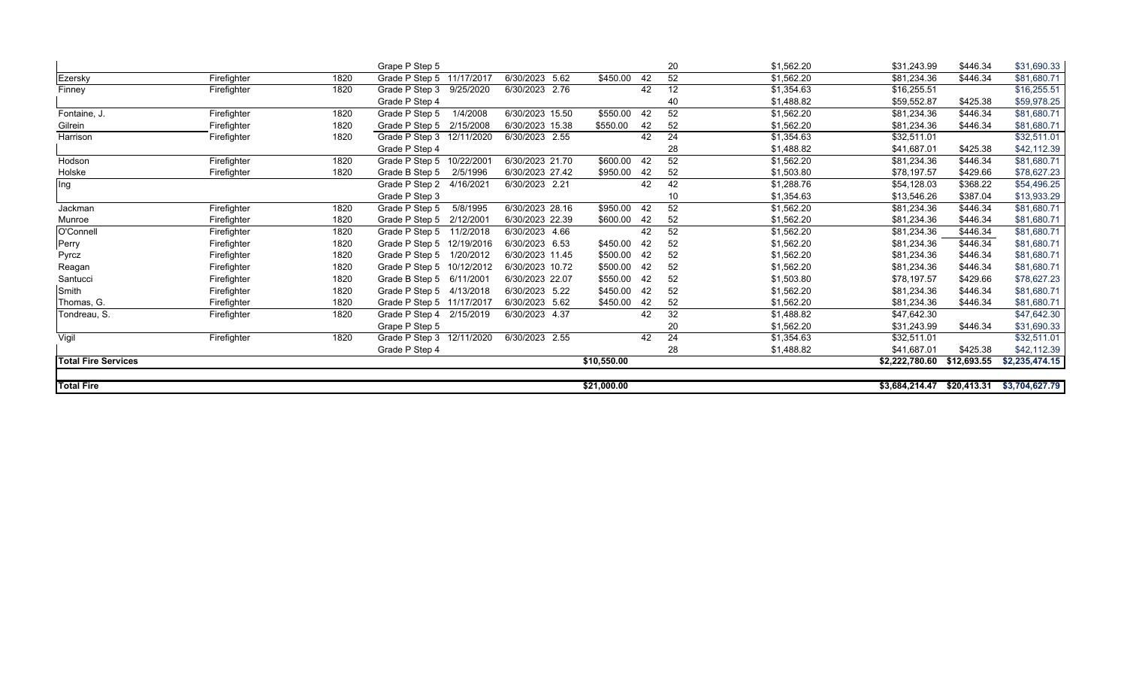|                            |             |      | Grape P Step 5               |                 |             |    | 20 | \$1,562.20 | \$31,243.99    | \$446.34    | \$31,690.33             |
|----------------------------|-------------|------|------------------------------|-----------------|-------------|----|----|------------|----------------|-------------|-------------------------|
| Ezersky                    | Firefighter | 1820 | Grade P Step 5 11/17/2017    | 6/30/2023 5.62  | \$450.00    | 42 | 52 | \$1,562.20 | \$81,234.36    | \$446.34    | $\overline{$81,680.71}$ |
| Finney                     | Firefighter | 1820 | Grade P Step 3 9/25/2020     | 6/30/2023 2.76  |             | 42 | 12 | \$1,354.63 | \$16,255.51    |             | \$16,255.51             |
|                            |             |      | Grade P Step 4               |                 |             |    | 40 | \$1,488.82 | \$59,552.87    | \$425.38    | \$59,978.25             |
| Fontaine, J.               | Firefighter | 1820 | 1/4/2008<br>Grade P Step 5   | 6/30/2023 15.50 | \$550.00    | 42 | 52 | \$1,562.20 | \$81,234.36    | \$446.34    | \$81,680.71             |
| Gilrein                    | Firefighter | 1820 | Grade P Step 5<br>2/15/2008  | 6/30/2023 15.38 | \$550.00    | 42 | 52 | \$1,562.20 | \$81,234.36    | \$446.34    | \$81,680.71             |
| Harrison                   | Firefighter | 1820 | Grade P Step 3 12/11/2020    | 6/30/2023 2.55  |             | 42 | 24 | \$1,354.63 | \$32,511.01    |             | \$32,511.01             |
|                            |             |      | Grade P Step 4               |                 |             |    | 28 | \$1,488.82 | \$41,687.01    | \$425.38    | \$42,112.39             |
| Hodson                     | Firefighter | 1820 | Grade P Step 5<br>10/22/2001 | 6/30/2023 21.70 | \$600.00    | 42 | 52 | \$1,562.20 | \$81,234.36    | \$446.34    | \$81,680.71             |
| Holske                     | Firefighter | 1820 | Grade B Step 5<br>2/5/1996   | 6/30/2023 27.42 | \$950.00    | 42 | 52 | \$1,503.80 | \$78,197.57    | \$429.66    | \$78,627.23             |
| Ing                        |             |      | Grade P Step 2<br>4/16/2021  | 6/30/2023 2.21  |             | 42 | 42 | \$1,288.76 | \$54,128.03    | \$368.22    | \$54,496.25             |
|                            |             |      | Grade P Step 3               |                 |             |    | 10 | \$1,354.63 | \$13,546.26    | \$387.04    | \$13,933.29             |
| Jackman                    | Firefighter | 1820 | Grade P Step 5<br>5/8/1995   | 6/30/2023 28.16 | \$950.00    | 42 | 52 | \$1,562.20 | \$81,234.36    | \$446.34    | \$81,680.71             |
| Munroe                     | Firefighter | 1820 | Grade P Step 5<br>2/12/2001  | 6/30/2023 22.39 | \$600.00    | 42 | 52 | \$1,562.20 | \$81,234.36    | \$446.34    | \$81,680.71             |
| O'Connell                  | Firefighter | 1820 | Grade P Step 5<br>11/2/2018  | 6/30/2023 4.66  |             | 42 | 52 | \$1,562.20 | \$81,234.36    | \$446.34    | \$81,680.71             |
| Perry                      | Firefighter | 1820 | Grade P Step 5 12/19/2016    | 6/30/2023 6.53  | \$450.00    | 42 | 52 | \$1,562.20 | \$81,234.36    | \$446.34    | \$81,680.71             |
| Pyrcz                      | Firefighter | 1820 | Grade P Step 5<br>1/20/2012  | 6/30/2023 11.45 | \$500.00    | 42 | 52 | \$1,562.20 | \$81,234.36    | \$446.34    | \$81,680.71             |
| Reagan                     | Firefighter | 1820 | Grade P Step 5 10/12/2012    | 6/30/2023 10.72 | \$500.00    | 42 | 52 | \$1,562.20 | \$81,234.36    | \$446.34    | \$81,680.71             |
| Santucci                   | Firefighter | 1820 | Grade B Step 5<br>6/11/2001  | 6/30/2023 22.07 | \$550.00    | 42 | 52 | \$1,503.80 | \$78,197.57    | \$429.66    | \$78,627.23             |
| Smith                      | Firefighter | 1820 | Grade P Step 5 4/13/2018     | 6/30/2023 5.22  | \$450.00    | 42 | 52 | \$1,562.20 | \$81,234.36    | \$446.34    | \$81,680.71             |
| Thomas, G.                 | Firefighter | 1820 | Grade P Step 5 11/17/2017    | 6/30/2023 5.62  | \$450.00    | 42 | 52 | \$1,562.20 | \$81,234.36    | \$446.34    | \$81,680.71             |
| Tondreau, S.               | Firefighter | 1820 | Grade P Step 4<br>2/15/2019  | 6/30/2023 4.37  |             | 42 | 32 | \$1,488.82 | \$47,642.30    |             | \$47,642.30             |
|                            |             |      | Grape P Step 5               |                 |             |    | 20 | \$1,562.20 | \$31,243.99    | \$446.34    | \$31,690.33             |
| Vigil                      | Firefighter | 1820 | Grade P Step 3 12/11/2020    | 6/30/2023 2.55  |             | 42 | 24 | \$1,354.63 | \$32,511.01    |             | \$32,511.01             |
|                            |             |      | Grade P Step 4               |                 |             |    | 28 | \$1,488.82 | \$41,687.01    | \$425.38    | \$42,112.39             |
| <b>Total Fire Services</b> |             |      |                              |                 | \$10,550.00 |    |    |            | \$2,222,780.60 | \$12,693.55 | \$2,235,474.15          |
|                            |             |      |                              |                 |             |    |    |            |                |             |                         |
| <b>Total Fire</b>          |             |      |                              |                 | \$21,000.00 |    |    |            | \$3,684,214.47 | \$20,413.31 | \$3,704,627.79          |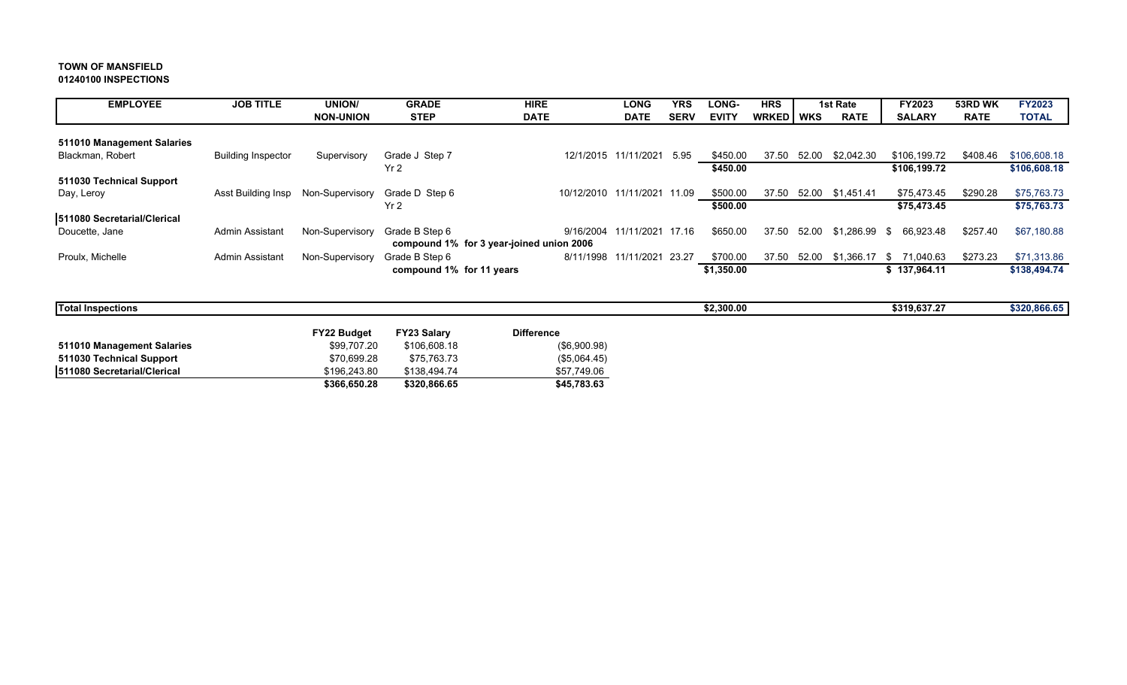#### **TOWN OF MANSFIELD 01240100 INSPECTIONS**

| <b>EMPLOYEE</b>             | <b>JOB TITLE</b>          | <b>UNION/</b>    | <b>GRADE</b>                             | <b>HIRE</b>                 | <b>LONG</b>          | <b>YRS</b>  | <b>LONG-</b> | <b>HRS</b>  |       | 1st Rate    | FY2023          | 53RD WK     | <b>FY2023</b> |
|-----------------------------|---------------------------|------------------|------------------------------------------|-----------------------------|----------------------|-------------|--------------|-------------|-------|-------------|-----------------|-------------|---------------|
|                             |                           | <b>NON-UNION</b> | <b>STEP</b>                              | <b>DATE</b>                 | <b>DATE</b>          | <b>SERV</b> | <b>EVITY</b> | WRKED   WKS |       | <b>RATE</b> | <b>SALARY</b>   | <b>RATE</b> | <b>TOTAL</b>  |
|                             |                           |                  |                                          |                             |                      |             |              |             |       |             |                 |             |               |
| 511010 Management Salaries  |                           |                  |                                          |                             |                      |             |              |             |       |             |                 |             |               |
| Blackman, Robert            | <b>Building Inspector</b> | Supervisory      | Grade J Step 7                           |                             | 12/1/2015 11/11/2021 | 5.95        | \$450.00     | 37.50       | 52.00 | \$2,042.30  | \$106,199.72    | \$408.46    | \$106,608.18  |
|                             |                           |                  | Yr <sub>2</sub>                          |                             |                      |             | \$450.00     |             |       |             | \$106,199.72    |             | \$106,608.18  |
| 511030 Technical Support    |                           |                  |                                          |                             |                      |             |              |             |       |             |                 |             |               |
| Day, Leroy                  | Asst Building Insp        | Non-Supervisory  | Grade D Step 6                           | 10/12/2010 11/11/2021 11.09 |                      |             | \$500.00     | 37.50       | 52.00 | \$1,451.41  | \$75,473.45     | \$290.28    | \$75,763.73   |
|                             |                           |                  | Yr <sub>2</sub>                          |                             |                      |             | \$500.00     |             |       |             | \$75,473.45     |             | \$75,763.73   |
| 511080 Secretarial/Clerical |                           |                  |                                          |                             |                      |             |              |             |       |             |                 |             |               |
| Doucette, Jane              | <b>Admin Assistant</b>    | Non-Supervisory  | Grade B Step 6                           | 9/16/2004                   | 11/11/2021 17.16     |             | \$650.00     | 37.50       | 52.00 | \$1.286.99  | 66,923.48<br>\$ | \$257.40    | \$67,180.88   |
|                             |                           |                  | compound 1% for 3 year-joined union 2006 |                             |                      |             |              |             |       |             |                 |             |               |
| Proulx, Michelle            | Admin Assistant           | Non-Supervisory  | Grade B Step 6                           | 8/11/1998                   | 11/11/2021 23.27     |             | \$700.00     | 37.50       | 52.00 | \$1,366.17  | 71,040.63<br>S. | \$273.23    | \$71,313.86   |
|                             |                           |                  | compound 1% for 11 years                 |                             |                      |             | \$1,350.00   |             |       |             | \$137,964.11    |             | \$138,494.74  |
|                             |                           |                  |                                          |                             |                      |             |              |             |       |             |                 |             |               |
| <b>Total Inspections</b>    |                           |                  |                                          |                             |                      |             | \$2,300.00   |             |       |             | \$319,637.27    |             | \$320,866.65  |

|                             | <b>FY22 Budget</b> | <b>FY23 Salary</b> | <b>Difference</b> |
|-----------------------------|--------------------|--------------------|-------------------|
| 511010 Management Salaries  | \$99.707.20        | \$106,608.18       | $(\$6,900.98)$    |
| 511030 Technical Support    | \$70.699.28        | \$75.763.73        | (S5,064.45)       |
| 511080 Secretarial/Clerical | \$196.243.80       | \$138,494.74       | \$57.749.06       |
|                             | \$366,650.28       | \$320,866.65       | \$45,783.63       |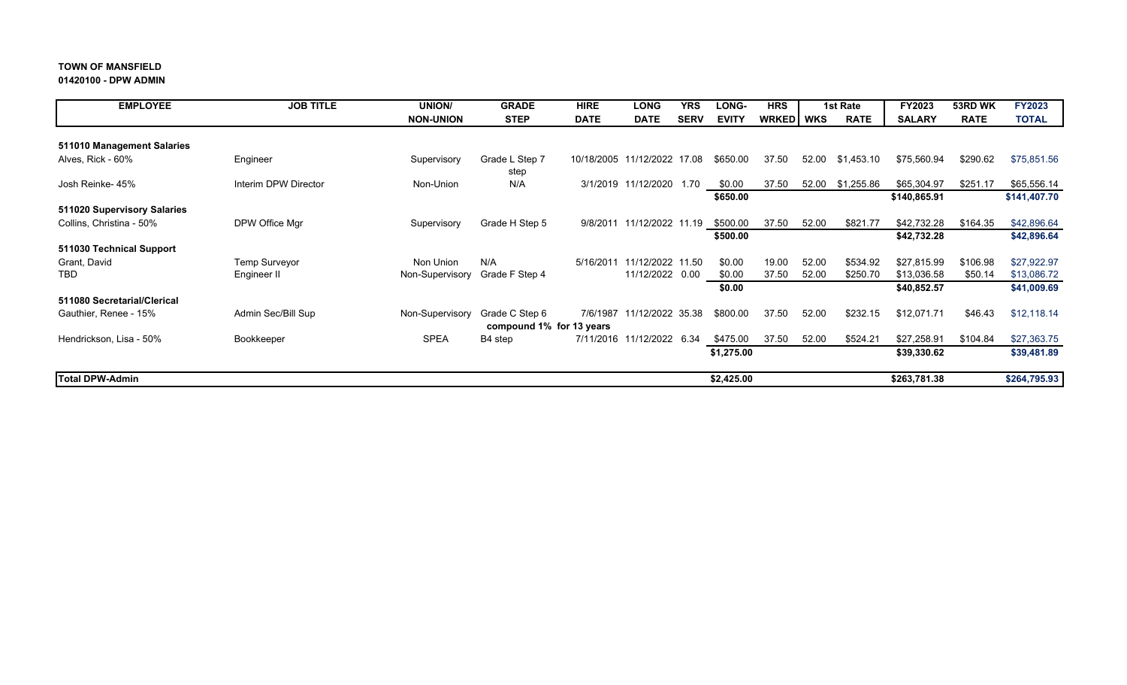#### **01420100 - DPW ADMIN**

| <b>EMPLOYEE</b>             | <b>JOB TITLE</b>     | <b>UNION/</b>    | <b>GRADE</b>             | <b>HIRE</b> | <b>LONG</b>         | <b>YRS</b>  | LONG-        | <b>HRS</b> |       | 1st Rate    | FY2023        | 53RD WK     | <b>FY2023</b> |
|-----------------------------|----------------------|------------------|--------------------------|-------------|---------------------|-------------|--------------|------------|-------|-------------|---------------|-------------|---------------|
|                             |                      | <b>NON-UNION</b> | <b>STEP</b>              | <b>DATE</b> | <b>DATE</b>         | <b>SERV</b> | <b>EVITY</b> | WRKED WKS  |       | <b>RATE</b> | <b>SALARY</b> | <b>RATE</b> | <b>TOTAL</b>  |
|                             |                      |                  |                          |             |                     |             |              |            |       |             |               |             |               |
| 511010 Management Salaries  |                      |                  |                          |             |                     |             |              |            |       |             |               |             |               |
| Alves, Rick - 60%           | Engineer             | Supervisory      | Grade L Step 7           | 10/18/2005  | 11/12/2022 17.08    |             | \$650.00     | 37.50      | 52.00 | \$1.453.10  | \$75,560.94   | \$290.62    | \$75,851.56   |
|                             |                      |                  | step                     |             |                     |             |              |            |       |             |               |             |               |
| Josh Reinke- 45%            | Interim DPW Director | Non-Union        | N/A                      |             | 3/1/2019 11/12/2020 | 1.70        | \$0.00       | 37.50      | 52.00 | \$1,255.86  | \$65,304.97   | \$251.17    | \$65,556.14   |
|                             |                      |                  |                          |             |                     |             | \$650.00     |            |       |             | \$140,865.91  |             | \$141,407.70  |
| 511020 Supervisory Salaries |                      |                  |                          |             |                     |             |              |            |       |             |               |             |               |
| Collins, Christina - 50%    | DPW Office Mgr       | Supervisory      | Grade H Step 5           | 9/8/2011    | 11/12/2022 11.19    |             | \$500.00     | 37.50      | 52.00 | \$821.77    | \$42,732.28   | \$164.35    | \$42,896.64   |
|                             |                      |                  |                          |             |                     |             | \$500.00     |            |       |             | \$42,732.28   |             | \$42,896.64   |
| 511030 Technical Support    |                      |                  |                          |             |                     |             |              |            |       |             |               |             |               |
| Grant, David                | <b>Temp Surveyor</b> | Non Union        | N/A                      | 5/16/2011   | 11/12/2022 11.50    |             | \$0.00       | 19.00      | 52.00 | \$534.92    | \$27,815.99   | \$106.98    | \$27,922.97   |
| TBD                         | Engineer II          | Non-Supervisory  | Grade F Step 4           |             | 11/12/2022 0.00     |             | \$0.00       | 37.50      | 52.00 | \$250.70    | \$13,036.58   | \$50.14     | \$13,086.72   |
|                             |                      |                  |                          |             |                     |             | \$0.00       |            |       |             | \$40,852.57   |             | \$41,009.69   |
| 511080 Secretarial/Clerical |                      |                  |                          |             |                     |             |              |            |       |             |               |             |               |
| Gauthier, Renee - 15%       | Admin Sec/Bill Sup   | Non-Supervisory  | Grade C Step 6           | 7/6/1987    | 11/12/2022 35.38    |             | \$800.00     | 37.50      | 52.00 | \$232.15    | \$12,071.71   | \$46.43     | \$12,118.14   |
|                             |                      |                  | compound 1% for 13 years |             |                     |             |              |            |       |             |               |             |               |
| Hendrickson, Lisa - 50%     | Bookkeeper           | <b>SPEA</b>      | B4 step                  | 7/11/2016   | 11/12/2022          | 6.34        | \$475.00     | 37.50      | 52.00 | \$524.21    | \$27,258.91   | \$104.84    | \$27,363.75   |
|                             |                      |                  |                          |             |                     |             | \$1,275.00   |            |       |             | \$39,330.62   |             | \$39,481.89   |
|                             |                      |                  |                          |             |                     |             |              |            |       |             |               |             |               |
| <b>Total DPW-Admin</b>      |                      |                  |                          |             |                     |             | \$2,425.00   |            |       |             | \$263,781.38  |             | \$264,795.93  |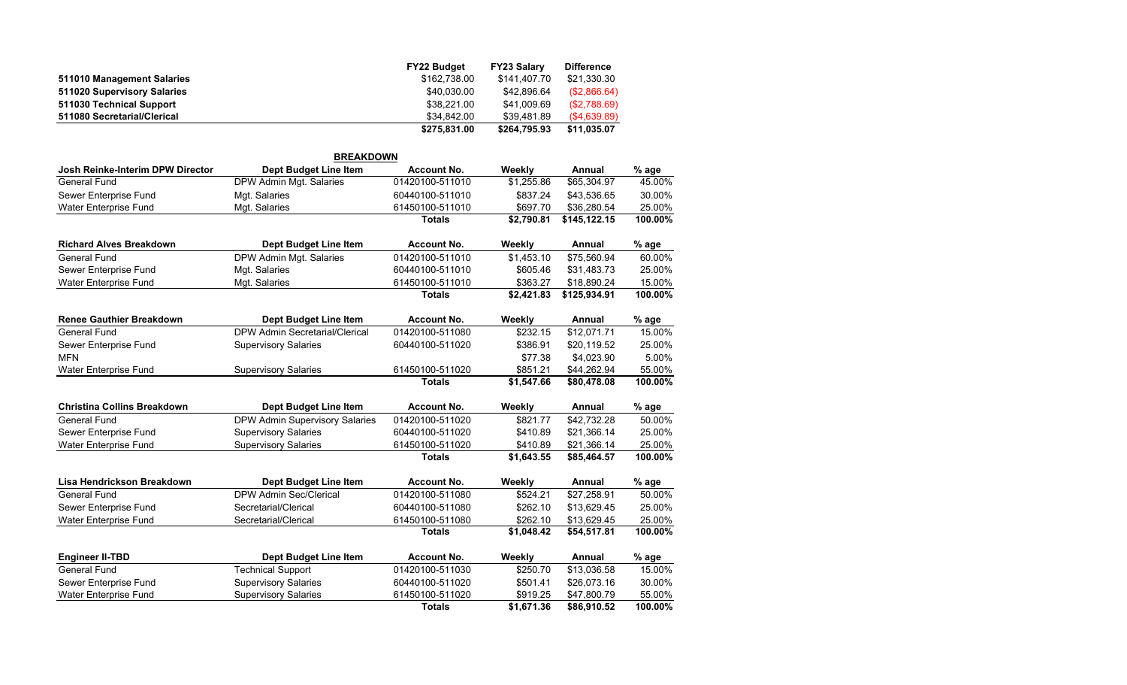|                             | <b>FY22 Budget</b> | <b>FY23 Salary</b> | <b>Difference</b> |
|-----------------------------|--------------------|--------------------|-------------------|
| 511010 Management Salaries  | \$162.738.00       | \$141.407.70       | \$21.330.30       |
| 511020 Supervisory Salaries | \$40.030.00        | \$42.896.64        | (S2,866.64)       |
| 511030 Technical Support    | \$38,221.00        | \$41,009.69        | (S2,788.69)       |
| 511080 Secretarial/Clerical | \$34.842.00        | \$39.481.89        | (S4, 639.89)      |
|                             | \$275,831.00       | \$264.795.93       | \$11.035.07       |

|                                         | <b>BREAKDOWN</b>                      |                    |            |               |         |
|-----------------------------------------|---------------------------------------|--------------------|------------|---------------|---------|
| <b>Josh Reinke-Interim DPW Director</b> | Dept Budget Line Item                 | <b>Account No.</b> | Weekly     | <b>Annual</b> | % age   |
| <b>General Fund</b>                     | DPW Admin Mgt. Salaries               | 01420100-511010    | \$1,255.86 | \$65,304.97   | 45.00%  |
| Sewer Enterprise Fund                   | Mgt. Salaries                         | 60440100-511010    | \$837.24   | \$43,536.65   | 30.00%  |
| Water Enterprise Fund                   | Mgt. Salaries                         | 61450100-511010    | \$697.70   | \$36,280.54   | 25.00%  |
|                                         |                                       | <b>Totals</b>      | \$2,790.81 | \$145,122.15  | 100.00% |
| <b>Richard Alves Breakdown</b>          | Dept Budget Line Item                 | <b>Account No.</b> | Weekly     | Annual        | % age   |
| <b>General Fund</b>                     | DPW Admin Mgt. Salaries               | 01420100-511010    | \$1,453.10 | \$75,560.94   | 60.00%  |
| Sewer Enterprise Fund                   | Mgt. Salaries                         | 60440100-511010    | \$605.46   | \$31,483.73   | 25.00%  |
| Water Enterprise Fund                   | Mgt. Salaries                         | 61450100-511010    | \$363.27   | \$18,890.24   | 15.00%  |
|                                         |                                       | <b>Totals</b>      | \$2,421.83 | \$125,934.91  | 100.00% |
| <b>Renee Gauthier Breakdown</b>         | Dept Budget Line Item                 | <b>Account No.</b> | Weekly     | Annual        | % age   |
| <b>General Fund</b>                     | <b>DPW Admin Secretarial/Clerical</b> | 01420100-511080    | \$232.15   | \$12,071.71   | 15.00%  |
| Sewer Enterprise Fund                   | <b>Supervisory Salaries</b>           | 60440100-511020    | \$386.91   | \$20,119.52   | 25.00%  |
| <b>MFN</b>                              |                                       |                    | \$77.38    | \$4,023.90    | 5.00%   |
| Water Enterprise Fund                   | <b>Supervisory Salaries</b>           | 61450100-511020    | \$851.21   | \$44.262.94   | 55.00%  |
|                                         |                                       | <b>Totals</b>      | \$1,547.66 | \$80,478.08   | 100.00% |
| <b>Christina Collins Breakdown</b>      | Dept Budget Line Item                 | <b>Account No.</b> | Weekly     | Annual        | % age   |
| <b>General Fund</b>                     | DPW Admin Supervisory Salaries        | 01420100-511020    | \$821.77   | \$42,732.28   | 50.00%  |
| Sewer Enterprise Fund                   | <b>Supervisory Salaries</b>           | 60440100-511020    | \$410.89   | \$21,366.14   | 25.00%  |
| <b>Water Enterprise Fund</b>            | <b>Supervisory Salaries</b>           | 61450100-511020    | \$410.89   | \$21,366.14   | 25.00%  |
|                                         |                                       | <b>Totals</b>      | \$1,643.55 | \$85,464.57   | 100.00% |
| Lisa Hendrickson Breakdown              | <b>Dept Budget Line Item</b>          | <b>Account No.</b> | Weekly     | Annual        | % age   |
| <b>General Fund</b>                     | DPW Admin Sec/Clerical                | 01420100-511080    | \$524.21   | \$27,258.91   | 50.00%  |
| Sewer Enterprise Fund                   | Secretarial/Clerical                  | 60440100-511080    | \$262.10   | \$13,629.45   | 25.00%  |
| <b>Water Enterprise Fund</b>            | Secretarial/Clerical                  | 61450100-511080    | \$262.10   | \$13,629.45   | 25.00%  |
|                                         |                                       | <b>Totals</b>      | \$1,048.42 | \$54,517.81   | 100.00% |
| <b>Engineer II-TBD</b>                  | <b>Dept Budget Line Item</b>          | <b>Account No.</b> | Weekly     | Annual        | % age   |
| <b>General Fund</b>                     | <b>Technical Support</b>              | 01420100-511030    | \$250.70   | \$13,036.58   | 15.00%  |
| Sewer Enterprise Fund                   | <b>Supervisory Salaries</b>           | 60440100-511020    | \$501.41   | \$26,073.16   | 30.00%  |
| <b>Water Enterprise Fund</b>            | <b>Supervisory Salaries</b>           | 61450100-511020    | \$919.25   | \$47,800.79   | 55.00%  |
|                                         |                                       | <b>Totals</b>      | \$1,671.36 | \$86,910.52   | 100.00% |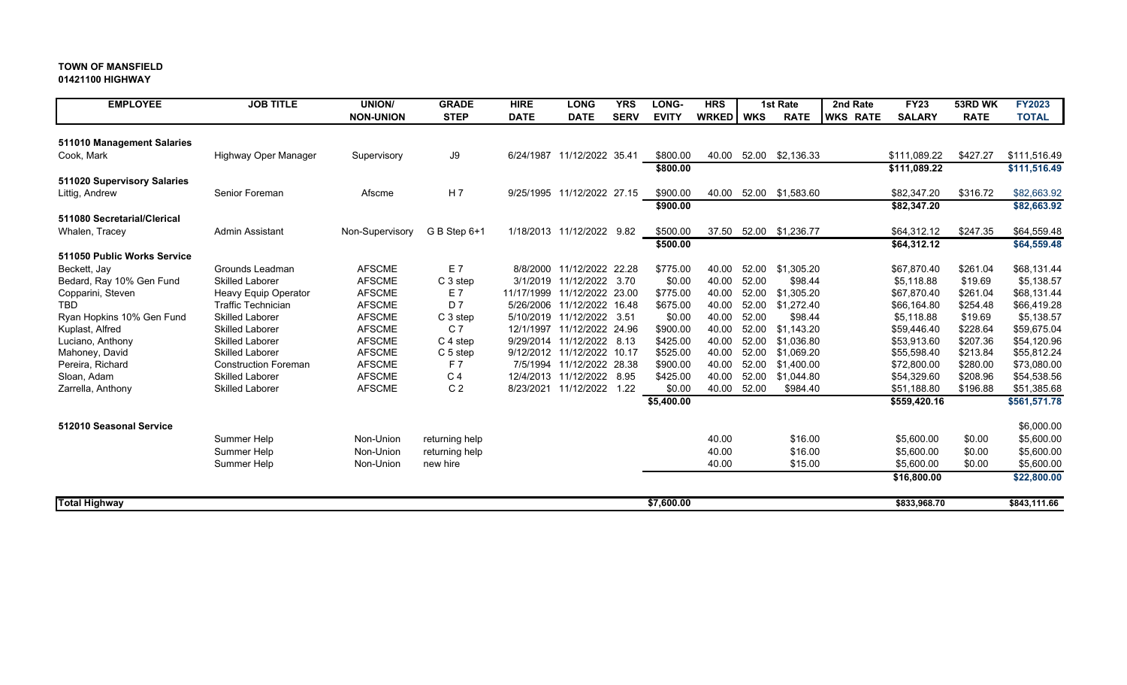#### **01421100 HIGHWAY**

| <b>EMPLOYEE</b>             | <b>JOB TITLE</b>            | UNION/           | <b>GRADE</b>     | <b>HIRE</b> | <b>LONG</b>                 | <b>YRS</b>  | LONG-        | <b>HRS</b>   |            | <b>1st Rate</b>  | 2nd Rate        | <b>FY23</b>   | 53RD WK     | <b>FY2023</b> |
|-----------------------------|-----------------------------|------------------|------------------|-------------|-----------------------------|-------------|--------------|--------------|------------|------------------|-----------------|---------------|-------------|---------------|
|                             |                             | <b>NON-UNION</b> | <b>STEP</b>      | <b>DATE</b> | <b>DATE</b>                 | <b>SERV</b> | <b>EVITY</b> | <b>WRKED</b> | <b>WKS</b> | <b>RATE</b>      | <b>WKS RATE</b> | <b>SALARY</b> | <b>RATE</b> | <b>TOTAL</b>  |
| 511010 Management Salaries  |                             |                  |                  |             |                             |             |              |              |            |                  |                 |               |             |               |
| Cook, Mark                  | Highway Oper Manager        | Supervisory      | J9               |             | 6/24/1987 11/12/2022 35.41  |             | \$800.00     | 40.00        |            | 52.00 \$2,136.33 |                 | \$111,089.22  | \$427.27    | \$111,516.49  |
|                             |                             |                  |                  |             |                             |             | \$800.00     |              |            |                  |                 | \$111,089.22  |             | \$111,516.49  |
| 511020 Supervisory Salaries |                             |                  |                  |             |                             |             |              |              |            |                  |                 |               |             |               |
| Littig, Andrew              | Senior Foreman              | Afscme           | H <sub>7</sub>   |             | 9/25/1995 11/12/2022 27.15  |             | \$900.00     | 40.00        |            | 52.00 \$1,583.60 |                 | \$82,347.20   | \$316.72    | \$82,663.92   |
|                             |                             |                  |                  |             |                             |             | \$900.00     |              |            |                  |                 | \$82,347.20   |             | \$82,663.92   |
| 511080 Secretarial/Clerical |                             |                  |                  |             |                             |             |              |              |            |                  |                 |               |             |               |
| Whalen, Tracey              | <b>Admin Assistant</b>      | Non-Supervisory  | $G B$ Step $6+1$ |             | 1/18/2013 11/12/2022        | 9.82        | \$500.00     | 37.50        |            | 52.00 \$1,236.77 |                 | \$64,312.12   | \$247.35    | \$64,559.48   |
|                             |                             |                  |                  |             |                             |             | \$500.00     |              |            |                  |                 | \$64,312.12   |             | \$64,559.48   |
| 511050 Public Works Service |                             |                  |                  |             |                             |             |              |              |            |                  |                 |               |             |               |
| Beckett, Jay                | Grounds Leadman             | <b>AFSCME</b>    | E 7              |             | 8/8/2000 11/12/2022 22.28   |             | \$775.00     | 40.00        | 52.00      | \$1,305.20       |                 | \$67,870.40   | \$261.04    | \$68,131.44   |
| Bedard, Ray 10% Gen Fund    | <b>Skilled Laborer</b>      | <b>AFSCME</b>    | C 3 step         |             | 3/1/2019 11/12/2022 3.70    |             | \$0.00       | 40.00        | 52.00      | \$98.44          |                 | \$5,118.88    | \$19.69     | \$5,138.57    |
| Copparini, Steven           | Heavy Equip Operator        | <b>AFSCME</b>    | E 7              |             | 11/17/1999 11/12/2022 23.00 |             | \$775.00     | 40.00        | 52.00      | \$1,305.20       |                 | \$67,870.40   | \$261.04    | \$68,131.44   |
| <b>TBD</b>                  | <b>Traffic Technician</b>   | <b>AFSCME</b>    | D 7              |             | 5/26/2006 11/12/2022 16.48  |             | \$675.00     | 40.00        | 52.00      | \$1,272.40       |                 | \$66,164.80   | \$254.48    | \$66,419.28   |
| Ryan Hopkins 10% Gen Fund   | <b>Skilled Laborer</b>      | <b>AFSCME</b>    | C 3 step         |             | 5/10/2019 11/12/2022 3.51   |             | \$0.00       | 40.00        | 52.00      | \$98.44          |                 | \$5,118.88    | \$19.69     | \$5,138.57    |
| Kuplast, Alfred             | <b>Skilled Laborer</b>      | <b>AFSCME</b>    | C <sub>7</sub>   | 12/1/1997   | 11/12/2022 24.96            |             | \$900.00     | 40.00        | 52.00      | \$1,143.20       |                 | \$59,446.40   | \$228.64    | \$59,675.04   |
| Luciano, Anthony            | <b>Skilled Laborer</b>      | <b>AFSCME</b>    | C 4 step         |             | 9/29/2014 11/12/2022 8.13   |             | \$425.00     | 40.00        | 52.00      | \$1,036.80       |                 | \$53,913.60   | \$207.36    | \$54,120.96   |
| Mahoney, David              | <b>Skilled Laborer</b>      | <b>AFSCME</b>    | C 5 step         |             | 9/12/2012 11/12/2022 10.17  |             | \$525.00     | 40.00        | 52.00      | \$1,069.20       |                 | \$55,598.40   | \$213.84    | \$55,812.24   |
| Pereira, Richard            | <b>Construction Foreman</b> | <b>AFSCME</b>    | F 7              |             | 7/5/1994 11/12/2022 28.38   |             | \$900.00     | 40.00        | 52.00      | \$1,400.00       |                 | \$72,800.00   | \$280.00    | \$73,080.00   |
| Sloan, Adam                 | <b>Skilled Laborer</b>      | <b>AFSCME</b>    | C <sub>4</sub>   |             | 12/4/2013 11/12/2022 8.95   |             | \$425.00     | 40.00        | 52.00      | \$1,044.80       |                 | \$54,329.60   | \$208.96    | \$54,538.56   |
| Zarrella, Anthony           | <b>Skilled Laborer</b>      | <b>AFSCME</b>    | C <sub>2</sub>   | 8/23/2021   | 11/12/2022 1.22             |             | \$0.00       | 40.00        | 52.00      | \$984.40         |                 | \$51,188.80   | \$196.88    | \$51,385.68   |
|                             |                             |                  |                  |             |                             |             | \$5,400.00   |              |            |                  |                 | \$559,420.16  |             | \$561,571.78  |
| 512010 Seasonal Service     |                             |                  |                  |             |                             |             |              |              |            |                  |                 |               |             | \$6,000.00    |
|                             | Summer Help                 | Non-Union        | returning help   |             |                             |             |              | 40.00        |            | \$16.00          |                 | \$5,600.00    | \$0.00      | \$5,600.00    |
|                             | Summer Help                 | Non-Union        | returning help   |             |                             |             |              | 40.00        |            | \$16.00          |                 | \$5,600.00    | \$0.00      | \$5,600.00    |
|                             | Summer Help                 | Non-Union        | new hire         |             |                             |             |              | 40.00        |            | \$15.00          |                 | \$5,600.00    | \$0.00      | \$5,600.00    |
|                             |                             |                  |                  |             |                             |             |              |              |            |                  |                 | \$16,800.00   |             | \$22,800.00   |
|                             |                             |                  |                  |             |                             |             |              |              |            |                  |                 |               |             |               |
| <b>Total Highway</b>        |                             |                  |                  |             |                             |             | \$7,600.00   |              |            |                  |                 | \$833,968.70  |             | \$843,111.66  |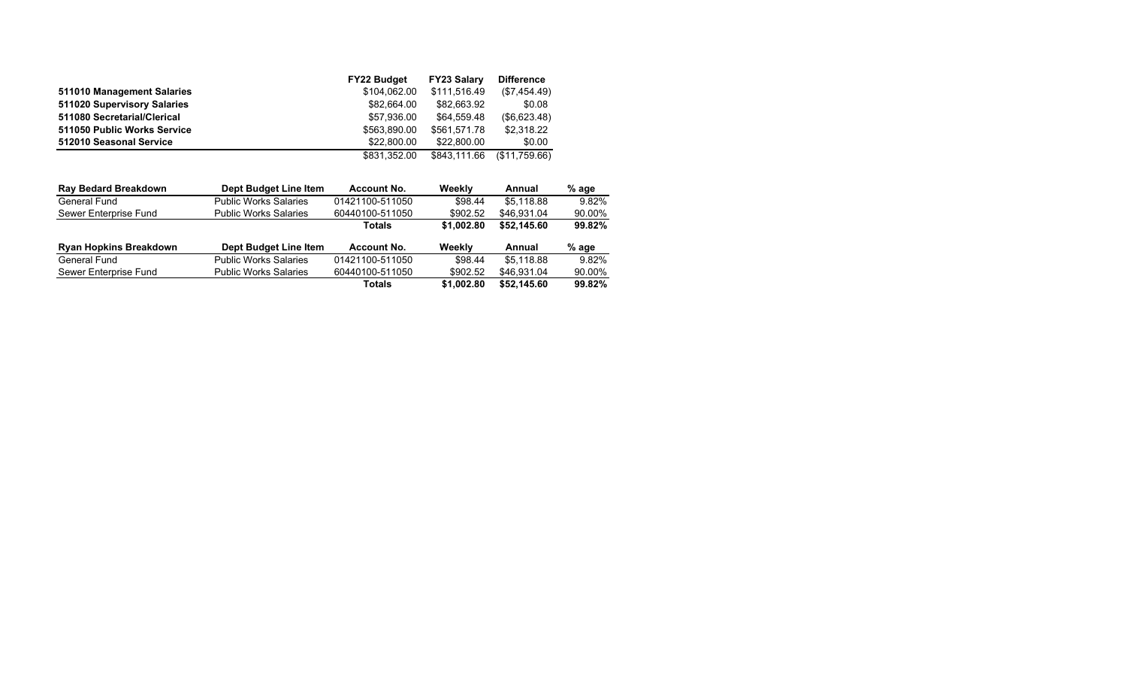|                             | <b>FY22 Budget</b> | <b>FY23 Salary</b> | <b>Difference</b> |
|-----------------------------|--------------------|--------------------|-------------------|
| 511010 Management Salaries  | \$104.062.00       | \$111.516.49       | (\$7,454.49)      |
| 511020 Supervisory Salaries | \$82.664.00        | \$82,663.92        | \$0.08            |
| 511080 Secretarial/Clerical | \$57.936.00        | \$64.559.48        | (\$6,623.48)      |
| 511050 Public Works Service | \$563,890,00       | \$561.571.78       | \$2,318.22        |
| 512010 Seasonal Service     | \$22,800.00        | \$22.800.00        | \$0.00            |
|                             | \$831.352.00       | \$843.111.66       | (S11.759.66)      |
|                             |                    |                    |                   |

| <b>Ray Bedard Breakdown</b>   | Dept Budget Line Item        | <b>Account No.</b> | Weekly     | Annual      | % age   |
|-------------------------------|------------------------------|--------------------|------------|-------------|---------|
| General Fund                  | <b>Public Works Salaries</b> | 01421100-511050    | \$98.44    | \$5.118.88  | 9.82%   |
| Sewer Enterprise Fund         | <b>Public Works Salaries</b> | 60440100-511050    | \$902.52   | \$46.931.04 | 90.00%  |
|                               |                              | <b>Totals</b>      | \$1,002.80 | \$52.145.60 | 99.82%  |
| <b>Ryan Hopkins Breakdown</b> | Dept Budget Line Item        |                    |            |             |         |
|                               |                              | <b>Account No.</b> | Weekly     | Annual      | $%$ age |
| General Fund                  | <b>Public Works Salaries</b> | 01421100-511050    | \$98.44    | \$5.118.88  | 9.82%   |
| Sewer Enterprise Fund         | <b>Public Works Salaries</b> | 60440100-511050    | \$902.52   | \$46.931.04 | 90.00%  |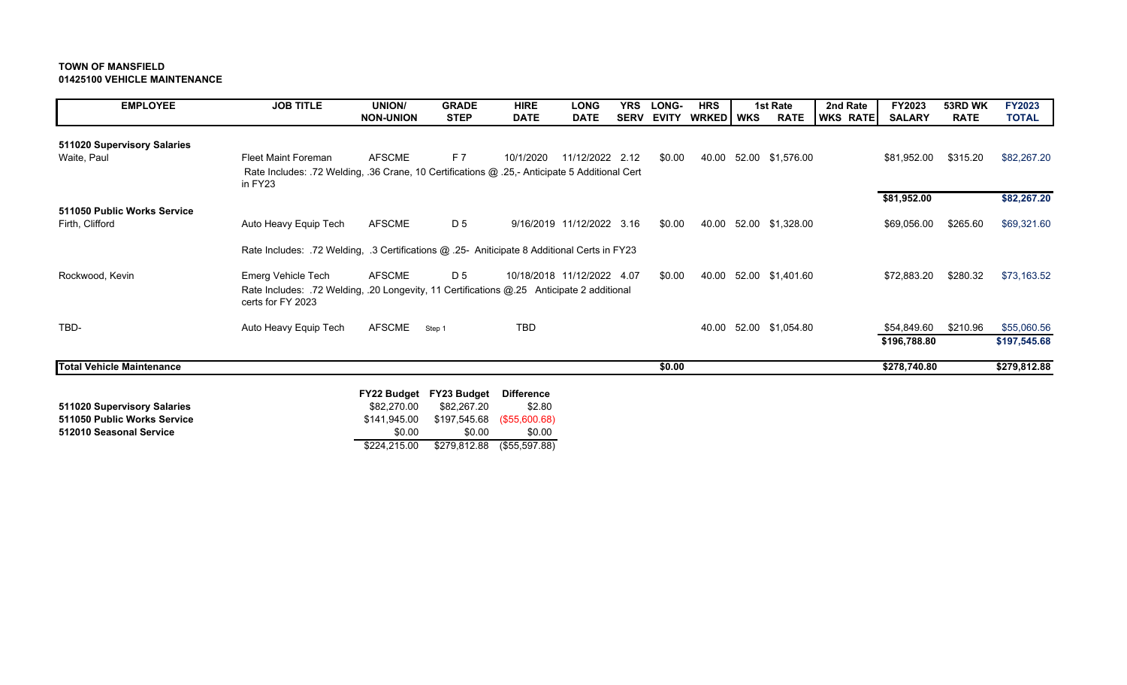## **TOWN OF MANSFIELD01425100 VEHICLE MAINTENANCE**

| <b>EMPLOYEE</b>                  | <b>JOB TITLE</b>                                                                                               | <b>UNION/</b>    | <b>GRADE</b> | <b>HIRE</b> | <b>LONG</b>                | <b>YRS</b>  | <b>LONG-</b> | <b>HRS</b> | 1st Rate               | 2nd Rate        | FY2023        | 53RD WK     | <b>FY2023</b> |
|----------------------------------|----------------------------------------------------------------------------------------------------------------|------------------|--------------|-------------|----------------------------|-------------|--------------|------------|------------------------|-----------------|---------------|-------------|---------------|
|                                  |                                                                                                                | <b>NON-UNION</b> | <b>STEP</b>  | <b>DATE</b> | <b>DATE</b>                | <b>SERV</b> | <b>EVITY</b> | WRKED WKS  | <b>RATE</b>            | <b>WKS RATE</b> | <b>SALARY</b> | <b>RATE</b> | <b>TOTAL</b>  |
| 511020 Supervisory Salaries      |                                                                                                                |                  |              |             |                            |             |              |            |                        |                 |               |             |               |
| Waite, Paul                      | <b>Fleet Maint Foreman</b>                                                                                     | <b>AFSCME</b>    | F 7          | 10/1/2020   | 11/12/2022 2.12            |             | \$0.00       |            | 40.00 52.00 \$1,576.00 |                 | \$81,952.00   | \$315.20    | \$82,267.20   |
|                                  | Rate Includes: .72 Welding, .36 Crane, 10 Certifications @ .25,- Anticipate 5 Additional Cert<br>in FY23       |                  |              |             |                            |             |              |            |                        |                 |               |             |               |
|                                  |                                                                                                                |                  |              |             |                            |             |              |            |                        |                 | \$81,952.00   |             | \$82,267.20   |
| 511050 Public Works Service      |                                                                                                                |                  |              |             |                            |             |              |            |                        |                 |               |             |               |
| Firth, Clifford                  | Auto Heavy Equip Tech                                                                                          | <b>AFSCME</b>    | D 5          |             | 9/16/2019 11/12/2022 3.16  |             | \$0.00       | 40.00      | 52.00 \$1,328.00       |                 | \$69,056.00   | \$265.60    | \$69,321.60   |
|                                  | Rate Includes: .72 Welding, .3 Certifications @ .25- Aniticipate 8 Additional Certs in FY23                    |                  |              |             |                            |             |              |            |                        |                 |               |             |               |
| Rockwood, Kevin                  | Emerg Vehicle Tech                                                                                             | <b>AFSCME</b>    | D 5          |             | 10/18/2018 11/12/2022 4.07 |             | \$0.00       | 40.00      | 52.00 \$1,401.60       |                 | \$72,883.20   | \$280.32    | \$73,163.52   |
|                                  | Rate Includes: .72 Welding, .20 Longevity, 11 Certifications @.25 Anticipate 2 additional<br>certs for FY 2023 |                  |              |             |                            |             |              |            |                        |                 |               |             |               |
| TBD-                             | Auto Heavy Equip Tech                                                                                          | AFSCME           | Step 1       | <b>TBD</b>  |                            |             |              | 40.00      | 52.00 \$1,054.80       |                 | \$54,849.60   | \$210.96    | \$55,060.56   |
|                                  |                                                                                                                |                  |              |             |                            |             |              |            |                        |                 | \$196,788.80  |             | \$197,545.68  |
| <b>Total Vehicle Maintenance</b> |                                                                                                                |                  |              |             |                            |             | \$0.00       |            |                        |                 | \$278,740.80  |             | \$279,812.88  |
|                                  |                                                                                                                |                  |              |             |                            |             |              |            |                        |                 |               |             |               |

|                             |              | FY22 Budget FY23 Budget Difference |               |
|-----------------------------|--------------|------------------------------------|---------------|
| 511020 Supervisory Salaries | \$82,270.00  | \$82.267.20                        | \$2.80        |
| 511050 Public Works Service | \$141.945.00 | \$197,545.68 (\$55,600.68)         |               |
| 512010 Seasonal Service     | \$0.00       | \$0.00                             | \$0.00        |
|                             | \$224.215.00 | \$279,812.88                       | (\$55,597.88) |
|                             |              |                                    |               |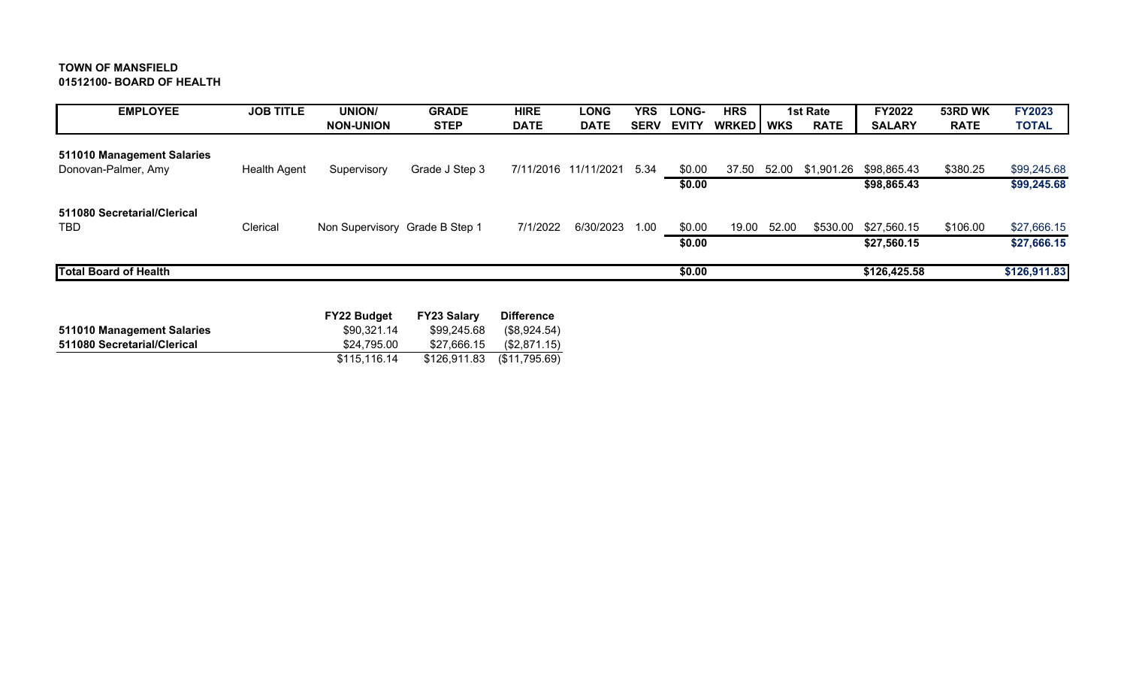# **TOWN OF MANSFIELD 01512100- BOARD OF HEALTH**

| <b>EMPLOYEE</b>              | <b>JOB TITLE</b>    | <b>UNION/</b>                  | <b>GRADE</b>   | <b>HIRE</b> | <b>LONG</b>          | YRS         | LONG-        | <b>HRS</b> |       | 1st Rate    | <b>FY2022</b> | 53RD WK     | <b>FY2023</b> |
|------------------------------|---------------------|--------------------------------|----------------|-------------|----------------------|-------------|--------------|------------|-------|-------------|---------------|-------------|---------------|
|                              |                     | <b>NON-UNION</b>               | <b>STEP</b>    | <b>DATE</b> | <b>DATE</b>          | <b>SERV</b> | <b>EVITY</b> | WRKED WKS  |       | <b>RATE</b> | <b>SALARY</b> | <b>RATE</b> | <b>TOTAL</b>  |
| 511010 Management Salaries   |                     |                                |                |             |                      |             |              |            |       |             |               |             |               |
| Donovan-Palmer, Amy          | <b>Health Agent</b> | Supervisory                    | Grade J Step 3 |             | 7/11/2016 11/11/2021 | - 5.34      | \$0.00       | 37.50      | 52.00 | \$1,901.26  | \$98,865.43   | \$380.25    | \$99,245.68   |
|                              |                     |                                |                |             |                      |             | \$0.00       |            |       |             | \$98,865.43   |             | \$99,245.68   |
| 511080 Secretarial/Clerical  |                     |                                |                |             |                      |             |              |            |       |             |               |             |               |
| TBD                          | Clerical            | Non Supervisory Grade B Step 1 |                | 7/1/2022    | 6/30/2023            | 1.00        | \$0.00       | 19.00      | 52.00 | \$530.00    | \$27,560.15   | \$106.00    | \$27,666.15   |
|                              |                     |                                |                |             |                      |             | \$0.00       |            |       |             | \$27,560.15   |             | \$27,666.15   |
| <b>Total Board of Health</b> |                     |                                |                |             |                      |             | \$0.00       |            |       |             | \$126,425.58  |             | \$126,911.83  |

|                             | <b>FY22 Budget</b> | <b>FY23 Salary</b> | <b>Difference</b> |
|-----------------------------|--------------------|--------------------|-------------------|
| 511010 Management Salaries  | \$90.321.14        | \$99,245.68        | (\$8,924.54)      |
| 511080 Secretarial/Clerical | \$24.795.00        | \$27.666.15        | (\$2,871.15)      |
|                             | \$115.116.14       | \$126,911.83       | (\$11,795.69)     |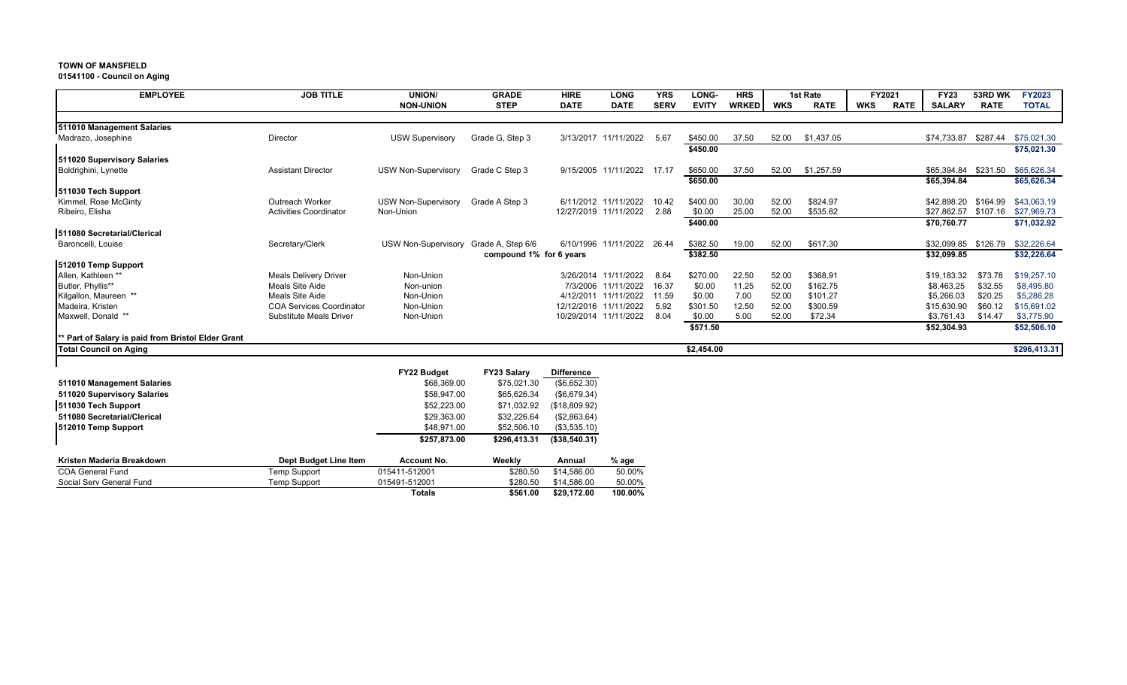**01541100 - Council on Aging**

| <b>EMPLOYEE</b>                                    | <b>JOB TITLE</b>                | UNION/                                | <b>GRADE</b>            | <b>HIRE</b>       | <b>LONG</b>                | <b>YRS</b>  | LONG-              | <b>HRS</b>   |            | 1st Rate    |            | FY2021      | <b>FY23</b>          | 53RD WK     | <b>FY2023</b>                    |
|----------------------------------------------------|---------------------------------|---------------------------------------|-------------------------|-------------------|----------------------------|-------------|--------------------|--------------|------------|-------------|------------|-------------|----------------------|-------------|----------------------------------|
|                                                    |                                 | <b>NON-UNION</b>                      | <b>STEP</b>             | <b>DATE</b>       | <b>DATE</b>                | <b>SERV</b> | <b>EVITY</b>       | <b>WRKED</b> | <b>WKS</b> | <b>RATE</b> | <b>WKS</b> | <b>RATE</b> | <b>SALARY</b>        | <b>RATE</b> | <b>TOTAL</b>                     |
|                                                    |                                 |                                       |                         |                   |                            |             |                    |              |            |             |            |             |                      |             |                                  |
| 511010 Management Salaries                         |                                 |                                       |                         |                   |                            |             |                    |              |            |             |            |             |                      |             |                                  |
| Madrazo, Josephine                                 | Director                        | <b>USW Supervisory</b>                | Grade G, Step 3         |                   | 3/13/2017 11/11/2022       | 5.67        | \$450.00           | 37.50        | 52.00      | \$1,437.05  |            |             |                      |             | \$74,733.87 \$287.44 \$75,021.30 |
|                                                    |                                 |                                       |                         |                   |                            |             | \$450.00           |              |            |             |            |             |                      |             | \$75,021.30                      |
| 511020 Supervisory Salaries                        |                                 |                                       |                         |                   |                            |             |                    |              |            |             |            |             |                      |             |                                  |
| Boldrighini, Lynette                               | <b>Assistant Director</b>       | <b>USW Non-Supervisory</b>            | Grade C Step 3          |                   | 9/15/2005 11/11/2022       | 17.17       | \$650.00           | 37.50        | 52.00      | \$1,257.59  |            |             | \$65,394.84 \$231.50 |             | \$65,626.34                      |
| 511030 Tech Support                                |                                 |                                       |                         |                   |                            |             | \$650.00           |              |            |             |            |             | \$65,394.84          |             | \$65,626.34                      |
| Kimmel, Rose McGinty                               | Outreach Worker                 | <b>USW Non-Supervisory</b>            | Grade A Step 3          |                   | 6/11/2012 11/11/2022       | 10.42       | \$400.00           | 30.00        | 52.00      | \$824.97    |            |             | \$42,898,20          | \$164.99    | \$43,063.19                      |
| Ribeiro, Elisha                                    | <b>Activities Coordinator</b>   | Non-Union                             |                         |                   | 12/27/2019 11/11/2022      | 2.88        | \$0.00             | 25.00        | 52.00      | \$535.82    |            |             |                      |             | \$27,862.57 \$107.16 \$27,969.73 |
|                                                    |                                 |                                       |                         |                   |                            |             | \$400.00           |              |            |             |            |             | \$70,760.77          |             | \$71,032.92                      |
| 511080 Secretarial/Clerical                        |                                 |                                       |                         |                   |                            |             |                    |              |            |             |            |             |                      |             |                                  |
| Baroncelli, Louise                                 | Secretary/Clerk                 | USW Non-Supervisory Grade A, Step 6/6 |                         |                   | 6/10/1996 11/11/2022 26.44 |             | \$382.50           | 19.00        | 52.00      | \$617.30    |            |             |                      |             | \$32,099.85 \$126.79 \$32,226.64 |
|                                                    |                                 |                                       | compound 1% for 6 years |                   |                            |             | \$382.50           |              |            |             |            |             | \$32,099.85          |             | \$32,226.64                      |
| 512010 Temp Support                                |                                 |                                       |                         |                   |                            |             |                    |              |            |             |            |             |                      |             |                                  |
| Allen, Kathleen **                                 | <b>Meals Delivery Driver</b>    | Non-Union                             |                         |                   | 3/26/2014 11/11/2022       | 8.64        | \$270.00           | 22.50        | 52.00      | \$368.91    |            |             | \$19,183.32          | \$73.78     | \$19,257.10                      |
| Butler, Phyllis**                                  | Meals Site Aide                 | Non-union                             |                         |                   | 7/3/2006 11/11/2022        | 16.37       | \$0.00             | 11.25        | 52.00      | \$162.75    |            |             | \$8,463.25           | \$32.55     | \$8,495.80                       |
| Kilgallon, Maureen **                              | Meals Site Aide                 | Non-Union                             |                         |                   | 4/12/2011 11/11/2022       | 11.59       | \$0.00             | 7.00         | 52.00      | \$101.27    |            |             | \$5,266.03           | \$20.25     | \$5,286.28                       |
| Madeira, Kristen                                   | <b>COA Services Coordinator</b> | Non-Union                             |                         |                   | 12/12/2016 11/11/2022      | 5.92        | \$301.50           | 12.50        | 52.00      | \$300.59    |            |             | \$15,630.90          | \$60.12     | \$15,691.02                      |
| Maxwell, Donald **                                 | <b>Substitute Meals Driver</b>  | Non-Union                             |                         |                   | 10/29/2014 11/11/2022      | 8.04        | \$0.00<br>\$571.50 | 5.00         | 52.00      | \$72.34     |            |             | \$3,761.43           | \$14.47     | \$3,775.90                       |
| ** Part of Salary is paid from Bristol Elder Grant |                                 |                                       |                         |                   |                            |             |                    |              |            |             |            |             | \$52,304.93          |             | \$52,506.10                      |
| <b>Total Council on Aging</b>                      |                                 |                                       |                         |                   |                            |             | \$2,454.00         |              |            |             |            |             |                      |             | \$296,413.31                     |
|                                                    |                                 |                                       |                         |                   |                            |             |                    |              |            |             |            |             |                      |             |                                  |
|                                                    |                                 | FY22 Budget                           | FY23 Salary             | <b>Difference</b> |                            |             |                    |              |            |             |            |             |                      |             |                                  |
| 511010 Management Salaries                         |                                 | \$68,369.00                           | \$75,021.30             | (\$6,652.30)      |                            |             |                    |              |            |             |            |             |                      |             |                                  |
| 511020 Supervisory Salaries                        |                                 | \$58,947.00                           | \$65,626.34             | (\$6,679.34)      |                            |             |                    |              |            |             |            |             |                      |             |                                  |
| 511030 Tech Support                                |                                 | \$52,223.00                           | \$71,032.92             | (\$18,809.92)     |                            |             |                    |              |            |             |            |             |                      |             |                                  |
| 511080 Secretarial/Clerical                        |                                 | \$29,363.00                           | \$32,226.64             | (\$2,863.64)      |                            |             |                    |              |            |             |            |             |                      |             |                                  |
| 512010 Temp Support                                |                                 | \$48,971.00                           | \$52,506.10             | (\$3,535.10)      |                            |             |                    |              |            |             |            |             |                      |             |                                  |
|                                                    |                                 | \$257,873.00                          | \$296,413.31            | (\$38,540.31)     |                            |             |                    |              |            |             |            |             |                      |             |                                  |
| Kristen Maderia Breakdown                          | Dept Budget Line Item           | Account No.                           | Weekly                  | Annual            | % age                      |             |                    |              |            |             |            |             |                      |             |                                  |
| <b>COA General Fund</b>                            | <b>Temp Support</b>             | 015411-512001                         | \$280.50                | \$14,586.00       | 50.00%                     |             |                    |              |            |             |            |             |                      |             |                                  |
| Social Serv General Fund                           | <b>Temp Support</b>             | 015491-512001                         | \$280.50                | \$14,586.00       | 50.00%                     |             |                    |              |            |             |            |             |                      |             |                                  |
|                                                    |                                 | <b>Totals</b>                         | \$561.00                | \$29,172.00       | 100.00%                    |             |                    |              |            |             |            |             |                      |             |                                  |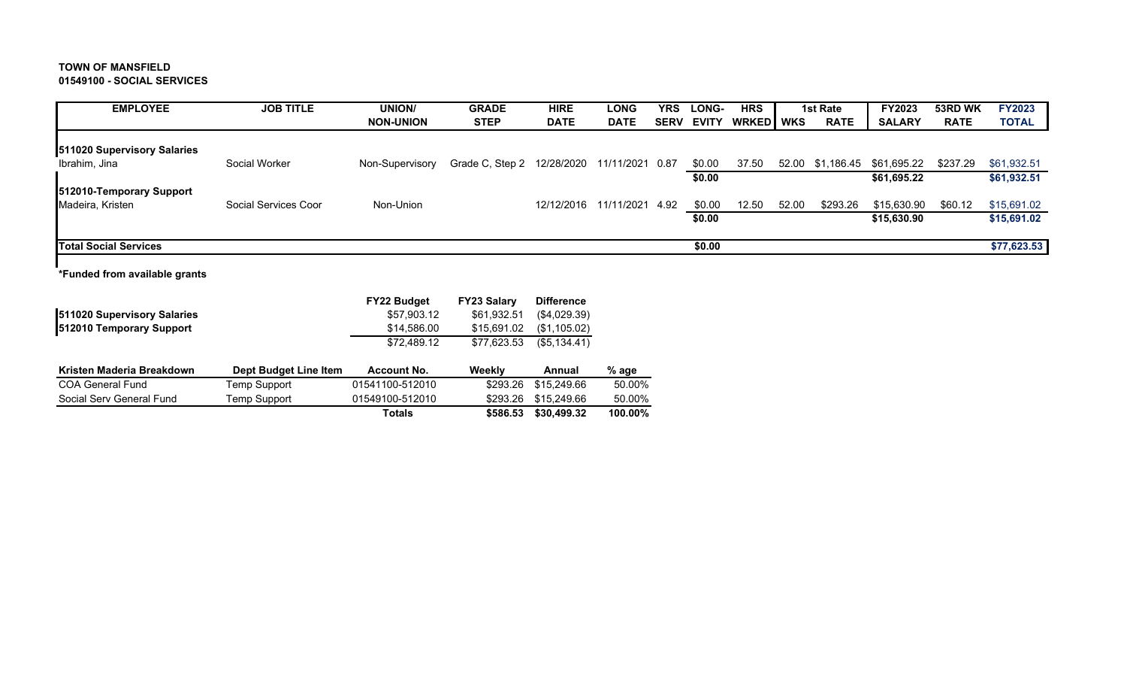### **TOWN OF MANSFIELD 01549100 - SOCIAL SERVICES**

| <b>EMPLOYEE</b>              | <b>JOB TITLE</b>     | <b>UNION/</b>    | <b>GRADE</b>               | <b>HIRE</b> | <b>LONG</b>     | YRS         | LONG-        | <b>HRS</b>    |       | 1st Rate    | <b>FY2023</b> | 53RD WK     | <b>FY2023</b> |
|------------------------------|----------------------|------------------|----------------------------|-------------|-----------------|-------------|--------------|---------------|-------|-------------|---------------|-------------|---------------|
|                              |                      | <b>NON-UNION</b> | <b>STEP</b>                | <b>DATE</b> | <b>DATE</b>     | <b>SERV</b> | <b>EVITY</b> | <b>WRKEDI</b> | WKS   | <b>RATE</b> | <b>SALARY</b> | <b>RATE</b> | <b>TOTAL</b>  |
| 511020 Supervisory Salaries  |                      |                  |                            |             |                 |             |              |               |       |             |               |             |               |
| Ibrahim, Jina                | Social Worker        | Non-Supervisory  | Grade C, Step 2 12/28/2020 |             | 11/11/2021 0.87 |             | \$0.00       | 37.50         | 52.00 | \$1,186.45  | \$61,695.22   | \$237.29    | \$61,932.51   |
|                              |                      |                  |                            |             |                 |             | \$0.00       |               |       |             | \$61,695.22   |             | \$61,932.51   |
| 512010-Temporary Support     |                      |                  |                            |             |                 |             |              |               |       |             |               |             |               |
| Madeira, Kristen             | Social Services Coor | Non-Union        |                            | 12/12/2016  | 11/11/2021      | 4.92        | \$0.00       | 12.50         | 52.00 | \$293.26    | \$15,630.90   | \$60.12     | \$15,691.02   |
|                              |                      |                  |                            |             |                 |             | \$0.00       |               |       |             | \$15,630.90   |             | \$15,691.02   |
| <b>Total Social Services</b> |                      |                  |                            |             |                 |             | \$0.00       |               |       |             |               |             | \$77,623.53   |

 $\mathbf{I}$ **\*Funded from available grants**

| 511020 Supervisory Salaries<br>512010 Temporary Support |                       | <b>FY22 Budget</b><br>\$57,903.12<br>\$14,586.00<br>\$72,489.12 | <b>FY23 Salary</b><br>\$61,932.51<br>\$15,691.02<br>\$77.623.53 | <b>Difference</b><br>(\$4,029.39)<br>(\$1,105.02)<br>(S5.134.41) |         |
|---------------------------------------------------------|-----------------------|-----------------------------------------------------------------|-----------------------------------------------------------------|------------------------------------------------------------------|---------|
| Kristen Maderia Breakdown                               | Dept Budget Line Item | <b>Account No.</b>                                              | Weekly                                                          | Annual                                                           | $%$ age |
| <b>COA General Fund</b>                                 | Temp Support          | 01541100-512010                                                 | \$293.26                                                        | \$15,249.66                                                      | 50.00%  |
| Social Serv General Fund                                | Temp Support          | 01549100-512010                                                 | \$293.26                                                        | \$15,249.66                                                      | 50.00%  |
|                                                         |                       | <b>Totals</b>                                                   | \$586.53                                                        | \$30,499,32                                                      | 100.00% |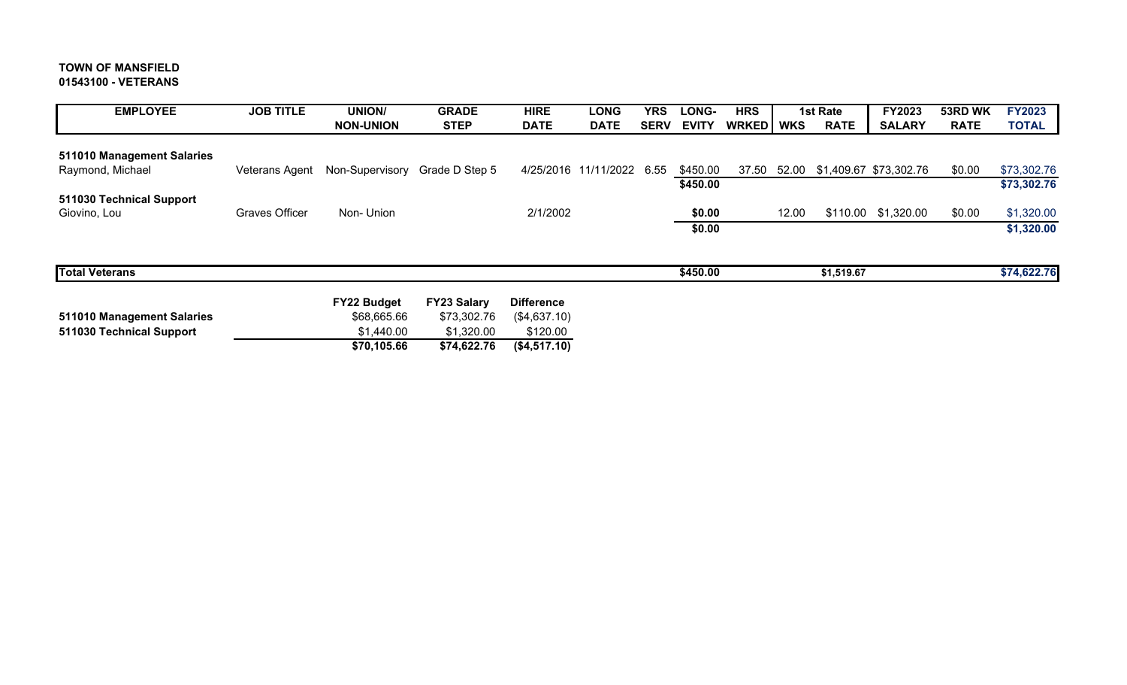# **TOWN OF MANSFIELD 01543100 - VETERANS**

| <b>EMPLOYEE</b>            | <b>JOB TITLE</b> | <b>UNION/</b>      | <b>GRADE</b>       | <b>HIRE</b>       | <b>LONG</b>               | YRS         | LONG-        | <b>HRS</b>   |            | 1st Rate    | FY2023                             | 53RD WK     | <b>FY2023</b> |
|----------------------------|------------------|--------------------|--------------------|-------------------|---------------------------|-------------|--------------|--------------|------------|-------------|------------------------------------|-------------|---------------|
|                            |                  | <b>NON-UNION</b>   | <b>STEP</b>        | <b>DATE</b>       | <b>DATE</b>               | <b>SERV</b> | <b>EVITY</b> | <b>WRKED</b> | <b>WKS</b> | <b>RATE</b> | <b>SALARY</b>                      | <b>RATE</b> | <b>TOTAL</b>  |
| 511010 Management Salaries |                  |                    |                    |                   |                           |             |              |              |            |             |                                    |             |               |
| Raymond, Michael           | Veterans Agent   | Non-Supervisory    | Grade D Step 5     |                   | 4/25/2016 11/11/2022 6.55 |             | \$450.00     |              |            |             | 37.50 52.00 \$1,409.67 \$73,302.76 | \$0.00      | \$73,302.76   |
|                            |                  |                    |                    |                   |                           |             | \$450.00     |              |            |             |                                    |             | \$73,302.76   |
| 511030 Technical Support   |                  |                    |                    |                   |                           |             |              |              |            |             |                                    |             |               |
| Giovino, Lou               | Graves Officer   | Non-Union          |                    | 2/1/2002          |                           |             | \$0.00       |              | 12.00      |             | \$110.00 \$1,320.00                | \$0.00      | \$1,320.00    |
|                            |                  |                    |                    |                   |                           |             | \$0.00       |              |            |             |                                    |             | \$1,320.00    |
|                            |                  |                    |                    |                   |                           |             |              |              |            |             |                                    |             |               |
| <b>Total Veterans</b>      |                  |                    |                    |                   |                           |             | \$450.00     |              |            | \$1,519.67  |                                    |             | \$74,622.76   |
|                            |                  | <b>FY22 Budget</b> | <b>FY23 Salary</b> | <b>Difference</b> |                           |             |              |              |            |             |                                    |             |               |
| 511010 Management Salaries |                  | \$68,665.66        | \$73,302.76        | (\$4,637.10)      |                           |             |              |              |            |             |                                    |             |               |
| 511030 Technical Support   |                  | \$1,440.00         | \$1,320.00         | \$120.00          |                           |             |              |              |            |             |                                    |             |               |
|                            |                  | \$70,105.66        | \$74,622.76        | (\$4,517.10)      |                           |             |              |              |            |             |                                    |             |               |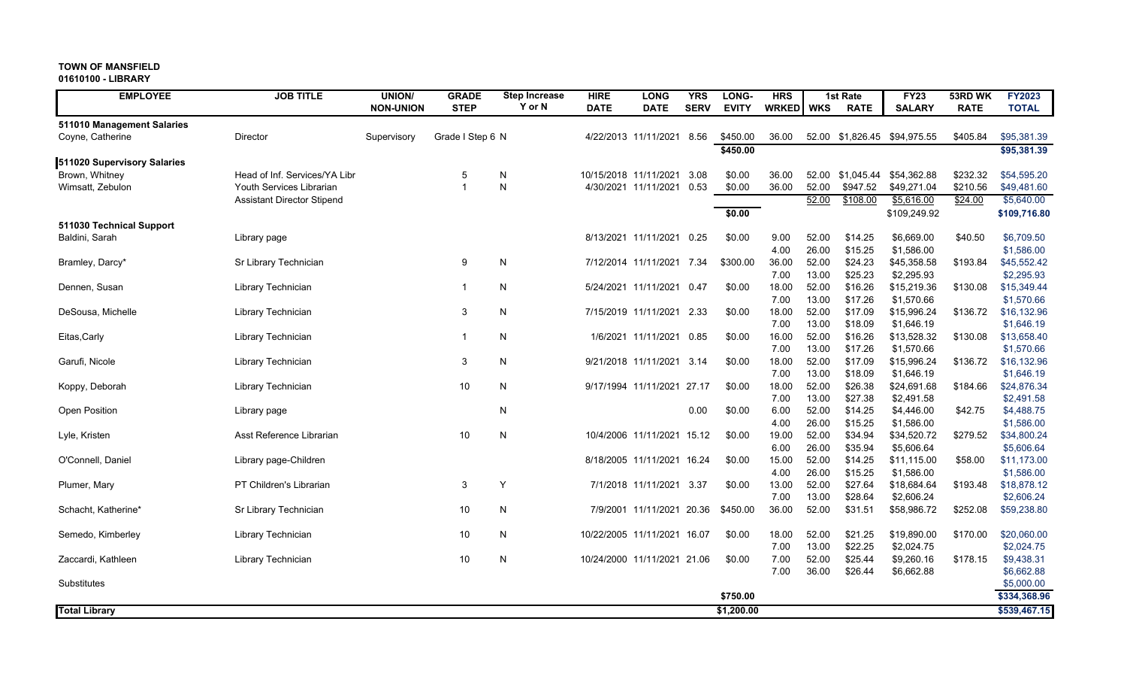**01610100 - LIBRARY**

|                                    | <b>EMPLOYEE</b> | <b>JOB TITLE</b>                                          | <b>UNION/</b>    | <b>GRADE</b>        | <b>Step Increase</b> | <b>HIRE</b> | <b>LONG</b>                                   | <b>YRS</b>   | LONG-            | <b>HRS</b>     |                | 1st Rate               | <b>FY23</b>                | 53RD WK              | <b>FY2023</b>              |
|------------------------------------|-----------------|-----------------------------------------------------------|------------------|---------------------|----------------------|-------------|-----------------------------------------------|--------------|------------------|----------------|----------------|------------------------|----------------------------|----------------------|----------------------------|
|                                    |                 |                                                           | <b>NON-UNION</b> | <b>STEP</b>         | Y or N               | <b>DATE</b> | <b>DATE</b>                                   | <b>SERV</b>  | <b>EVITY</b>     | <b>WRKED</b>   | <b>WKS</b>     | <b>RATE</b>            | <b>SALARY</b>              | <b>RATE</b>          | <b>TOTAL</b>               |
| 511010 Management Salaries         |                 |                                                           |                  |                     |                      |             |                                               |              |                  |                |                |                        |                            |                      |                            |
| Coyne, Catherine                   |                 | Director                                                  | Supervisory      | Grade I Step 6 N    |                      |             | 4/22/2013 11/11/2021                          | 8.56         | \$450.00         | 36.00          | 52.00          | \$1,826.45             | \$94,975.55                | \$405.84             | \$95,381.39                |
|                                    |                 |                                                           |                  |                     |                      |             |                                               |              | \$450.00         |                |                |                        |                            |                      | \$95,381.39                |
| 511020 Supervisory Salaries        |                 |                                                           |                  |                     |                      |             |                                               |              |                  |                |                |                        |                            |                      |                            |
| Brown, Whitney<br>Wimsatt, Zebulon |                 | Head of Inf. Services/YA Libr<br>Youth Services Librarian |                  | 5<br>$\overline{1}$ | N<br>N               |             | 10/15/2018 11/11/2021<br>4/30/2021 11/11/2021 | 3.08<br>0.53 | \$0.00<br>\$0.00 | 36.00<br>36.00 | 52.00<br>52.00 | \$1,045.44<br>\$947.52 | \$54,362.88<br>\$49,271.04 | \$232.32<br>\$210.56 | \$54,595.20<br>\$49,481.60 |
|                                    |                 | <b>Assistant Director Stipend</b>                         |                  |                     |                      |             |                                               |              |                  |                | 52.00          | \$108.00               | \$5,616.00                 | \$24.00              | \$5,640.00                 |
|                                    |                 |                                                           |                  |                     |                      |             |                                               |              | \$0.00           |                |                |                        | \$109,249.92               |                      | \$109,716.80               |
| 511030 Technical Support           |                 |                                                           |                  |                     |                      |             |                                               |              |                  |                |                |                        |                            |                      |                            |
| Baldini, Sarah                     |                 | Library page                                              |                  |                     |                      |             | 8/13/2021 11/11/2021                          | 0.25         | \$0.00           | 9.00           | 52.00          | \$14.25                | \$6,669.00                 | \$40.50              | \$6,709.50                 |
|                                    |                 |                                                           |                  |                     |                      |             |                                               |              |                  | 4.00           | 26.00          | \$15.25                | \$1,586.00                 |                      | \$1,586.00                 |
| Bramley, Darcy*                    |                 | Sr Library Technician                                     |                  | 9                   | ${\sf N}$            |             | 7/12/2014 11/11/2021 7.34                     |              | \$300.00         | 36.00          | 52.00          | \$24.23                | \$45,358.58                | \$193.84             | \$45,552.42                |
|                                    |                 |                                                           |                  |                     |                      |             |                                               |              |                  | 7.00           | 13.00          | \$25.23                | \$2,295.93                 |                      | \$2,295.93                 |
| Dennen, Susan                      |                 | Library Technician                                        |                  | -1                  | N                    |             | 5/24/2021 11/11/2021 0.47                     |              | \$0.00           | 18.00          | 52.00          | \$16.26                | \$15,219.36                | \$130.08             | \$15,349.44                |
|                                    |                 |                                                           |                  |                     |                      |             |                                               |              |                  | 7.00           | 13.00          | \$17.26                | \$1,570.66                 |                      | \$1,570.66                 |
| DeSousa, Michelle                  |                 | Library Technician                                        |                  | 3                   | N                    |             | 7/15/2019 11/11/2021 2.33                     |              | \$0.00           | 18.00          | 52.00          | \$17.09                | \$15,996.24                | \$136.72             | \$16,132.96                |
|                                    |                 |                                                           |                  |                     |                      |             |                                               |              |                  | 7.00           | 13.00          | \$18.09                | \$1,646.19                 |                      | \$1,646.19                 |
| Eitas, Carly                       |                 | Library Technician                                        |                  | -1                  | N                    |             | 1/6/2021 11/11/2021 0.85                      |              | \$0.00           | 16.00          | 52.00          | \$16.26                | \$13,528.32                | \$130.08             | \$13,658.40                |
|                                    |                 |                                                           |                  |                     | N                    |             |                                               |              |                  | 7.00<br>18.00  | 13.00<br>52.00 | \$17.26<br>\$17.09     | \$1,570.66<br>\$15,996.24  |                      | \$1,570.66                 |
| Garufi, Nicole                     |                 | Library Technician                                        |                  | 3                   |                      |             | 9/21/2018 11/11/2021 3.14                     |              | \$0.00           |                | 13.00          | \$18.09                | \$1,646.19                 | \$136.72             | \$16,132.96<br>\$1,646.19  |
| Koppy, Deborah                     |                 | Library Technician                                        |                  | 10                  | N                    |             | 9/17/1994 11/11/2021 27.17                    |              | \$0.00           | 7.00<br>18.00  | 52.00          | \$26.38                | \$24,691.68                | \$184.66             | \$24,876.34                |
|                                    |                 |                                                           |                  |                     |                      |             |                                               |              |                  | 7.00           | 13.00          | \$27.38                | \$2,491.58                 |                      | \$2,491.58                 |
| Open Position                      |                 | Library page                                              |                  |                     | N                    |             |                                               | 0.00         | \$0.00           | 6.00           | 52.00          | \$14.25                | \$4,446.00                 | \$42.75              | \$4,488.75                 |
|                                    |                 |                                                           |                  |                     |                      |             |                                               |              |                  | 4.00           | 26.00          | \$15.25                | \$1,586.00                 |                      | \$1,586.00                 |
| Lyle, Kristen                      |                 | Asst Reference Librarian                                  |                  | 10                  | N                    |             | 10/4/2006 11/11/2021 15.12                    |              | \$0.00           | 19.00          | 52.00          | \$34.94                | \$34,520.72                | \$279.52             | \$34,800.24                |
|                                    |                 |                                                           |                  |                     |                      |             |                                               |              |                  | 6.00           | 26.00          | \$35.94                | \$5,606.64                 |                      | \$5,606.64                 |
| O'Connell, Daniel                  |                 | Library page-Children                                     |                  |                     |                      |             | 8/18/2005 11/11/2021 16.24                    |              | \$0.00           | 15.00          | 52.00          | \$14.25                | \$11,115.00                | \$58.00              | \$11,173.00                |
|                                    |                 |                                                           |                  |                     |                      |             |                                               |              |                  | 4.00           | 26.00          | \$15.25                | \$1,586.00                 |                      | \$1,586.00                 |
| Plumer, Mary                       |                 | PT Children's Librarian                                   |                  | 3                   | Y                    |             | 7/1/2018 11/11/2021 3.37                      |              | \$0.00           | 13.00          | 52.00          | \$27.64                | \$18,684.64                | \$193.48             | \$18,878.12                |
|                                    |                 |                                                           |                  |                     |                      |             |                                               |              |                  | 7.00           | 13.00          | \$28.64                | \$2,606.24                 |                      | \$2,606.24                 |
| Schacht, Katherine*                |                 | Sr Library Technician                                     |                  | 10                  | $\mathsf{N}$         |             | 7/9/2001 11/11/2021 20.36                     |              | \$450.00         | 36.00          | 52.00          | \$31.51                | \$58,986.72                | \$252.08             | \$59,238.80                |
|                                    |                 |                                                           |                  |                     |                      |             |                                               |              |                  |                |                |                        |                            |                      |                            |
| Semedo, Kimberley                  |                 | Library Technician                                        |                  | 10                  | N                    |             | 10/22/2005 11/11/2021 16.07                   |              | \$0.00           | 18.00<br>7.00  | 52.00<br>13.00 | \$21.25<br>\$22.25     | \$19,890.00<br>\$2,024.75  | \$170.00             | \$20,060.00<br>\$2,024.75  |
| Zaccardi, Kathleen                 |                 | Library Technician                                        |                  | 10                  | N                    |             | 10/24/2000 11/11/2021 21.06                   |              | \$0.00           | 7.00           | 52.00          | \$25.44                | \$9,260.16                 | \$178.15             | \$9,438.31                 |
|                                    |                 |                                                           |                  |                     |                      |             |                                               |              |                  | 7.00           | 36.00          | \$26.44                | \$6,662.88                 |                      | \$6,662.88                 |
| Substitutes                        |                 |                                                           |                  |                     |                      |             |                                               |              |                  |                |                |                        |                            |                      | \$5,000.00                 |
|                                    |                 |                                                           |                  |                     |                      |             |                                               |              | \$750.00         |                |                |                        |                            |                      | \$334,368.96               |
| <b>Total Library</b>               |                 |                                                           |                  |                     |                      |             |                                               |              | \$1,200.00       |                |                |                        |                            |                      | \$539,467.15               |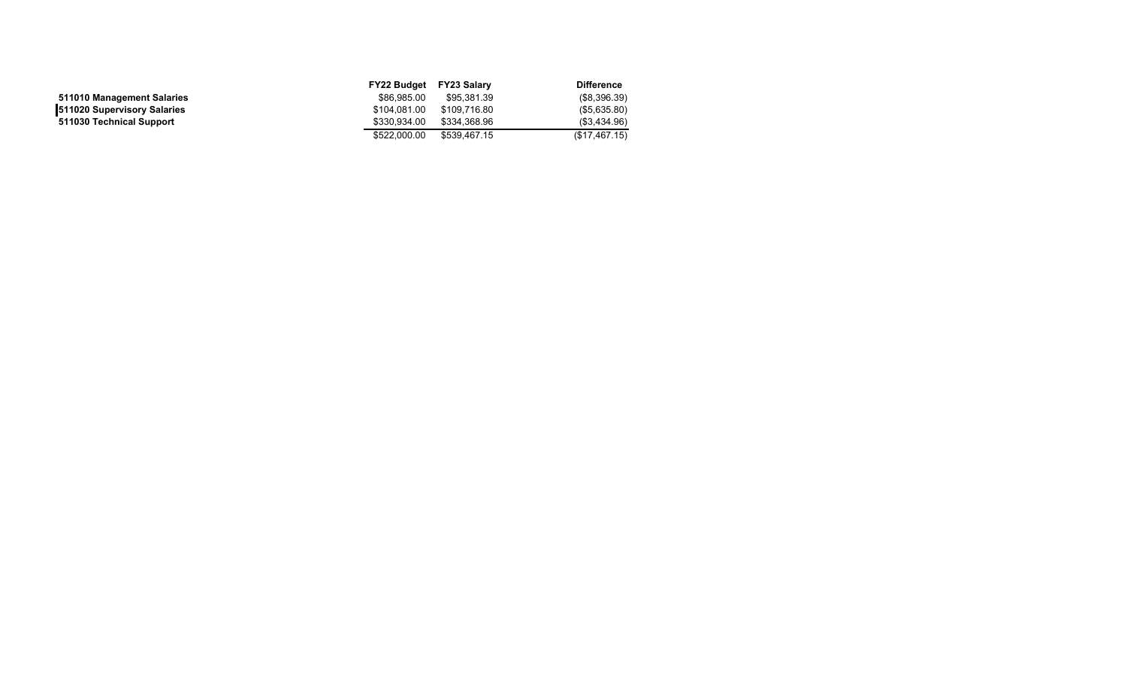|                                    | FY22 Budget  | FY23 Salarv  | <b>Difference</b> |
|------------------------------------|--------------|--------------|-------------------|
| 511010 Management Salaries         | \$86,985,00  | \$95.381.39  | (\$8,396.39)      |
| <b>511020 Supervisory Salaries</b> | \$104,081.00 | \$109.716.80 | (\$5,635.80)      |
| 511030 Technical Support           | \$330.934.00 | \$334.368.96 | (\$3,434.96)      |
|                                    | \$522,000.00 | \$539.467.15 | (\$17,467.15)     |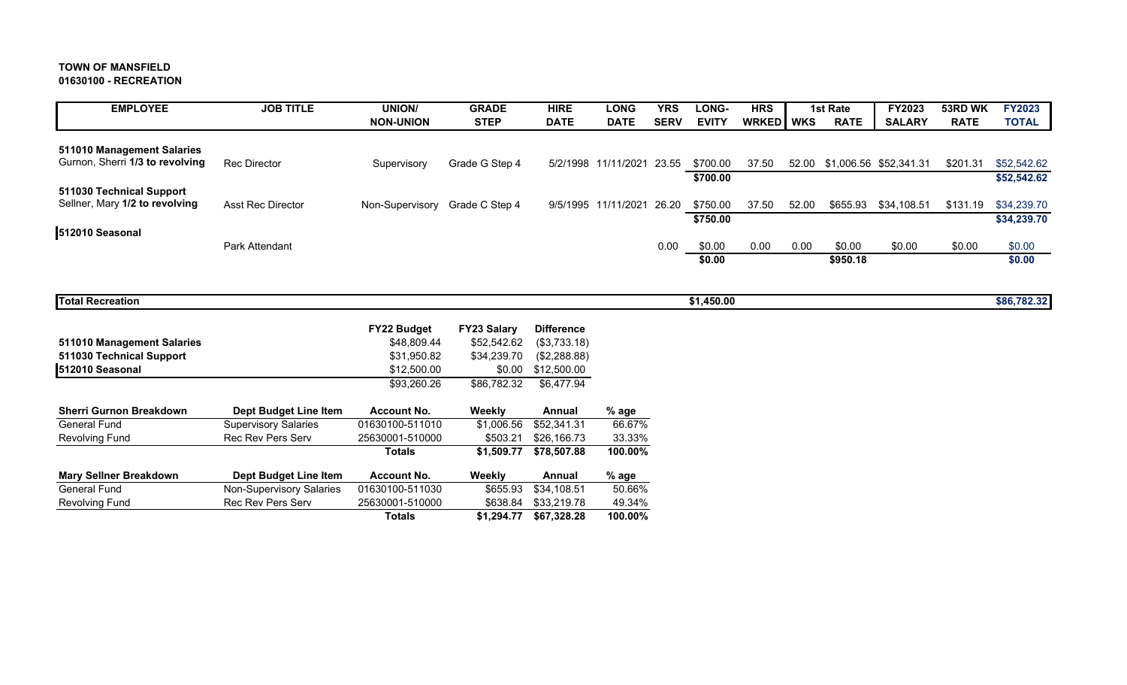**01630100 - RECREATION**

| <b>EMPLOYEE</b>                                            | <b>JOB TITLE</b>                | <b>UNION/</b>              | <b>GRADE</b>                      | <b>HIRE</b>                       | <b>LONG</b>         | <b>YRS</b>  | LONG-        | <b>HRS</b>   |            | <b>1st Rate</b> | <b>FY2023</b>                | 53RD WK     | <b>FY2023</b> |
|------------------------------------------------------------|---------------------------------|----------------------------|-----------------------------------|-----------------------------------|---------------------|-------------|--------------|--------------|------------|-----------------|------------------------------|-------------|---------------|
|                                                            |                                 | <b>NON-UNION</b>           | <b>STEP</b>                       | <b>DATE</b>                       | <b>DATE</b>         | <b>SERV</b> | <b>EVITY</b> | <b>WRKED</b> | <b>WKS</b> | <b>RATE</b>     | <b>SALARY</b>                | <b>RATE</b> | <b>TOTAL</b>  |
| 511010 Management Salaries                                 |                                 |                            |                                   |                                   |                     |             |              |              |            |                 |                              |             |               |
| Gurnon, Sherri 1/3 to revolving                            | <b>Rec Director</b>             | Supervisory                | Grade G Step 4                    |                                   | 5/2/1998 11/11/2021 | 23.55       | \$700.00     | 37.50        |            |                 | 52.00 \$1,006.56 \$52,341.31 | \$201.31    | \$52,542.62   |
|                                                            |                                 |                            |                                   |                                   |                     |             | \$700.00     |              |            |                 |                              |             | \$52,542.62   |
| 511030 Technical Support<br>Sellner, Mary 1/2 to revolving | <b>Asst Rec Director</b>        | Non-Supervisory            | Grade C Step 4                    |                                   | 9/5/1995 11/11/2021 | 26.20       | \$750.00     | 37.50        | 52.00      | \$655.93        | \$34,108.51                  | \$131.19    | \$34,239.70   |
|                                                            |                                 |                            |                                   |                                   |                     |             | \$750.00     |              |            |                 |                              |             | \$34,239.70   |
| 512010 Seasonal                                            |                                 |                            |                                   |                                   |                     |             |              |              |            |                 |                              |             |               |
|                                                            | Park Attendant                  |                            |                                   |                                   |                     | 0.00        | \$0.00       | 0.00         | 0.00       | \$0.00          | \$0.00                       | \$0.00      | \$0.00        |
|                                                            |                                 |                            |                                   |                                   |                     |             | \$0.00       |              |            | \$950.18        |                              |             | \$0.00        |
|                                                            |                                 |                            |                                   |                                   |                     |             |              |              |            |                 |                              |             |               |
| <b>Total Recreation</b>                                    |                                 |                            |                                   |                                   |                     |             | \$1,450.00   |              |            |                 |                              |             | \$86,782.32   |
|                                                            |                                 |                            |                                   |                                   |                     |             |              |              |            |                 |                              |             |               |
| 511010 Management Salaries                                 |                                 | FY22 Budget<br>\$48,809.44 | <b>FY23 Salary</b><br>\$52,542.62 | <b>Difference</b><br>(\$3,733.18) |                     |             |              |              |            |                 |                              |             |               |
| 511030 Technical Support                                   |                                 | \$31,950.82                | \$34,239.70                       | (\$2,288.88)                      |                     |             |              |              |            |                 |                              |             |               |
| 512010 Seasonal                                            |                                 | \$12,500.00                | \$0.00                            | \$12,500.00                       |                     |             |              |              |            |                 |                              |             |               |
|                                                            |                                 | \$93,260.26                | \$86,782.32                       | \$6,477.94                        |                     |             |              |              |            |                 |                              |             |               |
| <b>Sherri Gurnon Breakdown</b>                             | <b>Dept Budget Line Item</b>    | <b>Account No.</b>         | Weekly                            | Annual                            | % age               |             |              |              |            |                 |                              |             |               |
| <b>General Fund</b>                                        | <b>Supervisory Salaries</b>     | 01630100-511010            | \$1,006.56                        | \$52,341.31                       | 66.67%              |             |              |              |            |                 |                              |             |               |
| <b>Revolving Fund</b>                                      | Rec Rev Pers Serv               | 25630001-510000            | \$503.21                          | \$26,166.73                       | 33.33%              |             |              |              |            |                 |                              |             |               |
|                                                            |                                 | <b>Totals</b>              | \$1,509.77                        | \$78,507.88                       | 100.00%             |             |              |              |            |                 |                              |             |               |
| <b>Mary Sellner Breakdown</b>                              | Dept Budget Line Item           | <b>Account No.</b>         | Weekly                            | Annual                            | $%$ age             |             |              |              |            |                 |                              |             |               |
| <b>General Fund</b>                                        | <b>Non-Supervisory Salaries</b> | 01630100-511030            | \$655.93                          | \$34,108.51                       | 50.66%              |             |              |              |            |                 |                              |             |               |
| <b>Revolving Fund</b>                                      | <b>Rec Rev Pers Serv</b>        | 25630001-510000            | \$638.84                          | \$33,219.78                       | 49.34%              |             |              |              |            |                 |                              |             |               |
|                                                            |                                 | <b>Totals</b>              | \$1,294.77                        | \$67,328.28                       | 100.00%             |             |              |              |            |                 |                              |             |               |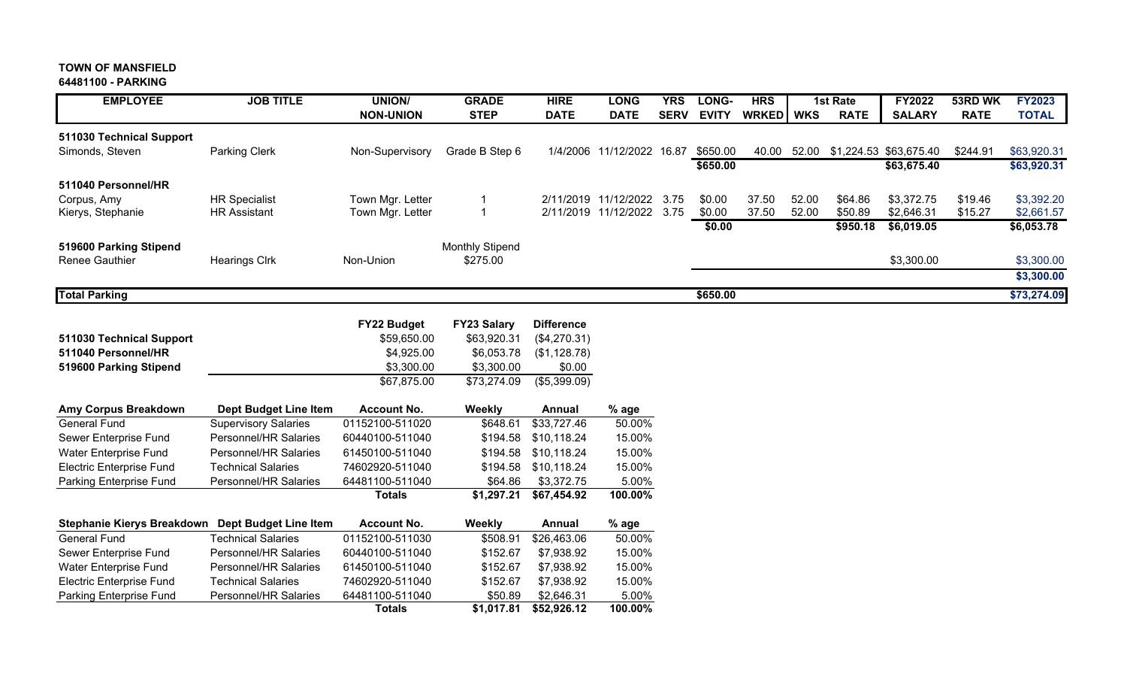#### **TOWN OF MANSFIELD64481100 - PARKING**

# EMPLOYEE JOB TITLE UNION/ GRADE HIRE LONG YRS LONG- HRS I 1st Rate I FY2022 53RD WK **FY2023 NON-UNION STEP DATE DATE SERV EVITY WRKED WKS RATE SALARY RATE TOTAL 511030 Technical Support** Simonds, Steven **Parking Clerk** Non-Supervisory Grade B Step 6 1/4/2006 11/12/2022 16.87 \$650.00 40.00 52.00 \$1,224.53 \$63,675.40 \$244.91 \$63,920.31 **\$650.00 \$63,675.40 \$63,920.31 511040 Personnel/HR**Corpus, Amy HR Specialist Town Mgr. Letter 1 2/11/2019 11/12/2022 3.75 \$0.00 37.50 52.00 \$64.86 \$3,372.75 \$19.46 \$3,392.20 Kierys, Stephanie **HR Assistant** Town Mgr. Letter 1 2/11/2019 11/12/2022 3.75 \$0.00 37.50 52.00 \$50.89 \$2,646.31 \$15.27 \$2,661.57 **\$0.00 \$950.18 \$6,019.05 \$6,053.78 519600 Parking Stipend Community Stipend Community Stipend Monthly Stipend Monthly Stipend** Renee Gauthier Hearings Clrk Non-Union \$275.00 \$3,300.00 \$3,300.00 **\$3,300.00 Total Parking \$650.00 \$73,274.09 FY22 Budget FY23 Salary Difference 511030 Technical Support** \$59,650.00 \$63,920.31 (\$4,270.31) **511040 Personnel/HR** \$4,925.00 \$6,053.78 (\$1,128.78) **519600 Parking Stipend**  $$3,300.00$   $$3,300.00$   $$0.00$ \$67,875.00 \$73,274.09 (\$5,399.09) **Amy Corpus Breakdown Dept Budget Line Item Account No. Weekly Annual % age** General Fund Supervisory Salaries 01152100-511020 \$648.61 \$33,727.46 50.00% Sewer Enterprise Fund Personnel/HR Salaries 60440100-511040 \$194.58 \$10,118.24 15.00% Water Enterprise Fund Personnel/HR Salaries 61450100-511040 \$194.58 \$10,118.24 15.00% Electric Enterprise Fund Technical Salaries 74602920-511040 \$194.58 \$10,118.24 15.00% Parking Enterprise Fund Personnel/HR Salaries 64481100-511040 \$64.86 \$3,372.75 5.00% **Totals \$1,297.21 \$67,454.92 100.00% Stephanie Kierys Breakdown Dept Budget Line Item Account No. Weekly Annual % age**

| Stepnanie Kierys Breakdown      | <b>Dept Budget Line item</b> | <b>ACCOUNT NO.</b> | <b>WEEKIV</b> | Annual      | % age   |
|---------------------------------|------------------------------|--------------------|---------------|-------------|---------|
| General Fund                    | <b>Technical Salaries</b>    | 01152100-511030    | \$508.91      | \$26.463.06 | 50.00%  |
| Sewer Enterprise Fund           | Personnel/HR Salaries        | 60440100-511040    | \$152.67      | \$7.938.92  | 15.00%  |
| Water Enterprise Fund           | Personnel/HR Salaries        | 61450100-511040    | \$152.67      | \$7.938.92  | 15.00%  |
| <b>Electric Enterprise Fund</b> | <b>Technical Salaries</b>    | 74602920-511040    | \$152.67      | \$7.938.92  | 15.00%  |
| Parking Enterprise Fund         | Personnel/HR Salaries        | 64481100-511040    | \$50.89       | \$2,646,31  | 5.00%   |
|                                 |                              | <b>Totals</b>      | \$1.017.81    | \$52,926.12 | 100.00% |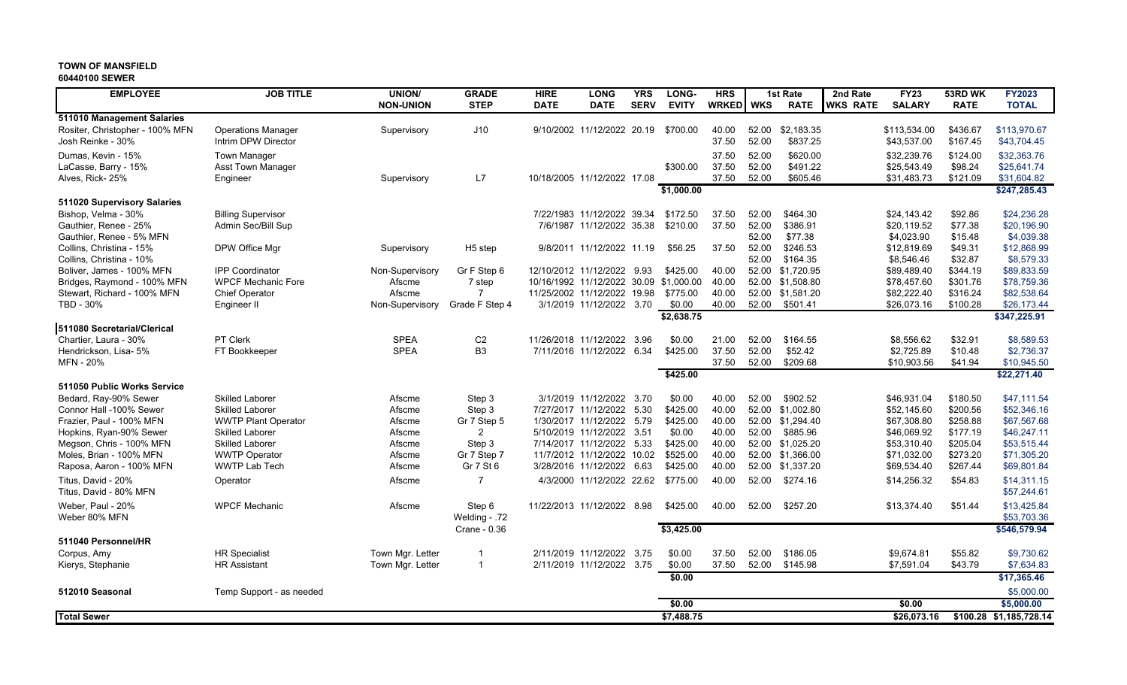#### **60440100 SEWER**

| <b>EMPLOYEE</b>                                     | <b>JOB TITLE</b>                             | <b>UNION/</b>    | <b>GRADE</b>             | <b>HIRE</b> | <b>LONG</b>                                             | <b>YRS</b>  | LONG-                | <b>HRS</b>     |            | <b>1st Rate</b>                | 2nd Rate        | FY23                       | 53RD WK              | <b>FY2023</b>               |
|-----------------------------------------------------|----------------------------------------------|------------------|--------------------------|-------------|---------------------------------------------------------|-------------|----------------------|----------------|------------|--------------------------------|-----------------|----------------------------|----------------------|-----------------------------|
|                                                     |                                              | <b>NON-UNION</b> | <b>STEP</b>              | <b>DATE</b> | <b>DATE</b>                                             | <b>SERV</b> | <b>EVITY</b>         | <b>WRKED</b>   | <b>WKS</b> | <b>RATE</b>                    | <b>WKS RATE</b> | <b>SALARY</b>              | <b>RATE</b>          | <b>TOTAL</b>                |
| 511010 Management Salaries                          |                                              |                  |                          |             |                                                         |             |                      |                |            |                                |                 |                            |                      |                             |
| Rositer, Christopher - 100% MFN                     | <b>Operations Manager</b>                    | Supervisory      | J10                      |             | 9/10/2002 11/12/2022 20.19                              |             | \$700.00             | 40.00          | 52.00      | \$2,183.35                     |                 | \$113,534.00               | \$436.67             | \$113,970.67                |
| Josh Reinke - 30%                                   | Intrim DPW Director                          |                  |                          |             |                                                         |             |                      | 37.50          | 52.00      | \$837.25                       |                 | \$43,537.00                | \$167.45             | \$43,704.45                 |
| Dumas, Kevin - 15%                                  | <b>Town Manager</b>                          |                  |                          |             |                                                         |             |                      | 37.50          | 52.00      | \$620.00                       |                 | \$32.239.76                | \$124.00             | \$32,363.76                 |
| LaCasse, Barry - 15%                                | <b>Asst Town Manager</b>                     |                  |                          |             |                                                         |             | \$300.00             | 37.50          | 52.00      | \$491.22                       |                 | \$25,543.49                | \$98.24              | \$25.641.74                 |
| Alves, Rick- 25%                                    | Engineer                                     | Supervisory      | L7                       |             | 10/18/2005 11/12/2022 17.08                             |             | \$1,000.00           | 37.50          | 52.00      | \$605.46                       |                 | \$31,483.73                | \$121.09             | \$31,604.82<br>\$247,285.43 |
|                                                     |                                              |                  |                          |             |                                                         |             |                      |                |            |                                |                 |                            |                      |                             |
| 511020 Supervisory Salaries<br>Bishop, Velma - 30%  | <b>Billing Supervisor</b>                    |                  |                          |             | 7/22/1983 11/12/2022 39.34                              |             | \$172.50             | 37.50          | 52.00      | \$464.30                       |                 | \$24,143.42                | \$92.86              | \$24,236.28                 |
| Gauthier, Renee - 25%                               | Admin Sec/Bill Sup                           |                  |                          |             | 7/6/1987 11/12/2022 35.38                               |             | \$210.00             | 37.50          | 52.00      | \$386.91                       |                 | \$20,119.52                | \$77.38              | \$20,196.90                 |
| Gauthier, Renee - 5% MFN                            |                                              |                  |                          |             |                                                         |             |                      |                | 52.00      | \$77.38                        |                 | \$4,023.90                 | \$15.48              | \$4,039.38                  |
| Collins, Christina - 15%                            | DPW Office Mgr                               | Supervisory      | H <sub>5</sub> step      |             | 9/8/2011 11/12/2022 11.19                               |             | \$56.25              | 37.50          | 52.00      | \$246.53                       |                 | \$12,819.69                | \$49.31              | \$12,868.99                 |
| Collins, Christina - 10%                            |                                              |                  |                          |             |                                                         |             |                      |                | 52.00      | \$164.35                       |                 | \$8,546.46                 | \$32.87              | \$8.579.33                  |
| Boliver, James - 100% MFN                           | <b>IPP Coordinator</b>                       | Non-Supervisory  | Gr F Step 6              |             | 12/10/2012 11/12/2022 9.93                              |             | \$425.00             | 40.00          |            | 52.00 \$1.720.95               |                 | \$89,489.40                | \$344.19             | \$89.833.59                 |
| Bridges, Raymond - 100% MFN                         | <b>WPCF Mechanic Fore</b>                    | Afscme           | 7 step                   |             | 10/16/1992 11/12/2022 30.09                             |             | \$1,000.00           | 40.00          |            | 52.00 \$1,508.80               |                 | \$78,457.60                | \$301.76             | \$78,759.36                 |
| Stewart, Richard - 100% MFN                         | <b>Chief Operator</b>                        | Afscme           |                          |             | 11/25/2002 11/12/2022 19.98                             |             | \$775.00             | 40.00          | 52.00      | \$1,581.20                     |                 | \$82,222.40                | \$316.24             | \$82,538.64                 |
| TBD - 30%                                           | Engineer II                                  | Non-Supervisory  | Grade F Step 4           |             | 3/1/2019 11/12/2022 3.70                                |             | \$0.00               | 40.00          | 52.00      | \$501.41                       |                 | \$26,073.16                | \$100.28             | \$26,173.44                 |
|                                                     |                                              |                  |                          |             |                                                         |             | \$2,638.75           |                |            |                                |                 |                            |                      | \$347,225.91                |
| 511080 Secretarial/Clerical                         |                                              |                  |                          |             |                                                         |             |                      |                |            |                                |                 |                            |                      |                             |
| Chartier, Laura - 30%                               | PT Clerk                                     | <b>SPEA</b>      | C <sub>2</sub>           |             | 11/26/2018 11/12/2022 3.96                              |             | \$0.00               | 21.00          | 52.00      | \$164.55                       |                 | \$8,556.62                 | \$32.91              | \$8,589.53                  |
| Hendrickson, Lisa- 5%                               | FT Bookkeeper                                | <b>SPEA</b>      | B <sub>3</sub>           |             | 7/11/2016 11/12/2022 6.34                               |             | \$425.00             | 37.50          | 52.00      | \$52.42                        |                 | \$2,725.89                 | \$10.48              | \$2,736.37                  |
| MFN - 20%                                           |                                              |                  |                          |             |                                                         |             |                      | 37.50          | 52.00      | \$209.68                       |                 | \$10,903.56                | \$41.94              | \$10,945.50                 |
|                                                     |                                              |                  |                          |             |                                                         |             | \$425.00             |                |            |                                |                 |                            |                      | \$22,271.40                 |
| 511050 Public Works Service                         |                                              |                  |                          |             |                                                         |             |                      |                |            |                                |                 |                            |                      |                             |
| Bedard, Ray-90% Sewer                               | <b>Skilled Laborer</b>                       | Afscme           | Step 3                   |             | 3/1/2019 11/12/2022 3.70                                |             | \$0.00               | 40.00          | 52.00      | \$902.52                       |                 | \$46,931.04                | \$180.50             | \$47,111.54                 |
| Connor Hall -100% Sewer                             | <b>Skilled Laborer</b>                       | Afscme           | Step 3                   |             | 7/27/2017 11/12/2022 5.30                               |             | \$425.00             | 40.00          | 52.00      | \$1.002.80                     |                 | \$52,145.60                | \$200.56             | \$52,346.16                 |
| Frazier, Paul - 100% MFN                            | <b>WWTP Plant Operator</b>                   | Afscme           | Gr 7 Step 5              |             | 1/30/2017 11/12/2022 5.79                               |             | \$425.00             | 40.00          | 52.00      | \$1.294.40                     |                 | \$67,308.80                | \$258.88             | \$67,567.68                 |
| Hopkins, Ryan-90% Sewer                             | <b>Skilled Laborer</b>                       | Afscme           | $\overline{2}$           |             | 5/10/2019 11/12/2022 3.51                               |             | \$0.00               | 40.00          | 52.00      | \$885.96                       |                 | \$46,069.92                | \$177.19             | \$46,247.11                 |
| Megson, Chris - 100% MFN                            | <b>Skilled Laborer</b>                       | Afscme<br>Afscme | Step 3                   |             | 7/14/2017 11/12/2022 5.33                               |             | \$425.00<br>\$525.00 | 40.00<br>40.00 | 52.00      | \$1,025.20                     |                 | \$53,310.40                | \$205.04<br>\$273.20 | \$53,515.44                 |
| Moles, Brian - 100% MFN<br>Raposa, Aaron - 100% MFN | <b>WWTP Operator</b><br><b>WWTP Lab Tech</b> | Afscme           | Gr 7 Step 7<br>Gr 7 St 6 |             | 11/7/2012 11/12/2022 10.02<br>3/28/2016 11/12/2022 6.63 |             | \$425.00             | 40.00          | 52.00      | 52.00 \$1,366.00<br>\$1,337.20 |                 | \$71,032.00<br>\$69,534.40 | \$267.44             | \$71,305.20<br>\$69,801.84  |
|                                                     |                                              |                  |                          |             |                                                         |             |                      |                |            |                                |                 |                            |                      |                             |
| Titus. David - 20%<br>Titus, David - 80% MFN        | Operator                                     | Afscme           | $\overline{7}$           |             | 4/3/2000 11/12/2022 22.62                               |             | \$775.00             | 40.00          | 52.00      | \$274.16                       |                 | \$14,256.32                | \$54.83              | \$14,311.15<br>\$57,244.61  |
| Weber, Paul - 20%                                   | <b>WPCF Mechanic</b>                         | Afscme           | Step 6                   |             | 11/22/2013 11/12/2022 8.98                              |             | \$425.00             | 40.00          | 52.00      | \$257.20                       |                 | \$13,374.40                | \$51.44              | \$13,425.84                 |
| Weber 80% MFN                                       |                                              |                  | Welding - .72            |             |                                                         |             |                      |                |            |                                |                 |                            |                      | \$53,703.36                 |
|                                                     |                                              |                  | Crane - 0.36             |             |                                                         |             | \$3,425.00           |                |            |                                |                 |                            |                      | \$546,579.94                |
| 511040 Personnel/HR                                 |                                              |                  |                          |             |                                                         |             |                      |                |            |                                |                 |                            |                      |                             |
| Corpus, Amy                                         | <b>HR Specialist</b>                         | Town Mgr. Letter |                          |             | 2/11/2019 11/12/2022 3.75                               |             | \$0.00               | 37.50          | 52.00      | \$186.05                       |                 | \$9,674.81                 | \$55.82              | \$9,730.62                  |
| Kierys, Stephanie                                   | <b>HR Assistant</b>                          | Town Mgr. Letter | $\overline{1}$           |             | 2/11/2019 11/12/2022 3.75                               |             | \$0.00               | 37.50          | 52.00      | \$145.98                       |                 | \$7.591.04                 | \$43.79              | \$7,634.83                  |
|                                                     |                                              |                  |                          |             |                                                         |             | \$0.00               |                |            |                                |                 |                            |                      | \$17,365.46                 |
| 512010 Seasonal                                     | Temp Support - as needed                     |                  |                          |             |                                                         |             |                      |                |            |                                |                 |                            |                      | \$5,000.00                  |
|                                                     |                                              |                  |                          |             |                                                         |             | \$0.00               |                |            |                                |                 | \$0.00                     |                      | \$5,000.00                  |
| <b>Total Sewer</b>                                  |                                              |                  |                          |             |                                                         |             | \$7,488.75           |                |            |                                |                 | \$26,073.16                |                      | \$100.28 \$1,185,728.14     |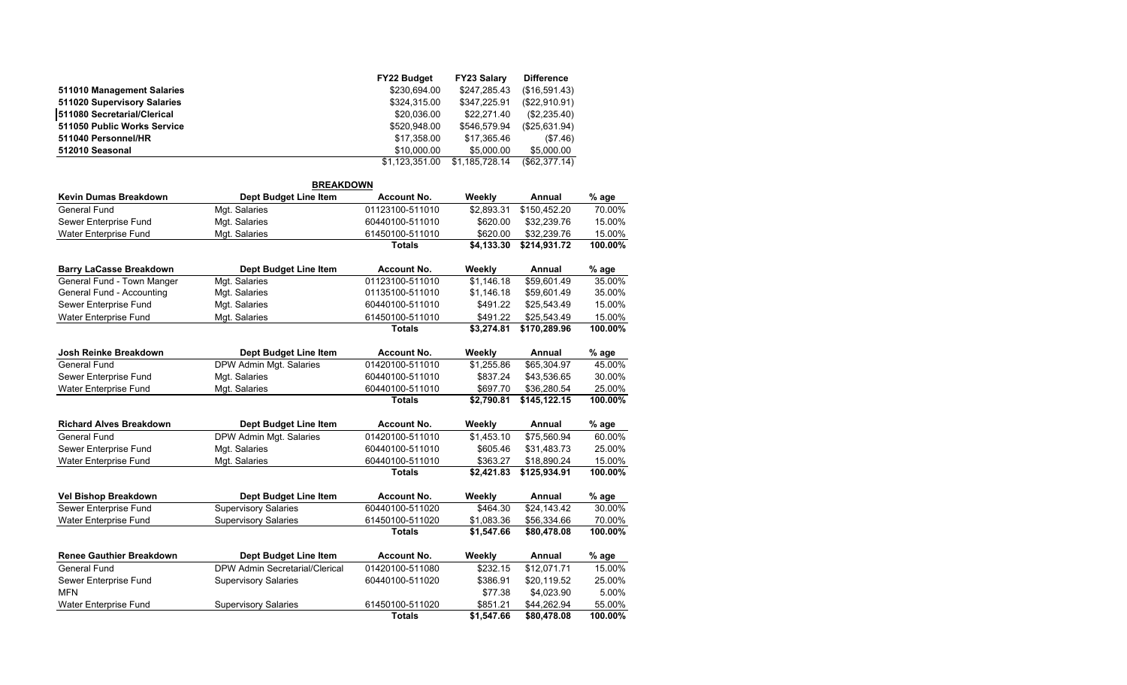|                             | <b>FY22 Budget</b> | <b>FY23 Salary</b> | <b>Difference</b> |
|-----------------------------|--------------------|--------------------|-------------------|
| 511010 Management Salaries  | \$230,694.00       | \$247,285.43       | (\$16,591.43)     |
| 511020 Supervisory Salaries | \$324,315.00       | \$347.225.91       | (\$22,910.91)     |
| 511080 Secretarial/Clerical | \$20,036.00        | \$22,271.40        | (\$2,235.40)      |
| 511050 Public Works Service | \$520,948.00       | \$546,579.94       | (\$25,631.94)     |
| 511040 Personnel/HR         | \$17,358.00        | \$17,365.46        | (\$7.46)          |
| 512010 Seasonal             | \$10,000.00        | \$5,000.00         | \$5,000.00        |
|                             | \$1.123.351.00     | \$1,185,728.14     | (\$62,377.14)     |
|                             |                    |                    |                   |

| <b>BREAKDOWN</b>                |                                |                    |            |               |         |  |  |  |  |  |  |
|---------------------------------|--------------------------------|--------------------|------------|---------------|---------|--|--|--|--|--|--|
| Kevin Dumas Breakdown           | <b>Dept Budget Line Item</b>   | <b>Account No.</b> | Weekly     | Annual        | % age   |  |  |  |  |  |  |
| General Fund                    | Mgt. Salaries                  | 01123100-511010    | \$2,893.31 | \$150,452.20  | 70.00%  |  |  |  |  |  |  |
| Sewer Enterprise Fund           | Mat. Salaries                  | 60440100-511010    | \$620.00   | \$32,239.76   | 15.00%  |  |  |  |  |  |  |
| <b>Water Enterprise Fund</b>    | Mgt. Salaries                  | 61450100-511010    | \$620.00   | \$32.239.76   | 15.00%  |  |  |  |  |  |  |
|                                 |                                | <b>Totals</b>      | \$4,133.30 | \$214,931.72  | 100.00% |  |  |  |  |  |  |
| <b>Barry LaCasse Breakdown</b>  | Dept Budget Line Item          | <b>Account No.</b> | Weekly     | Annual        | % age   |  |  |  |  |  |  |
| General Fund - Town Manger      | Mgt. Salaries                  | 01123100-511010    | \$1,146.18 | \$59,601.49   | 35.00%  |  |  |  |  |  |  |
| General Fund - Accounting       | Mgt. Salaries                  | 01135100-511010    | \$1,146.18 | \$59,601.49   | 35.00%  |  |  |  |  |  |  |
| Sewer Enterprise Fund           | Mgt. Salaries                  | 60440100-511010    | \$491.22   | \$25,543.49   | 15.00%  |  |  |  |  |  |  |
| Water Enterprise Fund           | Mgt. Salaries                  | 61450100-511010    | \$491.22   | \$25,543.49   | 15.00%  |  |  |  |  |  |  |
|                                 |                                | <b>Totals</b>      | \$3,274.81 | \$170,289.96  | 100.00% |  |  |  |  |  |  |
| Josh Reinke Breakdown           | <b>Dept Budget Line Item</b>   | <b>Account No.</b> | Weekly     | <b>Annual</b> | % age   |  |  |  |  |  |  |
| General Fund                    | DPW Admin Mgt. Salaries        | 01420100-511010    | \$1,255.86 | \$65,304.97   | 45.00%  |  |  |  |  |  |  |
| Sewer Enterprise Fund           | Mgt. Salaries                  | 60440100-511010    | \$837.24   | \$43,536.65   | 30.00%  |  |  |  |  |  |  |
| Water Enterprise Fund           | Mgt. Salaries                  | 60440100-511010    | \$697.70   | \$36,280.54   | 25.00%  |  |  |  |  |  |  |
|                                 |                                | <b>Totals</b>      | \$2,790.81 | \$145,122.15  | 100.00% |  |  |  |  |  |  |
| <b>Richard Alves Breakdown</b>  | Dept Budget Line Item          | <b>Account No.</b> | Weekly     | Annual        | % age   |  |  |  |  |  |  |
| General Fund                    | DPW Admin Mgt. Salaries        | 01420100-511010    | \$1,453.10 | \$75,560.94   | 60.00%  |  |  |  |  |  |  |
| Sewer Enterprise Fund           | Mgt. Salaries                  | 60440100-511010    | \$605.46   | \$31,483.73   | 25.00%  |  |  |  |  |  |  |
| <b>Water Enterprise Fund</b>    | Mgt. Salaries                  | 60440100-511010    | \$363.27   | \$18,890.24   | 15.00%  |  |  |  |  |  |  |
|                                 |                                | <b>Totals</b>      | \$2,421.83 | \$125,934.91  | 100.00% |  |  |  |  |  |  |
| <b>Vel Bishop Breakdown</b>     | <b>Dept Budget Line Item</b>   | <b>Account No.</b> | Weekly     | Annual        | % age   |  |  |  |  |  |  |
| Sewer Enterprise Fund           | <b>Supervisory Salaries</b>    | 60440100-511020    | \$464.30   | \$24.143.42   | 30.00%  |  |  |  |  |  |  |
| <b>Water Enterprise Fund</b>    | <b>Supervisory Salaries</b>    | 61450100-511020    | \$1,083.36 | \$56,334.66   | 70.00%  |  |  |  |  |  |  |
|                                 |                                | <b>Totals</b>      | \$1,547.66 | \$80,478.08   | 100.00% |  |  |  |  |  |  |
| <b>Renee Gauthier Breakdown</b> | <b>Dept Budget Line Item</b>   | <b>Account No.</b> | Weekly     | Annual        | % age   |  |  |  |  |  |  |
| <b>General Fund</b>             | DPW Admin Secretarial/Clerical | 01420100-511080    | \$232.15   | \$12,071.71   | 15.00%  |  |  |  |  |  |  |
| Sewer Enterprise Fund           | <b>Supervisory Salaries</b>    | 60440100-511020    | \$386.91   | \$20,119.52   | 25.00%  |  |  |  |  |  |  |
| <b>MFN</b>                      |                                |                    | \$77.38    | \$4,023.90    | 5.00%   |  |  |  |  |  |  |
| <b>Water Enterprise Fund</b>    | <b>Supervisory Salaries</b>    | 61450100-511020    | \$851.21   | \$44,262.94   | 55.00%  |  |  |  |  |  |  |
|                                 |                                | <b>Totals</b>      | \$1,547.66 | \$80,478.08   | 100.00% |  |  |  |  |  |  |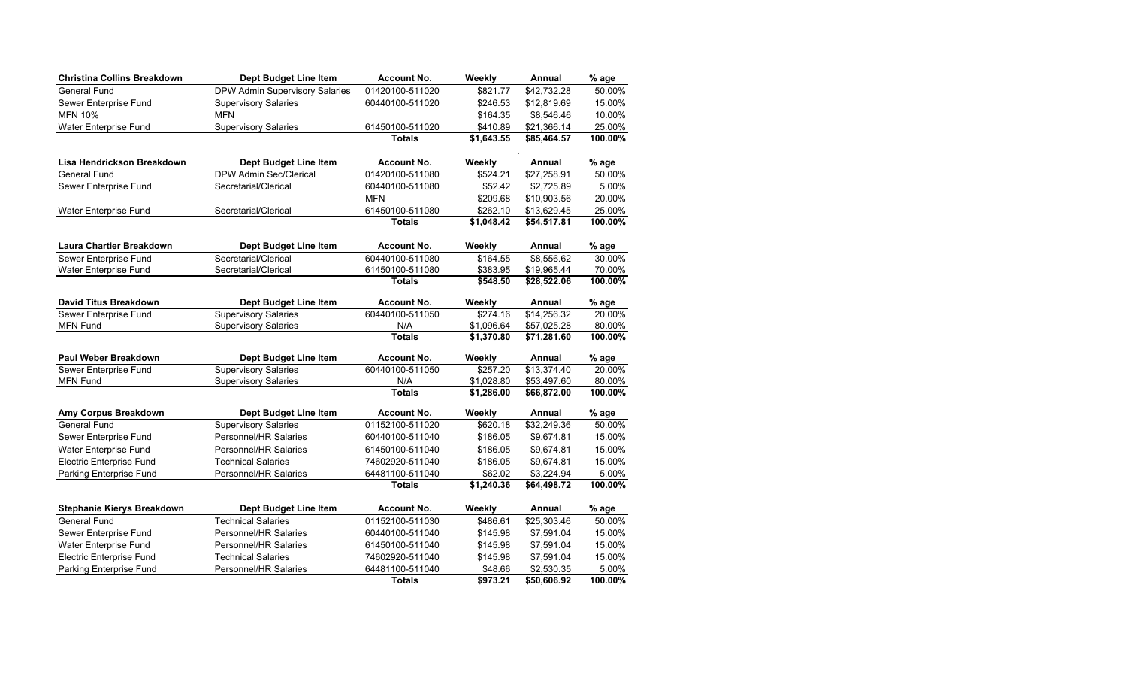| <b>Christina Collins Breakdown</b> | Dept Budget Line Item                 | <b>Account No.</b> | Weekly     | Annual        | % age   |
|------------------------------------|---------------------------------------|--------------------|------------|---------------|---------|
| <b>General Fund</b>                | <b>DPW Admin Supervisory Salaries</b> | 01420100-511020    | \$821.77   | \$42,732.28   | 50.00%  |
| Sewer Enterprise Fund              | <b>Supervisory Salaries</b>           | 60440100-511020    | \$246.53   | \$12,819.69   | 15.00%  |
| <b>MFN 10%</b>                     | <b>MFN</b>                            |                    | \$164.35   | \$8,546.46    | 10.00%  |
| Water Enterprise Fund              | <b>Supervisory Salaries</b>           | 61450100-511020    | \$410.89   | \$21,366.14   | 25.00%  |
|                                    |                                       | <b>Totals</b>      | \$1,643.55 | \$85,464.57   | 100.00% |
| Lisa Hendrickson Breakdown         | Dept Budget Line Item                 | <b>Account No.</b> | Weekly     | <b>Annual</b> | % age   |
| <b>General Fund</b>                | DPW Admin Sec/Clerical                | 01420100-511080    | \$524.21   | \$27,258.91   | 50.00%  |
| Sewer Enterprise Fund              | Secretarial/Clerical                  | 60440100-511080    | \$52.42    | \$2,725.89    | 5.00%   |
|                                    |                                       | <b>MFN</b>         | \$209.68   | \$10,903.56   | 20.00%  |
| Water Enterprise Fund              | Secretarial/Clerical                  | 61450100-511080    | \$262.10   | \$13,629.45   | 25.00%  |
|                                    |                                       | <b>Totals</b>      | \$1,048.42 | \$54,517.81   | 100.00% |
| <b>Laura Chartier Breakdown</b>    | Dept Budget Line Item                 | <b>Account No.</b> | Weekly     | Annual        | % age   |
| Sewer Enterprise Fund              | Secretarial/Clerical                  | 60440100-511080    | \$164.55   | \$8,556.62    | 30.00%  |
| Water Enterprise Fund              | Secretarial/Clerical                  | 61450100-511080    | \$383.95   | \$19,965.44   | 70.00%  |
|                                    |                                       | <b>Totals</b>      | \$548.50   | \$28,522.06   | 100.00% |
| David Titus Breakdown              | Dept Budget Line Item                 | <b>Account No.</b> | Weekly     | Annual        | % age   |
| Sewer Enterprise Fund              | <b>Supervisory Salaries</b>           | 60440100-511050    | \$274.16   | \$14,256.32   | 20.00%  |
| <b>MFN Fund</b>                    | <b>Supervisory Salaries</b>           | N/A                | \$1,096.64 | \$57,025.28   | 80.00%  |
|                                    |                                       | <b>Totals</b>      | \$1,370.80 | \$71,281.60   | 100.00% |
| <b>Paul Weber Breakdown</b>        | Dept Budget Line Item                 | <b>Account No.</b> | Weekly     | Annual        | % age   |
| Sewer Enterprise Fund              | <b>Supervisory Salaries</b>           | 60440100-511050    | \$257.20   | \$13,374.40   | 20.00%  |
| <b>MFN Fund</b>                    | <b>Supervisory Salaries</b>           | N/A                | \$1,028.80 | \$53,497.60   | 80.00%  |
|                                    |                                       | <b>Totals</b>      | \$1,286.00 | \$66,872.00   | 100.00% |
| Amy Corpus Breakdown               | Dept Budget Line Item                 | <b>Account No.</b> | Weekly     | Annual        | % age   |
| <b>General Fund</b>                | <b>Supervisory Salaries</b>           | 01152100-511020    | \$620.18   | \$32,249.36   | 50.00%  |
| Sewer Enterprise Fund              | Personnel/HR Salaries                 | 60440100-511040    | \$186.05   | \$9,674.81    | 15.00%  |
| Water Enterprise Fund              | Personnel/HR Salaries                 | 61450100-511040    | \$186.05   | \$9.674.81    | 15.00%  |
| <b>Electric Enterprise Fund</b>    | <b>Technical Salaries</b>             | 74602920-511040    | \$186.05   | \$9.674.81    | 15.00%  |
| Parking Enterprise Fund            | Personnel/HR Salaries                 | 64481100-511040    | \$3,224.94 | 5.00%         |         |
|                                    |                                       | <b>Totals</b>      | \$1,240.36 | \$64,498.72   | 100.00% |
| Stephanie Kierys Breakdown         | Dept Budget Line Item                 | <b>Account No.</b> | Weekly     | Annual        | % age   |
| <b>General Fund</b>                | <b>Technical Salaries</b>             | 01152100-511030    | \$486.61   | \$25,303.46   | 50.00%  |
| Sewer Enterprise Fund              | Personnel/HR Salaries                 | 60440100-511040    | \$145.98   | \$7,591.04    | 15.00%  |
| Water Enterprise Fund              | Personnel/HR Salaries                 | 61450100-511040    | \$145.98   | \$7,591.04    | 15.00%  |
| <b>Electric Enterprise Fund</b>    | <b>Technical Salaries</b>             | 74602920-511040    | \$145.98   | \$7,591.04    | 15.00%  |
| Parking Enterprise Fund            | Personnel/HR Salaries                 | 64481100-511040    | \$48.66    | \$2,530.35    | 5.00%   |
|                                    |                                       | <b>Totals</b>      | \$973.21   | \$50,606.92   | 100.00% |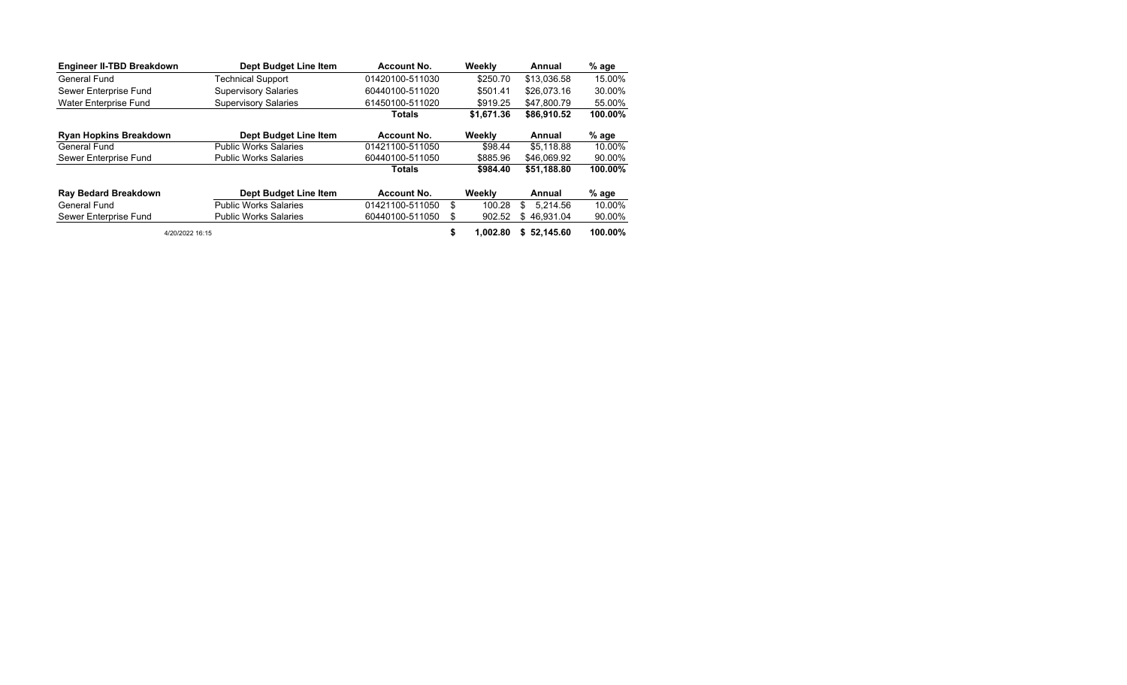| Engineer II-TBD Breakdown     | Dept Budget Line Item        | Account No.                 |          | Weekly      | Annual         | % age   |
|-------------------------------|------------------------------|-----------------------------|----------|-------------|----------------|---------|
| <b>General Fund</b>           | <b>Technical Support</b>     | 01420100-511030             | \$250.70 |             | \$13.036.58    | 15.00%  |
| Sewer Enterprise Fund         | <b>Supervisory Salaries</b>  | 60440100-511020<br>\$501.41 |          | \$26.073.16 | 30.00%         |         |
| Water Enterprise Fund         | <b>Supervisory Salaries</b>  | 61450100-511020             |          | \$919.25    | 55.00%         |         |
|                               |                              | Totals                      |          | \$1.671.36  | \$86,910.52    | 100.00% |
| <b>Ryan Hopkins Breakdown</b> | Dept Budget Line Item        | Account No.                 |          | Weekly      | Annual         | % age   |
| General Fund                  | <b>Public Works Salaries</b> | 01421100-511050             |          | \$98.44     | \$5.118.88     | 10.00%  |
| Sewer Enterprise Fund         | <b>Public Works Salaries</b> | 60440100-511050             |          | \$885.96    | \$46,069.92    | 90.00%  |
|                               |                              | <b>Totals</b>               |          | \$984.40    | \$51.188.80    | 100.00% |
| <b>Ray Bedard Breakdown</b>   | Dept Budget Line Item        | Account No.                 |          | Weekly      | Annual         | % age   |
| General Fund                  | <b>Public Works Salaries</b> | 01421100-511050             | \$       | 100.28      | 5.214.56<br>\$ | 10.00%  |
| Sewer Enterprise Fund         | 60440100-511050              | S                           | 902.52   | \$46.931.04 | 90.00%         |         |
| 4/20/2022 16:15               |                              | \$                          | 1.002.80 | \$52.145.60 | 100.00%        |         |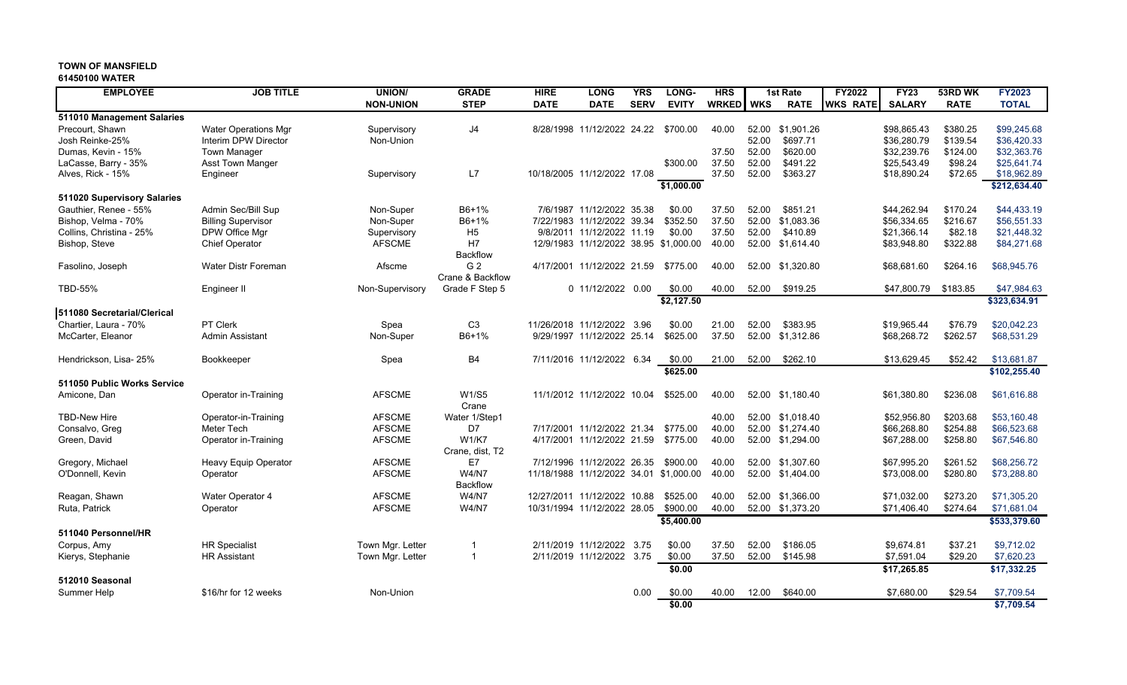#### **61450100 WATER**

| <b>EMPLOYEE</b>             | <b>JOB TITLE</b>            | <b>UNION/</b>    | <b>GRADE</b>     | <b>HIRE</b>                            | <b>LONG</b>                | <b>YRS</b>  | LONG-        | <b>HRS</b>   |            | 1st Rate         | <b>FY2022</b>   | <b>FY23</b>   | 53RD WK     | <b>FY2023</b> |
|-----------------------------|-----------------------------|------------------|------------------|----------------------------------------|----------------------------|-------------|--------------|--------------|------------|------------------|-----------------|---------------|-------------|---------------|
|                             |                             | <b>NON-UNION</b> | <b>STEP</b>      | <b>DATE</b>                            | <b>DATE</b>                | <b>SERV</b> | <b>EVITY</b> | <b>WRKED</b> | <b>WKS</b> | <b>RATE</b>      | <b>WKS RATE</b> | <b>SALARY</b> | <b>RATE</b> | <b>TOTAL</b>  |
| 511010 Management Salaries  |                             |                  |                  |                                        |                            |             |              |              |            |                  |                 |               |             |               |
| Precourt, Shawn             | <b>Water Operations Mgr</b> | Supervisory      | J <sub>4</sub>   |                                        | 8/28/1998 11/12/2022 24.22 |             | \$700.00     | 40.00        | 52.00      | \$1,901.26       |                 | \$98,865.43   | \$380.25    | \$99,245.68   |
| Josh Reinke-25%             | Interim DPW Director        | Non-Union        |                  |                                        |                            |             |              |              | 52.00      | \$697.71         |                 | \$36,280.79   | \$139.54    | \$36,420.33   |
| Dumas, Kevin - 15%          | <b>Town Manager</b>         |                  |                  |                                        |                            |             |              | 37.50        | 52.00      | \$620.00         |                 | \$32,239.76   | \$124.00    | \$32,363.76   |
| LaCasse, Barry - 35%        | Asst Town Manger            |                  |                  |                                        |                            |             | \$300.00     | 37.50        | 52.00      | \$491.22         |                 | \$25,543.49   | \$98.24     | \$25,641.74   |
| Alves, Rick - 15%           | Engineer                    | Supervisory      | L7               | 10/18/2005 11/12/2022 17.08            |                            |             |              | 37.50        | 52.00      | \$363.27         |                 | \$18,890.24   | \$72.65     | \$18,962.89   |
|                             |                             |                  |                  |                                        |                            |             | \$1,000.00   |              |            |                  |                 |               |             | \$212,634.40  |
| 511020 Supervisory Salaries |                             |                  |                  |                                        |                            |             |              |              |            |                  |                 |               |             |               |
| Gauthier, Renee - 55%       | Admin Sec/Bill Sup          | Non-Super        | B6+1%            |                                        | 7/6/1987 11/12/2022 35.38  |             | \$0.00       | 37.50        | 52.00      | \$851.21         |                 | \$44,262.94   | \$170.24    | \$44.433.19   |
| Bishop, Velma - 70%         | <b>Billing Supervisor</b>   | Non-Super        | B6+1%            |                                        | 7/22/1983 11/12/2022 39.34 |             | \$352.50     | 37.50        | 52.00      | \$1,083.36       |                 | \$56,334.65   | \$216.67    | \$56,551.33   |
| Collins, Christina - 25%    | DPW Office Mgr              | Supervisory      | H <sub>5</sub>   |                                        | 9/8/2011 11/12/2022 11.19  |             | \$0.00       | 37.50        | 52.00      | \$410.89         |                 | \$21,366.14   | \$82.18     | \$21,448.32   |
| Bishop, Steve               | <b>Chief Operator</b>       | <b>AFSCME</b>    | H <sub>7</sub>   | 12/9/1983 11/12/2022 38.95 \$1,000.00  |                            |             |              | 40.00        | 52.00      | \$1,614.40       |                 | \$83,948.80   | \$322.88    | \$84,271.68   |
|                             |                             |                  | Backflow         |                                        |                            |             |              |              |            |                  |                 |               |             |               |
| Fasolino, Joseph            | <b>Water Distr Foreman</b>  | Afscme           | G <sub>2</sub>   |                                        | 4/17/2001 11/12/2022 21.59 |             | \$775.00     | 40.00        | 52.00      | \$1.320.80       |                 | \$68,681.60   | \$264.16    | \$68,945.76   |
|                             |                             |                  | Crane & Backflow |                                        |                            |             |              |              |            |                  |                 |               |             |               |
| <b>TBD-55%</b>              | Engineer II                 | Non-Supervisory  | Grade F Step 5   |                                        | 0 11/12/2022 0.00          |             | \$0.00       | 40.00        | 52.00      | \$919.25         |                 | \$47,800.79   | \$183.85    | \$47,984.63   |
|                             |                             |                  |                  |                                        |                            |             | \$2,127.50   |              |            |                  |                 |               |             | \$323,634.91  |
| 511080 Secretarial/Clerical |                             |                  |                  |                                        |                            |             |              |              |            |                  |                 |               |             |               |
| Chartier, Laura - 70%       | PT Clerk                    | Spea             | C <sub>3</sub>   | 11/26/2018 11/12/2022 3.96             |                            |             | \$0.00       | 21.00        | 52.00      | \$383.95         |                 | \$19,965.44   | \$76.79     | \$20,042.23   |
| McCarter, Eleanor           | <b>Admin Assistant</b>      | Non-Super        | B6+1%            |                                        | 9/29/1997 11/12/2022 25.14 |             | \$625.00     | 37.50        | 52.00      | \$1,312.86       |                 | \$68,268.72   | \$262.57    | \$68,531.29   |
| Hendrickson, Lisa- 25%      | Bookkeeper                  | Spea             | <b>B4</b>        | 7/11/2016 11/12/2022 6.34              |                            |             | \$0.00       | 21.00        | 52.00      | \$262.10         |                 | \$13,629.45   | \$52.42     | \$13,681.87   |
|                             |                             |                  |                  |                                        |                            |             | \$625.00     |              |            |                  |                 |               |             | \$102,255.40  |
| 511050 Public Works Service |                             |                  |                  |                                        |                            |             |              |              |            |                  |                 |               |             |               |
| Amicone, Dan                | Operator in-Training        | <b>AFSCME</b>    | <b>W1/S5</b>     | 11/1/2012 11/12/2022 10.04             |                            |             | \$525.00     | 40.00        |            | 52.00 \$1,180.40 |                 | \$61,380.80   | \$236.08    | \$61,616.88   |
|                             |                             |                  | Crane            |                                        |                            |             |              |              |            |                  |                 |               |             |               |
| <b>TBD-New Hire</b>         | Operator-in-Training        | <b>AFSCME</b>    | Water 1/Step1    |                                        |                            |             |              | 40.00        |            | 52.00 \$1,018.40 |                 | \$52,956.80   | \$203.68    | \$53,160.48   |
| Consalvo, Greg              | Meter Tech                  | <b>AFSCME</b>    | D7               |                                        | 7/17/2001 11/12/2022 21.34 |             | \$775.00     | 40.00        | 52.00      | \$1,274.40       |                 | \$66,268.80   | \$254.88    | \$66,523.68   |
| Green, David                | Operator in-Training        | <b>AFSCME</b>    | <b>W1/K7</b>     | 4/17/2001 11/12/2022 21.59             |                            |             | \$775.00     | 40.00        |            | 52.00 \$1,294.00 |                 | \$67,288.00   | \$258.80    | \$67,546.80   |
|                             |                             |                  | Crane, dist. T2  |                                        |                            |             |              |              |            |                  |                 |               |             |               |
| Gregory, Michael            | Heavy Equip Operator        | <b>AFSCME</b>    | E7               |                                        | 7/12/1996 11/12/2022 26.35 |             | \$900.00     | 40.00        | 52.00      | \$1,307.60       |                 | \$67,995.20   | \$261.52    | \$68,256.72   |
| O'Donnell, Kevin            | Operator                    | <b>AFSCME</b>    | <b>W4/N7</b>     | 11/18/1988 11/12/2022 34.01 \$1,000.00 |                            |             |              | 40.00        |            | 52.00 \$1,404.00 |                 | \$73,008.00   | \$280.80    | \$73,288.80   |
|                             |                             |                  | Backflow         |                                        |                            |             |              |              |            |                  |                 |               |             |               |
| Reagan, Shawn               | <b>Water Operator 4</b>     | <b>AFSCME</b>    | <b>W4/N7</b>     | 12/27/2011 11/12/2022 10.88            |                            |             | \$525.00     | 40.00        | 52.00      | \$1,366.00       |                 | \$71,032.00   | \$273.20    | \$71.305.20   |
| Ruta, Patrick               | Operator                    | <b>AFSCME</b>    | <b>W4/N7</b>     | 10/31/1994 11/12/2022 28.05            |                            |             | \$900.00     | 40.00        |            | 52.00 \$1,373.20 |                 | \$71,406.40   | \$274.64    | \$71,681.04   |
|                             |                             |                  |                  |                                        |                            |             | \$5,400.00   |              |            |                  |                 |               |             | \$533,379.60  |
| 511040 Personnel/HR         |                             |                  |                  |                                        |                            |             |              |              |            |                  |                 |               |             |               |
| Corpus, Amy                 | <b>HR Specialist</b>        | Town Mgr. Letter | -1               |                                        | 2/11/2019 11/12/2022 3.75  |             | \$0.00       | 37.50        | 52.00      | \$186.05         |                 | \$9,674.81    | \$37.21     | \$9,712.02    |
| Kierys, Stephanie           | <b>HR Assistant</b>         | Town Mgr. Letter | $\mathbf{1}$     |                                        | 2/11/2019 11/12/2022 3.75  |             | \$0.00       | 37.50        | 52.00      | \$145.98         |                 | \$7,591.04    | \$29.20     | \$7,620.23    |
|                             |                             |                  |                  |                                        |                            |             | \$0.00       |              |            |                  |                 | \$17.265.85   |             | \$17,332.25   |
| 512010 Seasonal             |                             |                  |                  |                                        |                            |             |              |              |            |                  |                 |               |             |               |
| <b>Summer Help</b>          | \$16/hr for 12 weeks        | Non-Union        |                  |                                        |                            | 0.00        | \$0.00       | 40.00        | 12.00      | \$640.00         |                 | \$7,680.00    | \$29.54     | \$7,709.54    |
|                             |                             |                  |                  |                                        |                            |             | \$0.00       |              |            |                  |                 |               |             | \$7,709.54    |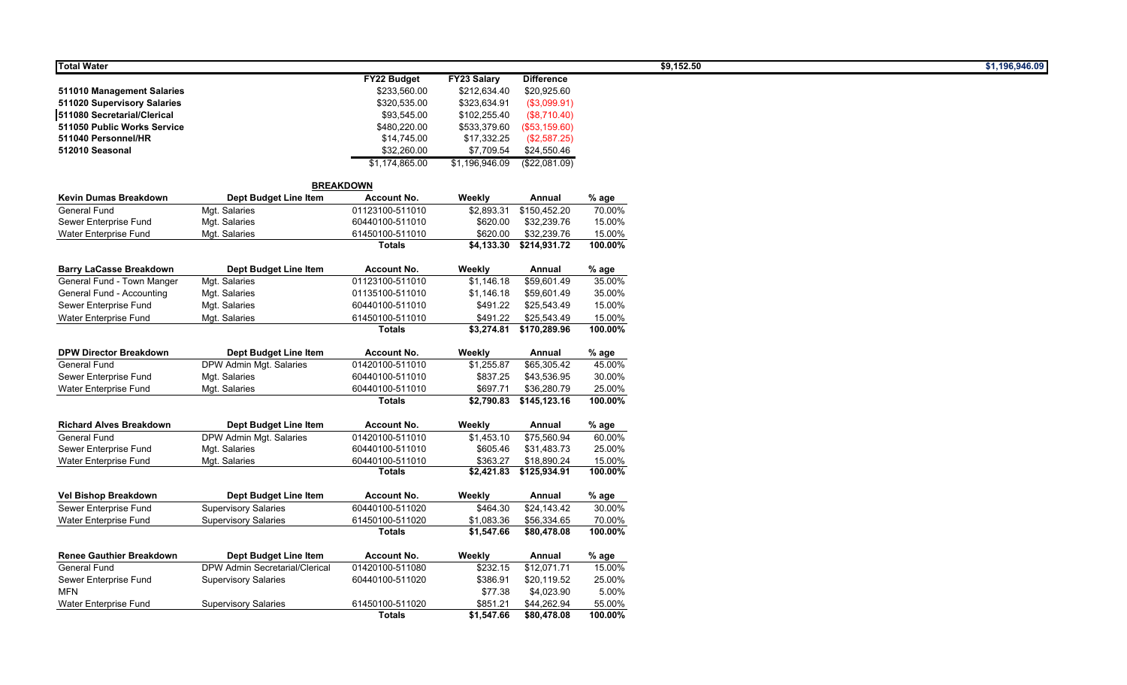| <b>Total Water</b>              |                                       |                    |                    |                         |         | \$9,152.50 | \$1,196,946.09 |
|---------------------------------|---------------------------------------|--------------------|--------------------|-------------------------|---------|------------|----------------|
|                                 |                                       | <b>FY22 Budget</b> | <b>FY23 Salary</b> | <b>Difference</b>       |         |            |                |
| 511010 Management Salaries      |                                       | \$233,560.00       | \$212,634.40       | \$20,925.60             |         |            |                |
| 511020 Supervisory Salaries     |                                       | \$320,535.00       | \$323,634.91       | (\$3,099.91)            |         |            |                |
| 511080 Secretarial/Clerical     |                                       | \$93,545.00        | \$102,255.40       | (\$8,710.40)            |         |            |                |
| 511050 Public Works Service     |                                       | \$480,220.00       | \$533,379.60       | (\$53,159.60)           |         |            |                |
| 511040 Personnel/HR             |                                       | \$14,745.00        | \$17,332.25        | (\$2,587.25)            |         |            |                |
| 512010 Seasonal                 |                                       | \$32,260.00        | \$7,709.54         | \$24,550.46             |         |            |                |
|                                 |                                       | \$1,174,865.00     | \$1,196,946.09     | (\$22,081.09)           |         |            |                |
|                                 |                                       | <b>BREAKDOWN</b>   |                    |                         |         |            |                |
| Kevin Dumas Breakdown           | Dept Budget Line Item                 | <b>Account No.</b> | Weekly             | Annual                  | % age   |            |                |
| <b>General Fund</b>             | Mgt. Salaries                         | 01123100-511010    | \$2,893.31         | \$150,452.20            | 70.00%  |            |                |
| Sewer Enterprise Fund           | Mgt. Salaries                         | 60440100-511010    | \$620.00           | \$32,239.76             | 15.00%  |            |                |
| Water Enterprise Fund           | Mgt. Salaries                         | 61450100-511010    | \$620.00           | \$32,239.76             | 15.00%  |            |                |
|                                 |                                       | <b>Totals</b>      | \$4,133.30         | \$214,931.72            | 100.00% |            |                |
| <b>Barry LaCasse Breakdown</b>  | Dept Budget Line Item                 | <b>Account No.</b> | Weekly             | Annual                  | % age   |            |                |
| General Fund - Town Manger      | Mgt. Salaries                         | 01123100-511010    | \$1,146.18         | \$59,601.49             | 35.00%  |            |                |
| General Fund - Accounting       | Mgt. Salaries                         | 01135100-511010    | \$1,146.18         | \$59,601.49             | 35.00%  |            |                |
| Sewer Enterprise Fund           | Mgt. Salaries                         | 60440100-511010    | \$491.22           | \$25,543.49             | 15.00%  |            |                |
| Water Enterprise Fund           | Mgt. Salaries                         | 61450100-511010    | \$491.22           | \$25,543.49             | 15.00%  |            |                |
|                                 |                                       | <b>Totals</b>      | \$3,274.81         | \$170,289.96            | 100.00% |            |                |
| <b>DPW Director Breakdown</b>   | Dept Budget Line Item                 | <b>Account No.</b> | Weekly             | Annual                  | % age   |            |                |
| <b>General Fund</b>             | <b>DPW Admin Mgt. Salaries</b>        | 01420100-511010    | \$1,255.87         | \$65,305.42             | 45.00%  |            |                |
| Sewer Enterprise Fund           | Mgt. Salaries                         | 60440100-511010    | \$837.25           | \$43,536.95             | 30.00%  |            |                |
| Water Enterprise Fund           | Mgt. Salaries                         | 60440100-511010    | \$697.71           | \$36,280.79             | 25.00%  |            |                |
|                                 |                                       | <b>Totals</b>      |                    | \$2,790.83 \$145,123.16 | 100.00% |            |                |
| <b>Richard Alves Breakdown</b>  | Dept Budget Line Item                 | <b>Account No.</b> | Weekly             | Annual                  | % age   |            |                |
| <b>General Fund</b>             | DPW Admin Mgt. Salaries               | 01420100-511010    | \$1,453.10         | \$75,560.94             | 60.00%  |            |                |
| Sewer Enterprise Fund           | Mgt. Salaries                         | 60440100-511010    | \$605.46           | \$31,483.73             | 25.00%  |            |                |
| Water Enterprise Fund           | Mgt. Salaries                         | 60440100-511010    | \$363.27           | \$18,890.24             | 15.00%  |            |                |
|                                 |                                       | <b>Totals</b>      |                    | \$2,421.83 \$125,934.91 | 100.00% |            |                |
| <b>Vel Bishop Breakdown</b>     | Dept Budget Line Item                 | <b>Account No.</b> | Weekly             | Annual                  | % age   |            |                |
| Sewer Enterprise Fund           | <b>Supervisory Salaries</b>           | 60440100-511020    | \$464.30           | \$24,143.42             | 30.00%  |            |                |
| Water Enterprise Fund           | <b>Supervisory Salaries</b>           | 61450100-511020    | \$1,083.36         | \$56,334.65             | 70.00%  |            |                |
|                                 |                                       | <b>Totals</b>      | \$1,547.66         | \$80,478.08             | 100.00% |            |                |
| <b>Renee Gauthier Breakdown</b> | Dept Budget Line Item                 | <b>Account No.</b> | Weekly             | Annual                  | $%$ age |            |                |
| General Fund                    | <b>DPW Admin Secretarial/Clerical</b> | 01420100-511080    | \$232.15           | \$12,071.71             | 15.00%  |            |                |
| Sewer Enterprise Fund           | <b>Supervisory Salaries</b>           | 60440100-511020    | \$386.91           | \$20,119.52             | 25.00%  |            |                |
| <b>MFN</b>                      |                                       |                    | \$77.38            | \$4,023.90              | 5.00%   |            |                |
| Water Enterprise Fund           | <b>Supervisory Salaries</b>           | 61450100-511020    | \$851.21           | \$44,262.94             | 55.00%  |            |                |
|                                 |                                       | <b>Totals</b>      | \$1,547.66         | \$80,478.08             | 100.00% |            |                |